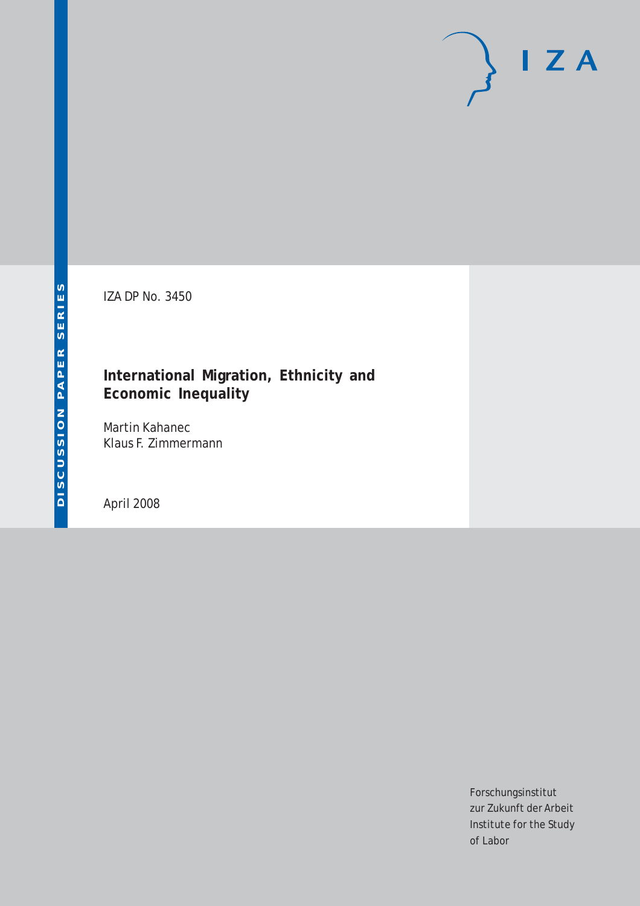# $\mathsf{I}$  Z A

IZA DP No. 3450

# **International Migration, Ethnicity and Economic Inequality**

Martin Kahanec Klaus F. Zimmermann

April 2008

Forschungsinstitut zur Zukunft der Arbeit Institute for the Study of Labor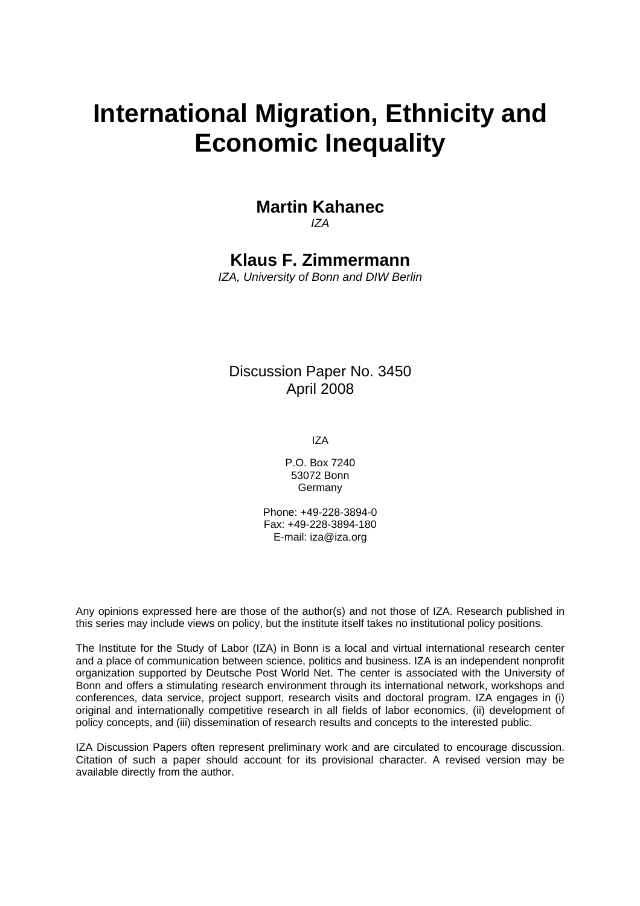# **International Migration, Ethnicity and Economic Inequality**

## **Martin Kahanec**  *IZA*

# **Klaus F. Zimmermann**

*IZA, University of Bonn and DIW Berlin* 

# Discussion Paper No. 3450 April 2008

IZA

P.O. Box 7240 53072 Bonn **Germany** 

Phone: +49-228-3894-0 Fax: +49-228-3894-180 E-mail: [iza@iza.org](mailto:iza@iza.org)

Any opinions expressed here are those of the author(s) and not those of IZA. Research published in this series may include views on policy, but the institute itself takes no institutional policy positions.

The Institute for the Study of Labor (IZA) in Bonn is a local and virtual international research center and a place of communication between science, politics and business. IZA is an independent nonprofit organization supported by Deutsche Post World Net. The center is associated with the University of Bonn and offers a stimulating research environment through its international network, workshops and conferences, data service, project support, research visits and doctoral program. IZA engages in (i) original and internationally competitive research in all fields of labor economics, (ii) development of policy concepts, and (iii) dissemination of research results and concepts to the interested public.

IZA Discussion Papers often represent preliminary work and are circulated to encourage discussion. Citation of such a paper should account for its provisional character. A revised version may be available directly from the author.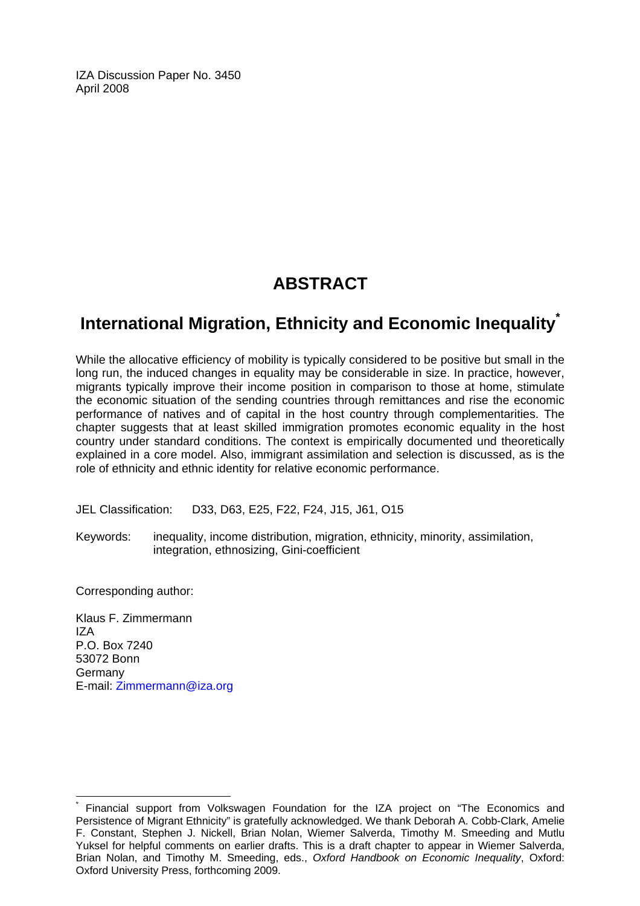IZA Discussion Paper No. 3450 April 2008

# **ABSTRACT**

# **International Migration, Ethnicity and Economic Inequality[\\*](#page-2-0)**

While the allocative efficiency of mobility is typically considered to be positive but small in the long run, the induced changes in equality may be considerable in size. In practice, however, migrants typically improve their income position in comparison to those at home, stimulate the economic situation of the sending countries through remittances and rise the economic performance of natives and of capital in the host country through complementarities. The chapter suggests that at least skilled immigration promotes economic equality in the host country under standard conditions. The context is empirically documented und theoretically explained in a core model. Also, immigrant assimilation and selection is discussed, as is the role of ethnicity and ethnic identity for relative economic performance.

JEL Classification: D33, D63, E25, F22, F24, J15, J61, O15

Keywords: inequality, income distribution, migration, ethnicity, minority, assimilation, integration, ethnosizing, Gini-coefficient

Corresponding author:

 $\overline{a}$ 

Klaus F. Zimmermann IZA P.O. Box 7240 53072 Bonn **Germany** E-mail: [Zimmermann@iza.org](mailto:Zimmermann@iza.org) 

<span id="page-2-0"></span><sup>\*</sup> Financial support from Volkswagen Foundation for the IZA project on "The Economics and Persistence of Migrant Ethnicity" is gratefully acknowledged. We thank Deborah A. Cobb-Clark, Amelie F. Constant, Stephen J. Nickell, Brian Nolan, Wiemer Salverda, Timothy M. Smeeding and Mutlu Yuksel for helpful comments on earlier drafts. This is a draft chapter to appear in Wiemer Salverda, Brian Nolan, and Timothy M. Smeeding, eds., *Oxford Handbook on Economic Inequality*, Oxford: Oxford University Press, forthcoming 2009.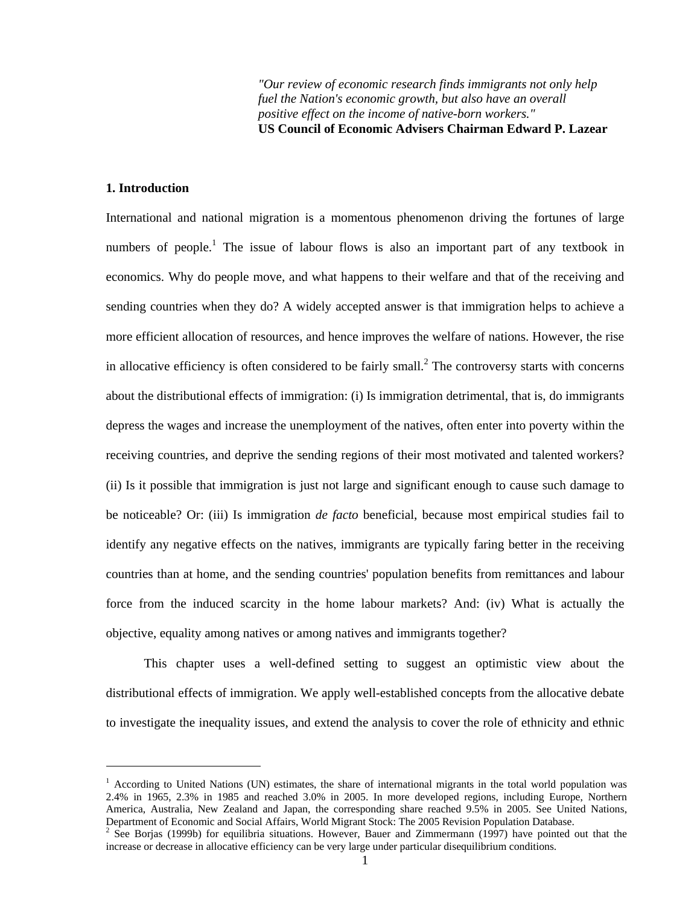*"Our review of economic research finds immigrants not only help fuel the Nation's economic growth, but also have an overall positive effect on the income of native-born workers."*   **US Council of Economic Advisers Chairman Edward P. Lazear** 

### **1. Introduction**

 $\overline{a}$ 

International and national migration is a momentous phenomenon driving the fortunes of large numbers of people.<sup>1</sup> The issue of labour flows is also an important part of any textbook in economics. Why do people move, and what happens to their welfare and that of the receiving and sending countries when they do? A widely accepted answer is that immigration helps to achieve a more efficient allocation of resources, and hence improves the welfare of nations. However, the rise in allocative efficiency is often considered to be fairly small.<sup>2</sup> The controversy starts with concerns about the distributional effects of immigration: (i) Is immigration detrimental, that is, do immigrants depress the wages and increase the unemployment of the natives, often enter into poverty within the receiving countries, and deprive the sending regions of their most motivated and talented workers? (ii) Is it possible that immigration is just not large and significant enough to cause such damage to be noticeable? Or: (iii) Is immigration *de facto* beneficial, because most empirical studies fail to identify any negative effects on the natives, immigrants are typically faring better in the receiving countries than at home, and the sending countries' population benefits from remittances and labour force from the induced scarcity in the home labour markets? And: (iv) What is actually the objective, equality among natives or among natives and immigrants together?

 This chapter uses a well-defined setting to suggest an optimistic view about the distributional effects of immigration. We apply well-established concepts from the allocative debate to investigate the inequality issues, and extend the analysis to cover the role of ethnicity and ethnic

 $1$  According to United Nations (UN) estimates, the share of international migrants in the total world population was 2.4% in 1965, 2.3% in 1985 and reached 3.0% in 2005. In more developed regions, including Europe, Northern America, Australia, New Zealand and Japan, the corresponding share reached 9.5% in 2005. See United Nations, Department of Economic and Social Affairs, World Migrant Stock: The 2005 Revision Population Database.

 $2^{2}$  See Borjas (1999b) for equilibria situations. However, Bauer and Zimmermann (1997) have pointed out that the increase or decrease in allocative efficiency can be very large under particular disequilibrium conditions.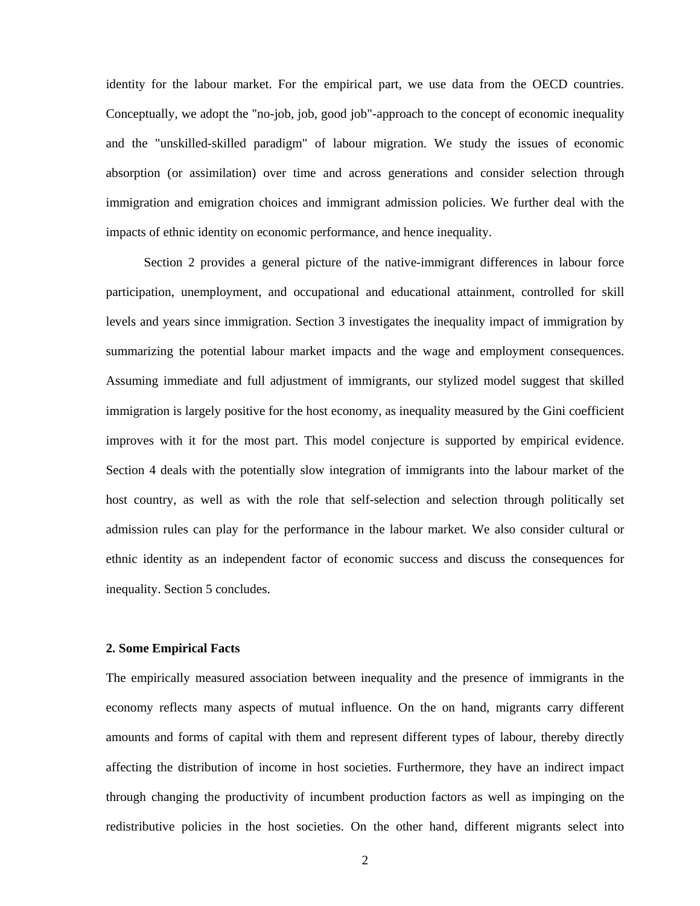identity for the labour market. For the empirical part, we use data from the OECD countries. Conceptually, we adopt the "no-job, job, good job"-approach to the concept of economic inequality and the "unskilled-skilled paradigm" of labour migration. We study the issues of economic absorption (or assimilation) over time and across generations and consider selection through immigration and emigration choices and immigrant admission policies. We further deal with the impacts of ethnic identity on economic performance, and hence inequality.

 Section 2 provides a general picture of the native-immigrant differences in labour force participation, unemployment, and occupational and educational attainment, controlled for skill levels and years since immigration. Section 3 investigates the inequality impact of immigration by summarizing the potential labour market impacts and the wage and employment consequences. Assuming immediate and full adjustment of immigrants, our stylized model suggest that skilled immigration is largely positive for the host economy, as inequality measured by the Gini coefficient improves with it for the most part. This model conjecture is supported by empirical evidence. Section 4 deals with the potentially slow integration of immigrants into the labour market of the host country, as well as with the role that self-selection and selection through politically set admission rules can play for the performance in the labour market. We also consider cultural or ethnic identity as an independent factor of economic success and discuss the consequences for inequality. Section 5 concludes.

### **2. Some Empirical Facts**

The empirically measured association between inequality and the presence of immigrants in the economy reflects many aspects of mutual influence. On the on hand, migrants carry different amounts and forms of capital with them and represent different types of labour, thereby directly affecting the distribution of income in host societies. Furthermore, they have an indirect impact through changing the productivity of incumbent production factors as well as impinging on the redistributive policies in the host societies. On the other hand, different migrants select into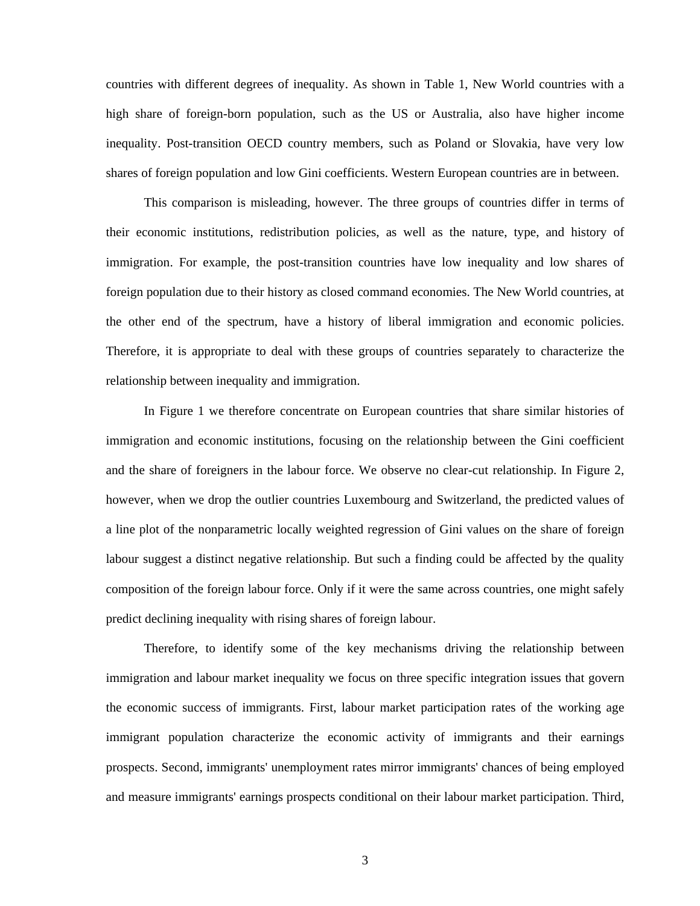countries with different degrees of inequality. As shown in Table 1, New World countries with a high share of foreign-born population, such as the US or Australia, also have higher income inequality. Post-transition OECD country members, such as Poland or Slovakia, have very low shares of foreign population and low Gini coefficients. Western European countries are in between.

 This comparison is misleading, however. The three groups of countries differ in terms of their economic institutions, redistribution policies, as well as the nature, type, and history of immigration. For example, the post-transition countries have low inequality and low shares of foreign population due to their history as closed command economies. The New World countries, at the other end of the spectrum, have a history of liberal immigration and economic policies. Therefore, it is appropriate to deal with these groups of countries separately to characterize the relationship between inequality and immigration.

 In Figure 1 we therefore concentrate on European countries that share similar histories of immigration and economic institutions, focusing on the relationship between the Gini coefficient and the share of foreigners in the labour force. We observe no clear-cut relationship. In Figure 2, however, when we drop the outlier countries Luxembourg and Switzerland, the predicted values of a line plot of the nonparametric locally weighted regression of Gini values on the share of foreign labour suggest a distinct negative relationship. But such a finding could be affected by the quality composition of the foreign labour force. Only if it were the same across countries, one might safely predict declining inequality with rising shares of foreign labour.

 Therefore, to identify some of the key mechanisms driving the relationship between immigration and labour market inequality we focus on three specific integration issues that govern the economic success of immigrants. First, labour market participation rates of the working age immigrant population characterize the economic activity of immigrants and their earnings prospects. Second, immigrants' unemployment rates mirror immigrants' chances of being employed and measure immigrants' earnings prospects conditional on their labour market participation. Third,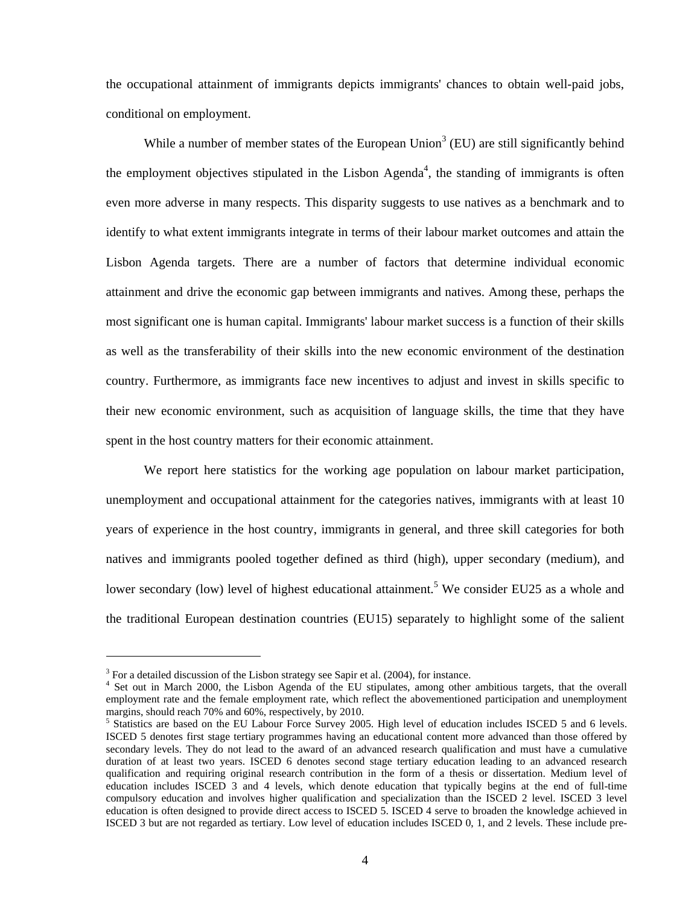the occupational attainment of immigrants depicts immigrants' chances to obtain well-paid jobs, conditional on employment.

While a number of member states of the European Union<sup>3</sup> (EU) are still significantly behind the employment objectives stipulated in the Lisbon Agenda<sup>4</sup>, the standing of immigrants is often even more adverse in many respects. This disparity suggests to use natives as a benchmark and to identify to what extent immigrants integrate in terms of their labour market outcomes and attain the Lisbon Agenda targets. There are a number of factors that determine individual economic attainment and drive the economic gap between immigrants and natives. Among these, perhaps the most significant one is human capital. Immigrants' labour market success is a function of their skills as well as the transferability of their skills into the new economic environment of the destination country. Furthermore, as immigrants face new incentives to adjust and invest in skills specific to their new economic environment, such as acquisition of language skills, the time that they have spent in the host country matters for their economic attainment.

 We report here statistics for the working age population on labour market participation, unemployment and occupational attainment for the categories natives, immigrants with at least 10 years of experience in the host country, immigrants in general, and three skill categories for both natives and immigrants pooled together defined as third (high), upper secondary (medium), and lower secondary (low) level of highest educational attainment.<sup>5</sup> We consider EU25 as a whole and the traditional European destination countries (EU15) separately to highlight some of the salient

 $\overline{a}$ 

 $3$  For a detailed discussion of the Lisbon strategy see Sapir et al. (2004), for instance.

<sup>&</sup>lt;sup>4</sup> Set out in March 2000, the Lisbon Agenda of the EU stipulates, among other ambitious targets, that the overall employment rate and the female employment rate, which reflect the abovementioned participation and unemployment margins, should reach 70% and 60%, respectively, by 2010.

<sup>&</sup>lt;sup>5</sup> Statistics are based on the EU Labour Force Survey 2005. High level of education includes ISCED 5 and 6 levels. ISCED 5 denotes first stage tertiary programmes having an educational content more advanced than those offered by secondary levels. They do not lead to the award of an advanced research qualification and must have a cumulative duration of at least two years. ISCED 6 denotes second stage tertiary education leading to an advanced research qualification and requiring original research contribution in the form of a thesis or dissertation. Medium level of education includes ISCED 3 and 4 levels, which denote education that typically begins at the end of full-time compulsory education and involves higher qualification and specialization than the ISCED 2 level. ISCED 3 level education is often designed to provide direct access to ISCED 5. ISCED 4 serve to broaden the knowledge achieved in ISCED 3 but are not regarded as tertiary. Low level of education includes ISCED 0, 1, and 2 levels. These include pre-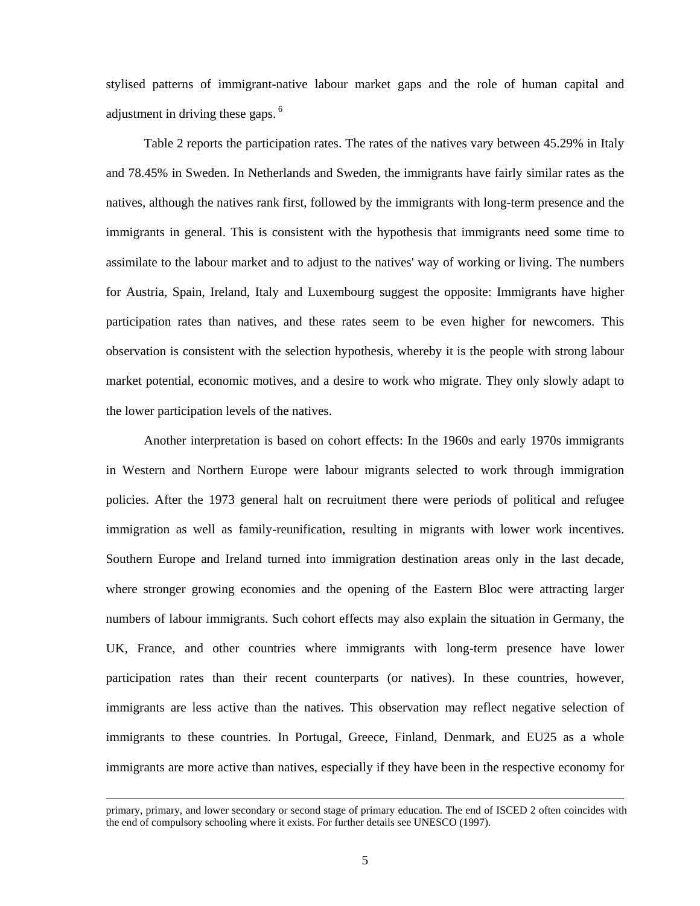stylised patterns of immigrant-native labour market gaps and the role of human capital and adjustment in driving these gaps.<sup>6</sup>

 Table 2 reports the participation rates. The rates of the natives vary between 45.29% in Italy and 78.45% in Sweden. In Netherlands and Sweden, the immigrants have fairly similar rates as the natives, although the natives rank first, followed by the immigrants with long-term presence and the immigrants in general. This is consistent with the hypothesis that immigrants need some time to assimilate to the labour market and to adjust to the natives' way of working or living. The numbers for Austria, Spain, Ireland, Italy and Luxembourg suggest the opposite: Immigrants have higher participation rates than natives, and these rates seem to be even higher for newcomers. This observation is consistent with the selection hypothesis, whereby it is the people with strong labour market potential, economic motives, and a desire to work who migrate. They only slowly adapt to the lower participation levels of the natives.

 Another interpretation is based on cohort effects: In the 1960s and early 1970s immigrants in Western and Northern Europe were labour migrants selected to work through immigration policies. After the 1973 general halt on recruitment there were periods of political and refugee immigration as well as family-reunification, resulting in migrants with lower work incentives. Southern Europe and Ireland turned into immigration destination areas only in the last decade, where stronger growing economies and the opening of the Eastern Bloc were attracting larger numbers of labour immigrants. Such cohort effects may also explain the situation in Germany, the UK, France, and other countries where immigrants with long-term presence have lower participation rates than their recent counterparts (or natives). In these countries, however, immigrants are less active than the natives. This observation may reflect negative selection of immigrants to these countries. In Portugal, Greece, Finland, Denmark, and EU25 as a whole immigrants are more active than natives, especially if they have been in the respective economy for

primary, primary, and lower secondary or second stage of primary education. The end of ISCED 2 often coincides with the end of compulsory schooling where it exists. For further details see UNESCO (1997).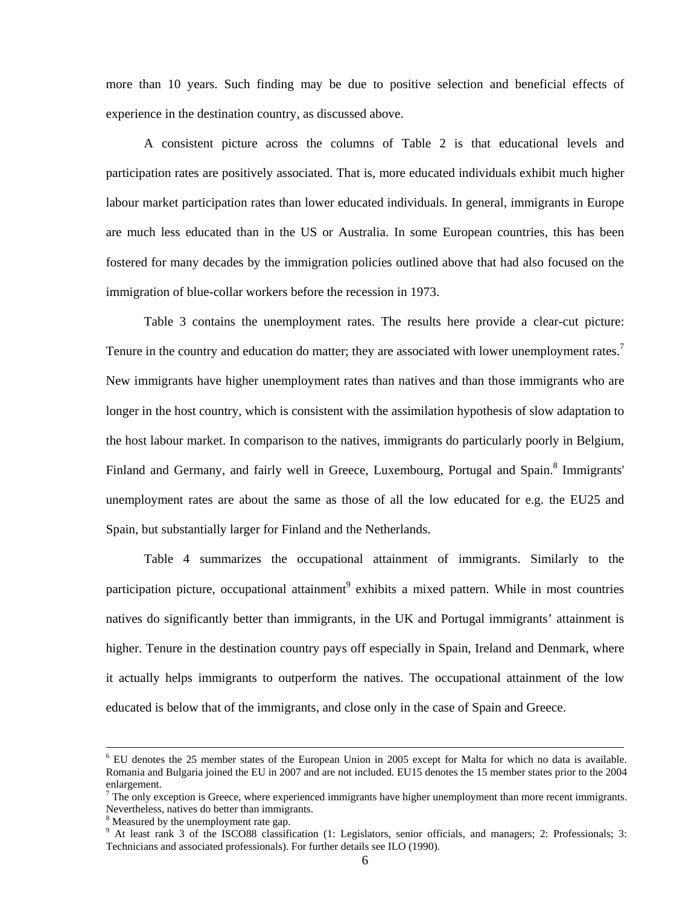more than 10 years. Such finding may be due to positive selection and beneficial effects of experience in the destination country, as discussed above.

 A consistent picture across the columns of Table 2 is that educational levels and participation rates are positively associated. That is, more educated individuals exhibit much higher labour market participation rates than lower educated individuals. In general, immigrants in Europe are much less educated than in the US or Australia. In some European countries, this has been fostered for many decades by the immigration policies outlined above that had also focused on the immigration of blue-collar workers before the recession in 1973.

 Table 3 contains the unemployment rates. The results here provide a clear-cut picture: Tenure in the country and education do matter; they are associated with lower unemployment rates.<sup>7</sup> New immigrants have higher unemployment rates than natives and than those immigrants who are longer in the host country, which is consistent with the assimilation hypothesis of slow adaptation to the host labour market. In comparison to the natives, immigrants do particularly poorly in Belgium, Finland and Germany, and fairly well in Greece, Luxembourg, Portugal and Spain.<sup>8</sup> Immigrants' unemployment rates are about the same as those of all the low educated for e.g. the EU25 and Spain, but substantially larger for Finland and the Netherlands.

 Table 4 summarizes the occupational attainment of immigrants. Similarly to the participation picture, occupational attainment<sup>9</sup> exhibits a mixed pattern. While in most countries natives do significantly better than immigrants, in the UK and Portugal immigrants' attainment is higher. Tenure in the destination country pays off especially in Spain, Ireland and Denmark, where it actually helps immigrants to outperform the natives. The occupational attainment of the low educated is below that of the immigrants, and close only in the case of Spain and Greece.

 <sup>6</sup> <sup>6</sup> EU denotes the 25 member states of the European Union in 2005 except for Malta for which no data is available. Romania and Bulgaria joined the EU in 2007 and are not included. EU15 denotes the 15 member states prior to the 2004 enlargement.

 $<sup>7</sup>$  The only exception is Greece, where experienced immigrants have higher unemployment than more recent immigrants.</sup> Nevertheless, natives do better than immigrants.

<sup>&</sup>lt;sup>8</sup> Measured by the unemployment rate gap.

<sup>&</sup>lt;sup>9</sup> At least rank 3 of the ISCO88 classification (1: Legislators, senior officials, and managers; 2: Professionals; 3: Technicians and associated professionals). For further details see ILO (1990).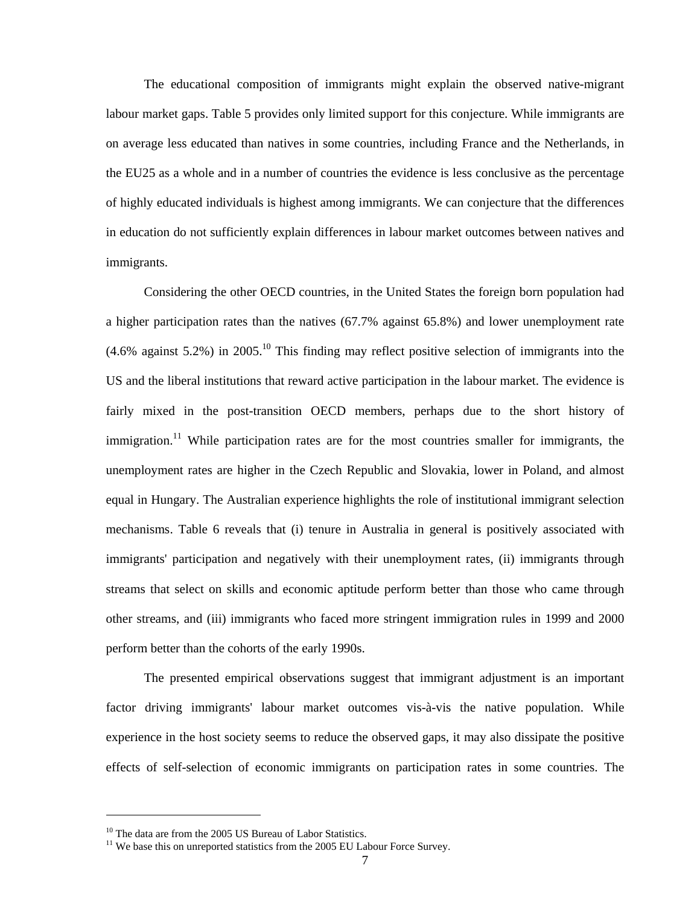The educational composition of immigrants might explain the observed native-migrant labour market gaps. Table 5 provides only limited support for this conjecture. While immigrants are on average less educated than natives in some countries, including France and the Netherlands, in the EU25 as a whole and in a number of countries the evidence is less conclusive as the percentage of highly educated individuals is highest among immigrants. We can conjecture that the differences in education do not sufficiently explain differences in labour market outcomes between natives and immigrants.

 Considering the other OECD countries, in the United States the foreign born population had a higher participation rates than the natives (67.7% against 65.8%) and lower unemployment rate  $(4.6\%$  against 5.2%) in 2005.<sup>10</sup> This finding may reflect positive selection of immigrants into the US and the liberal institutions that reward active participation in the labour market. The evidence is fairly mixed in the post-transition OECD members, perhaps due to the short history of immigration.<sup>11</sup> While participation rates are for the most countries smaller for immigrants, the unemployment rates are higher in the Czech Republic and Slovakia, lower in Poland, and almost equal in Hungary. The Australian experience highlights the role of institutional immigrant selection mechanisms. Table 6 reveals that (i) tenure in Australia in general is positively associated with immigrants' participation and negatively with their unemployment rates, (ii) immigrants through streams that select on skills and economic aptitude perform better than those who came through other streams, and (iii) immigrants who faced more stringent immigration rules in 1999 and 2000 perform better than the cohorts of the early 1990s.

 The presented empirical observations suggest that immigrant adjustment is an important factor driving immigrants' labour market outcomes vis-à-vis the native population. While experience in the host society seems to reduce the observed gaps, it may also dissipate the positive effects of self-selection of economic immigrants on participation rates in some countries. The

l

<sup>&</sup>lt;sup>10</sup> The data are from the 2005 US Bureau of Labor Statistics.

 $11$  We base this on unreported statistics from the 2005 EU Labour Force Survey.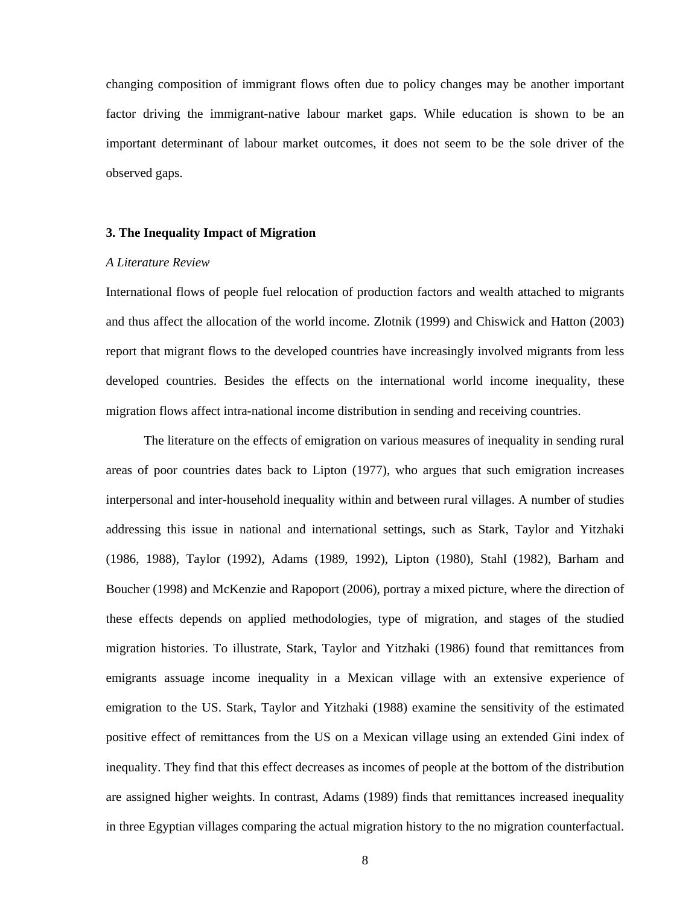changing composition of immigrant flows often due to policy changes may be another important factor driving the immigrant-native labour market gaps. While education is shown to be an important determinant of labour market outcomes, it does not seem to be the sole driver of the observed gaps.

### **3. The Inequality Impact of Migration**

### *A Literature Review*

International flows of people fuel relocation of production factors and wealth attached to migrants and thus affect the allocation of the world income. Zlotnik (1999) and Chiswick and Hatton (2003) report that migrant flows to the developed countries have increasingly involved migrants from less developed countries. Besides the effects on the international world income inequality, these migration flows affect intra-national income distribution in sending and receiving countries.

 The literature on the effects of emigration on various measures of inequality in sending rural areas of poor countries dates back to Lipton (1977), who argues that such emigration increases interpersonal and inter-household inequality within and between rural villages. A number of studies addressing this issue in national and international settings, such as Stark, Taylor and Yitzhaki (1986, 1988), Taylor (1992), Adams (1989, 1992), Lipton (1980), Stahl (1982), Barham and Boucher (1998) and McKenzie and Rapoport (2006), portray a mixed picture, where the direction of these effects depends on applied methodologies, type of migration, and stages of the studied migration histories. To illustrate, Stark, Taylor and Yitzhaki (1986) found that remittances from emigrants assuage income inequality in a Mexican village with an extensive experience of emigration to the US. Stark, Taylor and Yitzhaki (1988) examine the sensitivity of the estimated positive effect of remittances from the US on a Mexican village using an extended Gini index of inequality. They find that this effect decreases as incomes of people at the bottom of the distribution are assigned higher weights. In contrast, Adams (1989) finds that remittances increased inequality in three Egyptian villages comparing the actual migration history to the no migration counterfactual.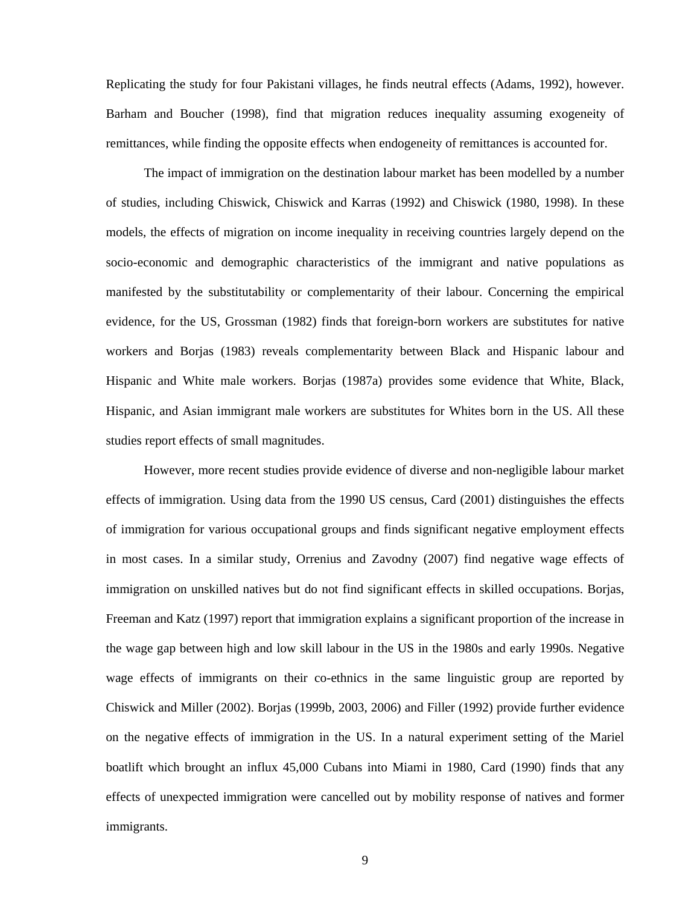Replicating the study for four Pakistani villages, he finds neutral effects (Adams, 1992), however. Barham and Boucher (1998), find that migration reduces inequality assuming exogeneity of remittances, while finding the opposite effects when endogeneity of remittances is accounted for.

 The impact of immigration on the destination labour market has been modelled by a number of studies, including Chiswick, Chiswick and Karras (1992) and Chiswick (1980, 1998). In these models, the effects of migration on income inequality in receiving countries largely depend on the socio-economic and demographic characteristics of the immigrant and native populations as manifested by the substitutability or complementarity of their labour. Concerning the empirical evidence, for the US, Grossman (1982) finds that foreign-born workers are substitutes for native workers and Borjas (1983) reveals complementarity between Black and Hispanic labour and Hispanic and White male workers. Borjas (1987a) provides some evidence that White, Black, Hispanic, and Asian immigrant male workers are substitutes for Whites born in the US. All these studies report effects of small magnitudes.

 However, more recent studies provide evidence of diverse and non-negligible labour market effects of immigration. Using data from the 1990 US census, Card (2001) distinguishes the effects of immigration for various occupational groups and finds significant negative employment effects in most cases. In a similar study, Orrenius and Zavodny (2007) find negative wage effects of immigration on unskilled natives but do not find significant effects in skilled occupations. Borjas, Freeman and Katz (1997) report that immigration explains a significant proportion of the increase in the wage gap between high and low skill labour in the US in the 1980s and early 1990s. Negative wage effects of immigrants on their co-ethnics in the same linguistic group are reported by Chiswick and Miller (2002). Borjas (1999b, 2003, 2006) and Filler (1992) provide further evidence on the negative effects of immigration in the US. In a natural experiment setting of the Mariel boatlift which brought an influx 45,000 Cubans into Miami in 1980, Card (1990) finds that any effects of unexpected immigration were cancelled out by mobility response of natives and former immigrants.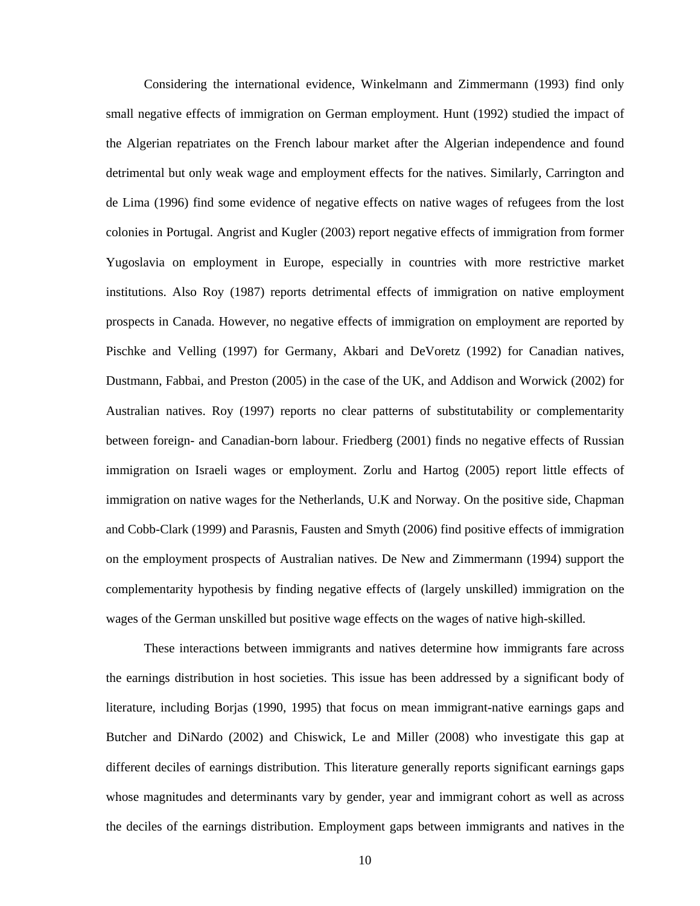Considering the international evidence, Winkelmann and Zimmermann (1993) find only small negative effects of immigration on German employment. Hunt (1992) studied the impact of the Algerian repatriates on the French labour market after the Algerian independence and found detrimental but only weak wage and employment effects for the natives. Similarly, Carrington and de Lima (1996) find some evidence of negative effects on native wages of refugees from the lost colonies in Portugal. Angrist and Kugler (2003) report negative effects of immigration from former Yugoslavia on employment in Europe, especially in countries with more restrictive market institutions. Also Roy (1987) reports detrimental effects of immigration on native employment prospects in Canada. However, no negative effects of immigration on employment are reported by Pischke and Velling (1997) for Germany, Akbari and DeVoretz (1992) for Canadian natives, Dustmann, Fabbai, and Preston (2005) in the case of the UK, and Addison and Worwick (2002) for Australian natives. Roy (1997) reports no clear patterns of substitutability or complementarity between foreign- and Canadian-born labour. Friedberg (2001) finds no negative effects of Russian immigration on Israeli wages or employment. Zorlu and Hartog (2005) report little effects of immigration on native wages for the Netherlands, U.K and Norway. On the positive side, Chapman and Cobb-Clark (1999) and Parasnis, Fausten and Smyth (2006) find positive effects of immigration on the employment prospects of Australian natives. De New and Zimmermann (1994) support the complementarity hypothesis by finding negative effects of (largely unskilled) immigration on the wages of the German unskilled but positive wage effects on the wages of native high-skilled.

 These interactions between immigrants and natives determine how immigrants fare across the earnings distribution in host societies. This issue has been addressed by a significant body of literature, including Borjas (1990, 1995) that focus on mean immigrant-native earnings gaps and Butcher and DiNardo (2002) and Chiswick, Le and Miller (2008) who investigate this gap at different deciles of earnings distribution. This literature generally reports significant earnings gaps whose magnitudes and determinants vary by gender, year and immigrant cohort as well as across the deciles of the earnings distribution. Employment gaps between immigrants and natives in the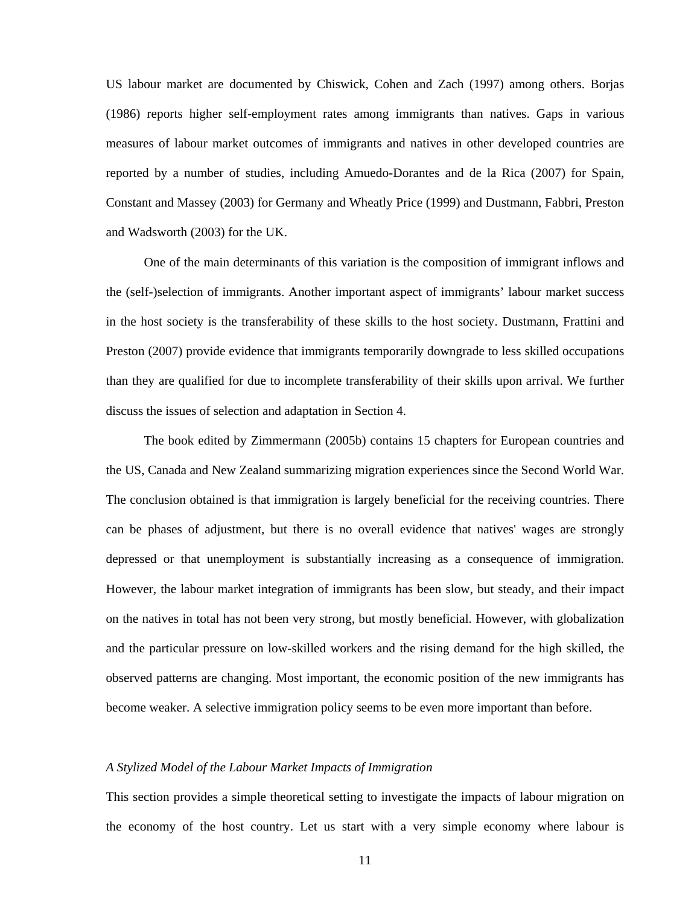US labour market are documented by Chiswick, Cohen and Zach (1997) among others. Borjas (1986) reports higher self-employment rates among immigrants than natives. Gaps in various measures of labour market outcomes of immigrants and natives in other developed countries are reported by a number of studies, including Amuedo-Dorantes and de la Rica (2007) for Spain, Constant and Massey (2003) for Germany and Wheatly Price (1999) and Dustmann, Fabbri, Preston and Wadsworth (2003) for the UK.

 One of the main determinants of this variation is the composition of immigrant inflows and the (self-)selection of immigrants. Another important aspect of immigrants' labour market success in the host society is the transferability of these skills to the host society. Dustmann, Frattini and Preston (2007) provide evidence that immigrants temporarily downgrade to less skilled occupations than they are qualified for due to incomplete transferability of their skills upon arrival. We further discuss the issues of selection and adaptation in Section 4.

The book edited by Zimmermann (2005b) contains 15 chapters for European countries and the US, Canada and New Zealand summarizing migration experiences since the Second World War. The conclusion obtained is that immigration is largely beneficial for the receiving countries. There can be phases of adjustment, but there is no overall evidence that natives' wages are strongly depressed or that unemployment is substantially increasing as a consequence of immigration. However, the labour market integration of immigrants has been slow, but steady, and their impact on the natives in total has not been very strong, but mostly beneficial. However, with globalization and the particular pressure on low-skilled workers and the rising demand for the high skilled, the observed patterns are changing. Most important, the economic position of the new immigrants has become weaker. A selective immigration policy seems to be even more important than before.

### *A Stylized Model of the Labour Market Impacts of Immigration*

This section provides a simple theoretical setting to investigate the impacts of labour migration on the economy of the host country. Let us start with a very simple economy where labour is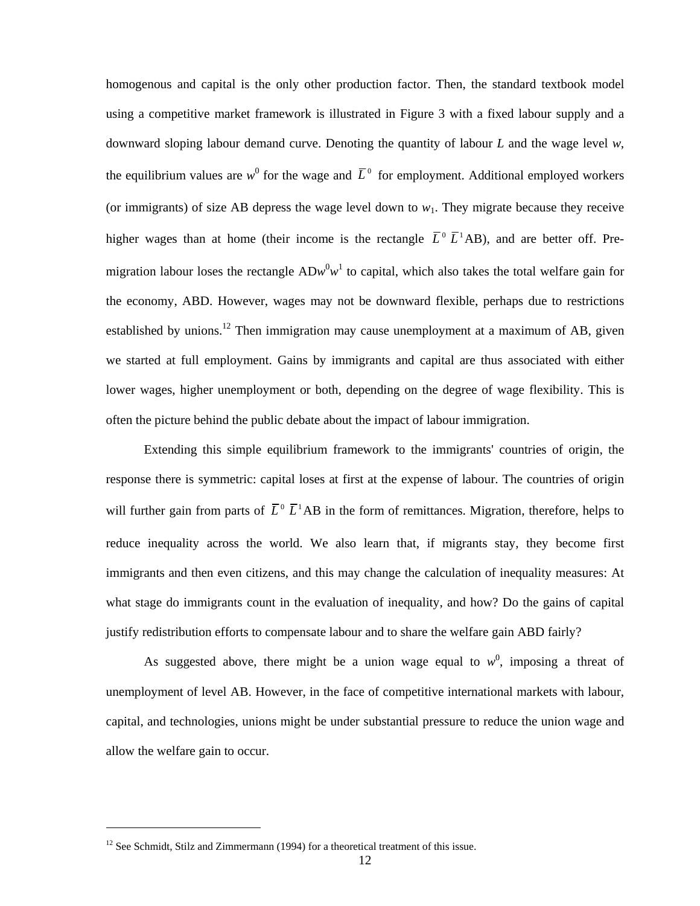homogenous and capital is the only other production factor. Then, the standard textbook model using a competitive market framework is illustrated in Figure 3 with a fixed labour supply and a downward sloping labour demand curve. Denoting the quantity of labour *L* and the wage level *w*, the equilibrium values are  $w^0$  for the wage and  $\overline{L}^0$  for employment. Additional employed workers (or immigrants) of size AB depress the wage level down to  $w_1$ . They migrate because they receive higher wages than at home (their income is the rectangle  $\overline{L}^0$   $\overline{L}^1$ AB), and are better off. Premigration labour loses the rectangle  $ADw^0w^1$  to capital, which also takes the total welfare gain for the economy, ABD. However, wages may not be downward flexible, perhaps due to restrictions established by unions.<sup>12</sup> Then immigration may cause unemployment at a maximum of AB, given we started at full employment. Gains by immigrants and capital are thus associated with either lower wages, higher unemployment or both, depending on the degree of wage flexibility. This is often the picture behind the public debate about the impact of labour immigration.

 Extending this simple equilibrium framework to the immigrants' countries of origin, the response there is symmetric: capital loses at first at the expense of labour. The countries of origin will further gain from parts of  $\overline{L}^0$   $\overline{L}^1$  AB in the form of remittances. Migration, therefore, helps to reduce inequality across the world. We also learn that, if migrants stay, they become first immigrants and then even citizens, and this may change the calculation of inequality measures: At what stage do immigrants count in the evaluation of inequality, and how? Do the gains of capital justify redistribution efforts to compensate labour and to share the welfare gain ABD fairly?

As suggested above, there might be a union wage equal to  $w<sup>0</sup>$ , imposing a threat of unemployment of level AB. However, in the face of competitive international markets with labour, capital, and technologies, unions might be under substantial pressure to reduce the union wage and allow the welfare gain to occur.

l

 $12$  See Schmidt, Stilz and Zimmermann (1994) for a theoretical treatment of this issue.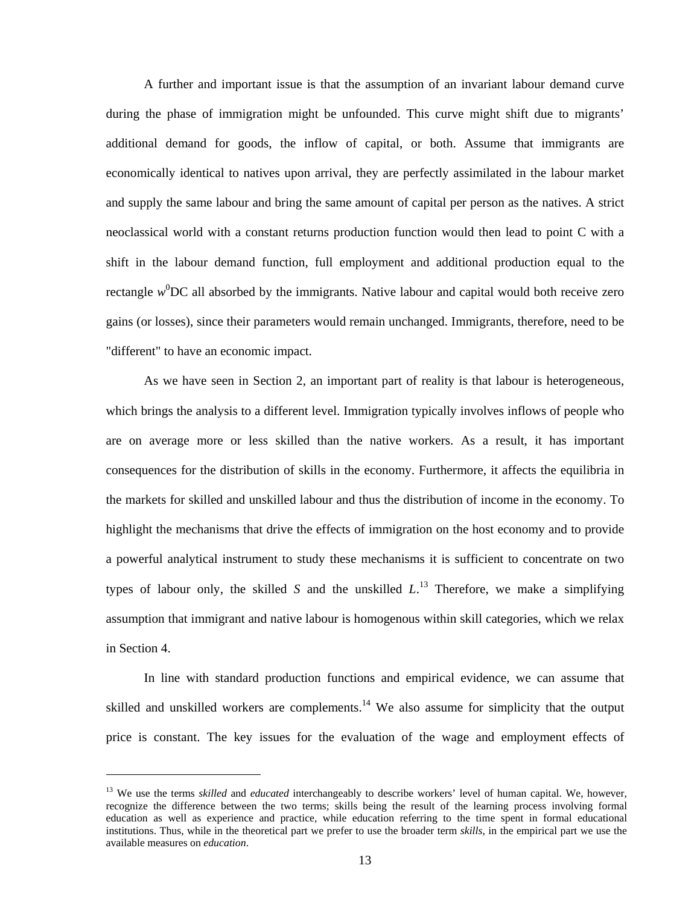A further and important issue is that the assumption of an invariant labour demand curve during the phase of immigration might be unfounded. This curve might shift due to migrants' additional demand for goods, the inflow of capital, or both. Assume that immigrants are economically identical to natives upon arrival, they are perfectly assimilated in the labour market and supply the same labour and bring the same amount of capital per person as the natives. A strict neoclassical world with a constant returns production function would then lead to point C with a shift in the labour demand function, full employment and additional production equal to the rectangle w<sup>0</sup>DC all absorbed by the immigrants. Native labour and capital would both receive zero gains (or losses), since their parameters would remain unchanged. Immigrants, therefore, need to be "different" to have an economic impact.

 As we have seen in Section 2, an important part of reality is that labour is heterogeneous, which brings the analysis to a different level. Immigration typically involves inflows of people who are on average more or less skilled than the native workers. As a result, it has important consequences for the distribution of skills in the economy. Furthermore, it affects the equilibria in the markets for skilled and unskilled labour and thus the distribution of income in the economy. To highlight the mechanisms that drive the effects of immigration on the host economy and to provide a powerful analytical instrument to study these mechanisms it is sufficient to concentrate on two types of labour only, the skilled *S* and the unskilled  $L^{13}$ . Therefore, we make a simplifying assumption that immigrant and native labour is homogenous within skill categories, which we relax in Section 4.

 In line with standard production functions and empirical evidence, we can assume that skilled and unskilled workers are complements.<sup>14</sup> We also assume for simplicity that the output price is constant. The key issues for the evaluation of the wage and employment effects of

 $\overline{a}$ 

<sup>&</sup>lt;sup>13</sup> We use the terms *skilled* and *educated* interchangeably to describe workers' level of human capital. We, however, recognize the difference between the two terms; skills being the result of the learning process involving formal education as well as experience and practice, while education referring to the time spent in formal educational institutions. Thus, while in the theoretical part we prefer to use the broader term *skills*, in the empirical part we use the available measures on *education*.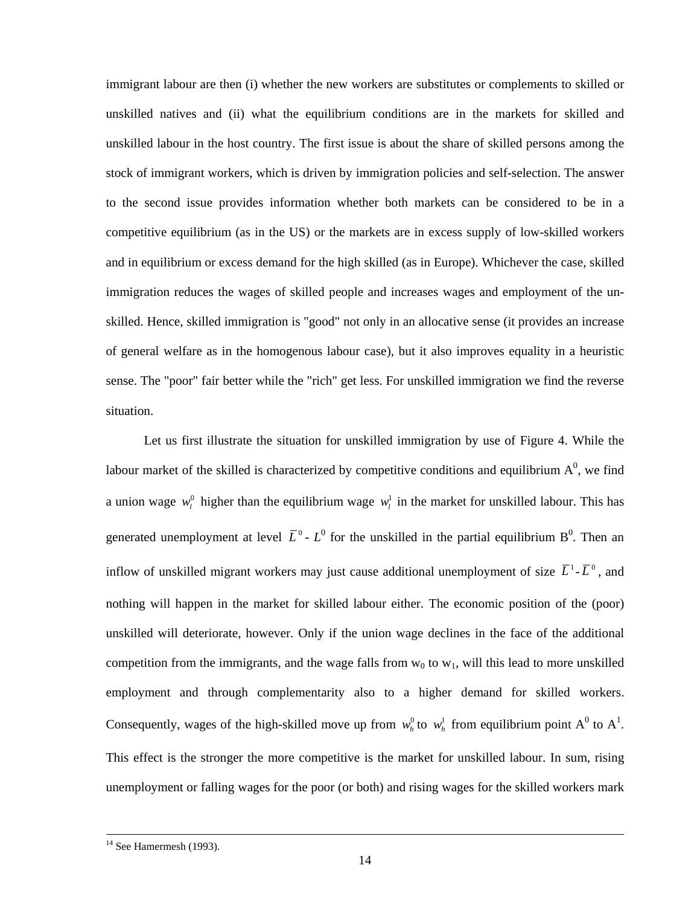immigrant labour are then (i) whether the new workers are substitutes or complements to skilled or unskilled natives and (ii) what the equilibrium conditions are in the markets for skilled and unskilled labour in the host country. The first issue is about the share of skilled persons among the stock of immigrant workers, which is driven by immigration policies and self-selection. The answer to the second issue provides information whether both markets can be considered to be in a competitive equilibrium (as in the US) or the markets are in excess supply of low-skilled workers and in equilibrium or excess demand for the high skilled (as in Europe). Whichever the case, skilled immigration reduces the wages of skilled people and increases wages and employment of the unskilled. Hence, skilled immigration is "good" not only in an allocative sense (it provides an increase of general welfare as in the homogenous labour case), but it also improves equality in a heuristic sense. The "poor" fair better while the "rich" get less. For unskilled immigration we find the reverse situation.

 Let us first illustrate the situation for unskilled immigration by use of Figure 4. While the labour market of the skilled is characterized by competitive conditions and equilibrium  $A^0$ , we find a union wage  $w_l^0$  higher than the equilibrium wage  $w_l^1$  in the market for unskilled labour. This has generated unemployment at level  $\overline{L}^0$  -  $L^0$  for the unskilled in the partial equilibrium  $B^0$ . Then an inflow of unskilled migrant workers may just cause additional unemployment of size  $\overline{L}^1$ - $\overline{L}^0$ , and nothing will happen in the market for skilled labour either. The economic position of the (poor) unskilled will deteriorate, however. Only if the union wage declines in the face of the additional competition from the immigrants, and the wage falls from  $w_0$  to  $w_1$ , will this lead to more unskilled employment and through complementarity also to a higher demand for skilled workers. Consequently, wages of the high-skilled move up from  $w_h^0$  to  $w_h^1$  from equilibrium point  $A^0$  to  $A^1$ . This effect is the stronger the more competitive is the market for unskilled labour. In sum, rising unemployment or falling wages for the poor (or both) and rising wages for the skilled workers mark

<sup>&</sup>lt;sup>14</sup> See Hamermesh (1993).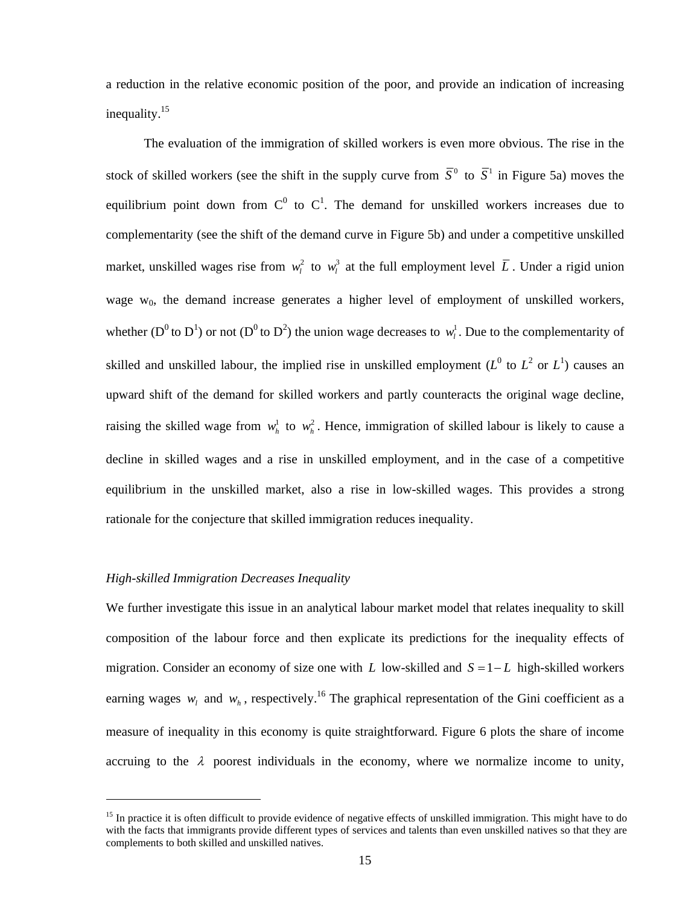a reduction in the relative economic position of the poor, and provide an indication of increasing inequality.15

 The evaluation of the immigration of skilled workers is even more obvious. The rise in the stock of skilled workers (see the shift in the supply curve from  $\overline{S}^0$  to  $\overline{S}^1$  in Figure 5a) moves the equilibrium point down from  $C^0$  to  $C^1$ . The demand for unskilled workers increases due to complementarity (see the shift of the demand curve in Figure 5b) and under a competitive unskilled market, unskilled wages rise from  $w_i^2$  to  $w_i^3$  at the full employment level  $\overline{L}$ . Under a rigid union wage  $w_0$ , the demand increase generates a higher level of employment of unskilled workers, whether ( $D^0$  to  $D^1$ ) or not ( $D^0$  to  $D^2$ ) the union wage decreases to  $w_t^1$ . Due to the complementarity of skilled and unskilled labour, the implied rise in unskilled employment  $(L^0$  to  $L^2$  or  $L^1$ ) causes an upward shift of the demand for skilled workers and partly counteracts the original wage decline, raising the skilled wage from  $w_h^1$  to  $w_h^2$ . Hence, immigration of skilled labour is likely to cause a decline in skilled wages and a rise in unskilled employment, and in the case of a competitive equilibrium in the unskilled market, also a rise in low-skilled wages. This provides a strong rationale for the conjecture that skilled immigration reduces inequality.

### *High-skilled Immigration Decreases Inequality*

 $\overline{a}$ 

We further investigate this issue in an analytical labour market model that relates inequality to skill composition of the labour force and then explicate its predictions for the inequality effects of migration. Consider an economy of size one with *L* low-skilled and *S* = 1− *L* high-skilled workers earning wages  $w_i$  and  $w_i$ , respectively.<sup>16</sup> The graphical representation of the Gini coefficient as a measure of inequality in this economy is quite straightforward. Figure 6 plots the share of income accruing to the  $\lambda$  poorest individuals in the economy, where we normalize income to unity,

<sup>&</sup>lt;sup>15</sup> In practice it is often difficult to provide evidence of negative effects of unskilled immigration. This might have to do with the facts that immigrants provide different types of services and talents than even unskilled natives so that they are complements to both skilled and unskilled natives.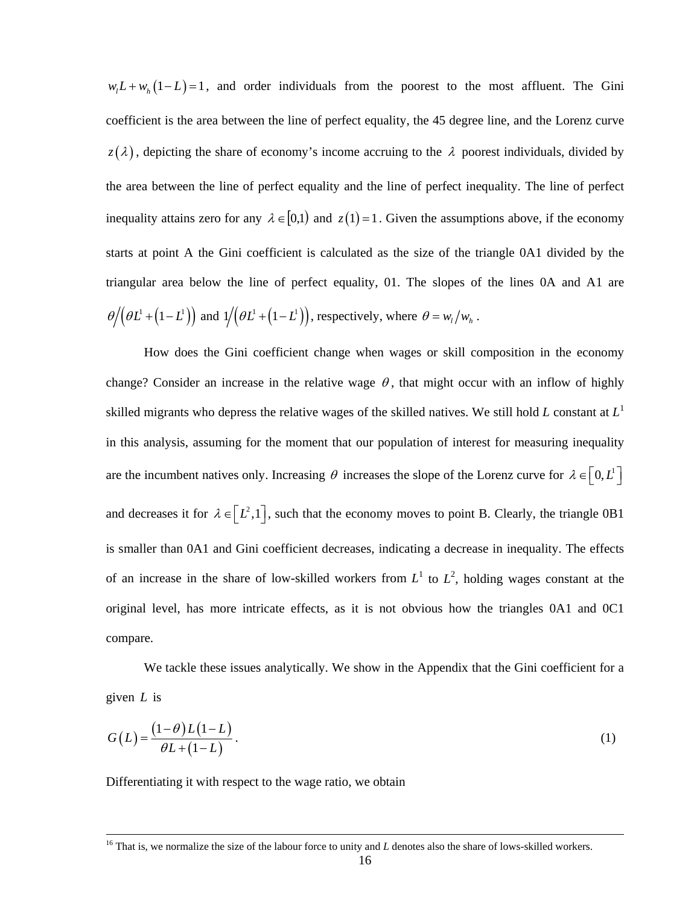$w_l L + w_h (1 - L) = 1$ , and order individuals from the poorest to the most affluent. The Gini coefficient is the area between the line of perfect equality, the 45 degree line, and the Lorenz curve  $z(\lambda)$ , depicting the share of economy's income accruing to the  $\lambda$  poorest individuals, divided by the area between the line of perfect equality and the line of perfect inequality. The line of perfect inequality attains zero for any  $\lambda \in [0,1)$  and  $z(1) = 1$ . Given the assumptions above, if the economy starts at point A the Gini coefficient is calculated as the size of the triangle 0A1 divided by the triangular area below the line of perfect equality, 01. The slopes of the lines 0A and A1 are  $\theta/(\theta L^1 + (1 - L^1))$  and  $1/(\theta L^1 + (1 - L^1))$ , respectively, where  $\theta = w_l/w_h$ .

 How does the Gini coefficient change when wages or skill composition in the economy change? Consider an increase in the relative wage  $\theta$ , that might occur with an inflow of highly skilled migrants who depress the relative wages of the skilled natives. We still hold *L* constant at *L*<sup>1</sup> in this analysis, assuming for the moment that our population of interest for measuring inequality are the incumbent natives only. Increasing  $\theta$  increases the slope of the Lorenz curve for  $\lambda \in [0, L^1]$ and decreases it for  $\lambda \in [L^2,1]$ , such that the economy moves to point B. Clearly, the triangle 0B1 is smaller than 0A1 and Gini coefficient decreases, indicating a decrease in inequality. The effects of an increase in the share of low-skilled workers from  $L^1$  to  $L^2$ , holding wages constant at the original level, has more intricate effects, as it is not obvious how the triangles 0A1 and 0C1 compare.

 We tackle these issues analytically. We show in the Appendix that the Gini coefficient for a given *L* is

$$
G(L) = \frac{(1-\theta)L(1-L)}{\theta L + (1-L)}.
$$
\n<sup>(1)</sup>

Differentiating it with respect to the wage ratio, we obtain

<sup>&</sup>lt;sup>16</sup> That is, we normalize the size of the labour force to unity and *L* denotes also the share of lows-skilled workers.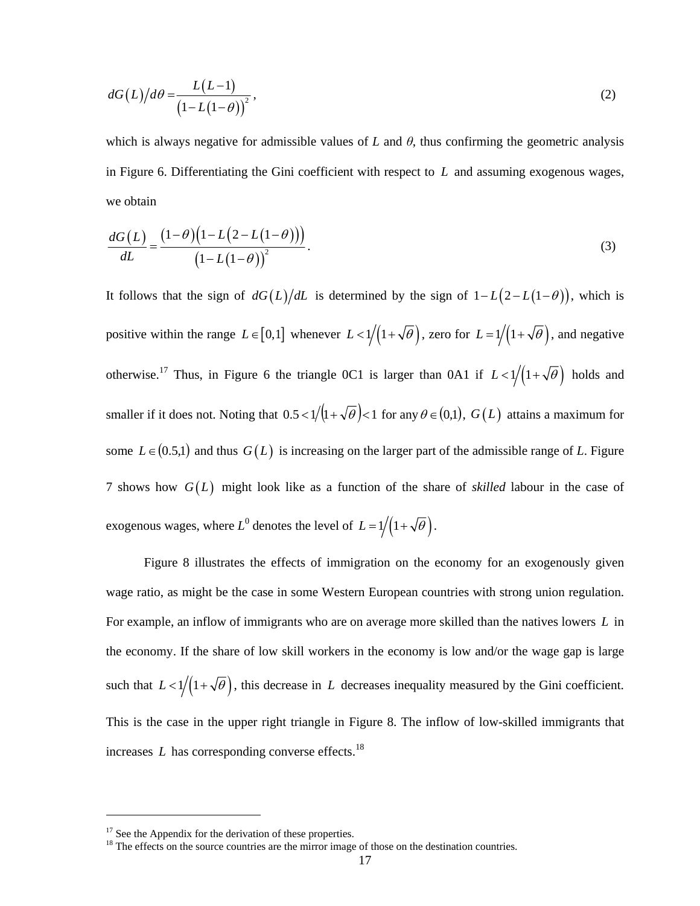$$
dG(L)/d\theta = \frac{L(L-1)}{\left(1 - L(1-\theta)\right)^2},\tag{2}
$$

which is always negative for admissible values of *L* and  $\theta$ , thus confirming the geometric analysis in Figure 6. Differentiating the Gini coefficient with respect to *L* and assuming exogenous wages, we obtain

$$
\frac{dG(L)}{dL} = \frac{(1-\theta)\big(1-L(2-L(1-\theta))\big)}{\big(1-L(1-\theta)\big)^2}.
$$
\n(3)

It follows that the sign of  $dG(L)/dL$  is determined by the sign of  $1-L(2-L(1-\theta))$ , which is positive within the range  $L \in [0,1]$  whenever  $L < 1/(1+\sqrt{\theta})$ , zero for  $L = 1/(1+\sqrt{\theta})$ , and negative otherwise.<sup>17</sup> Thus, in Figure 6 the triangle OC1 is larger than 0A1 if  $L < 1/(1+\sqrt{\theta})$  holds and smaller if it does not. Noting that  $0.5 < 1/(1+\sqrt{\theta}) < 1$  for any  $\theta \in (0,1)$ ,  $G(L)$  attains a maximum for some  $L \in (0.5,1)$  and thus  $G(L)$  is increasing on the larger part of the admissible range of *L*. Figure 7 shows how  $G(L)$  might look like as a function of the share of *skilled* labour in the case of exogenous wages, where  $L^0$  denotes the level of  $L = 1/(1+\sqrt{\theta})$ .

 Figure 8 illustrates the effects of immigration on the economy for an exogenously given wage ratio, as might be the case in some Western European countries with strong union regulation. For example, an inflow of immigrants who are on average more skilled than the natives lowers *L* in the economy. If the share of low skill workers in the economy is low and/or the wage gap is large such that  $L < 1/(1+\sqrt{\theta})$ , this decrease in *L* decreases inequality measured by the Gini coefficient. This is the case in the upper right triangle in Figure 8. The inflow of low-skilled immigrants that increases  $L$  has corresponding converse effects.<sup>18</sup>

l

 $17$  See the Appendix for the derivation of these properties.

<sup>&</sup>lt;sup>18</sup> The effects on the source countries are the mirror image of those on the destination countries.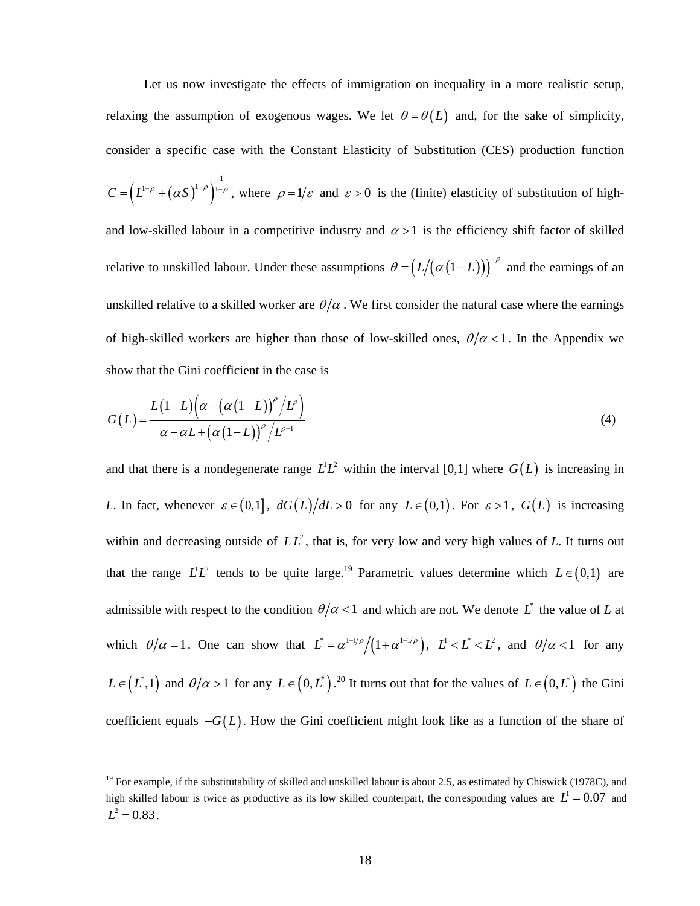Let us now investigate the effects of immigration on inequality in a more realistic setup, relaxing the assumption of exogenous wages. We let  $\theta = \theta(L)$  and, for the sake of simplicity, consider a specific case with the Constant Elasticity of Substitution (CES) production function  $C = (L^{1-\rho} + (\alpha S)^{1-\rho})^{\frac{1}{1-\rho}}$ , where  $\rho = 1/\varepsilon$  and  $\varepsilon > 0$  is the (finite) elasticity of substitution of highand low-skilled labour in a competitive industry and  $\alpha > 1$  is the efficiency shift factor of skilled relative to unskilled labour. Under these assumptions  $\theta = (L/(\alpha(1-L)))^{-\rho}$  and the earnings of an unskilled relative to a skilled worker are  $\theta/\alpha$ . We first consider the natural case where the earnings of high-skilled workers are higher than those of low-skilled ones,  $\theta/\alpha < 1$ . In the Appendix we show that the Gini coefficient in the case is

$$
G(L) = \frac{L(1-L)\left(\alpha - \left(\alpha(1-L)\right)^{\rho}/L^{\rho}\right)}{\alpha - \alpha L + \left(\alpha(1-L)\right)^{\rho}/L^{\rho-1}}
$$
\n(4)

and that there is a nondegenerate range  $L^1 L^2$  within the interval [0,1] where  $G(L)$  is increasing in *L*. In fact, whenever  $\varepsilon \in (0,1]$ ,  $dG(L)/dL > 0$  for any  $L \in (0,1)$ . For  $\varepsilon > 1$ ,  $G(L)$  is increasing within and decreasing outside of  $L^1 L^2$ , that is, for very low and very high values of *L*. It turns out that the range  $L^1 L^2$  tends to be quite large.<sup>19</sup> Parametric values determine which  $L \in (0,1)$  are admissible with respect to the condition  $\theta/\alpha < 1$  and which are not. We denote  $L^*$  the value of L at which  $\theta/\alpha = 1$ . One can show that  $\int_{-\infty}^{x} \int_{-\infty}^{1} (1 + \alpha^{1-1/\rho})^2 dx$ ,  $\int_{-\infty}^{1} \int_{-\infty}^{x} dx$ , and  $\theta/\alpha < 1$  for any  $L \in (L^*,1)$  and  $\theta/\alpha > 1$  for any  $L \in (0,L^*)$ .<sup>20</sup> It turns out that for the values of  $L \in (0,L^*)$  the Gini coefficient equals  $-G(L)$ . How the Gini coefficient might look like as a function of the share of

l

 $19$  For example, if the substitutability of skilled and unskilled labour is about 2.5, as estimated by Chiswick (1978C), and high skilled labour is twice as productive as its low skilled counterpart, the corresponding values are  $L^1 = 0.07$  and  $L^2 = 0.83$ .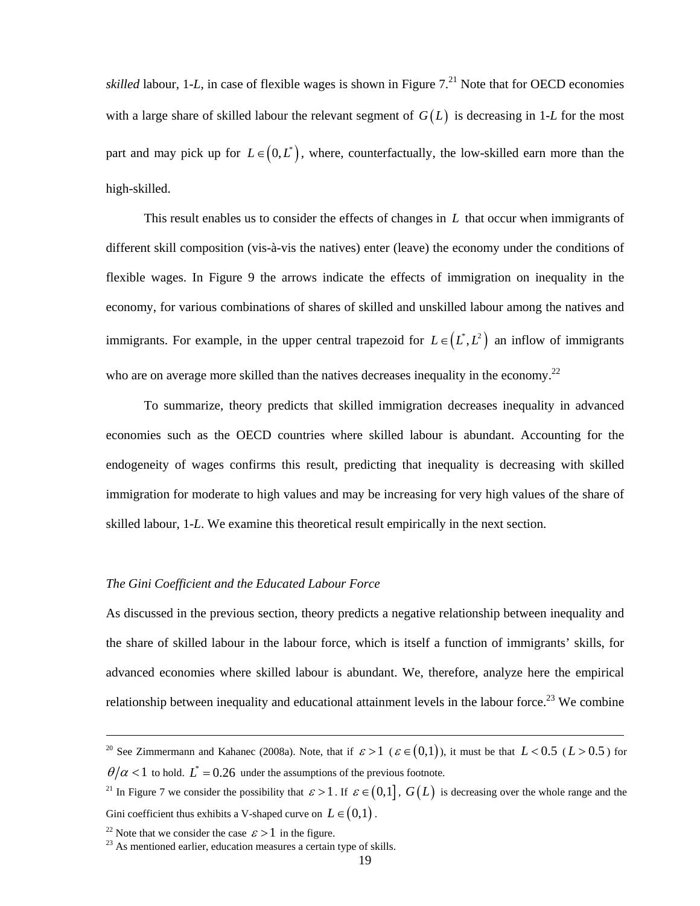*skilled* labour, 1-*L*, in case of flexible wages is shown in Figure  $7<sup>21</sup>$  Note that for OECD economies with a large share of skilled labour the relevant segment of  $G(L)$  is decreasing in 1-*L* for the most part and may pick up for  $L \in (0, L^*)$ , where, counterfactually, the low-skilled earn more than the high-skilled.

 This result enables us to consider the effects of changes in *L* that occur when immigrants of different skill composition (vis-à-vis the natives) enter (leave) the economy under the conditions of flexible wages. In Figure 9 the arrows indicate the effects of immigration on inequality in the economy, for various combinations of shares of skilled and unskilled labour among the natives and immigrants. For example, in the upper central trapezoid for  $L \in ( L^*, L^2 )$  an inflow of immigrants who are on average more skilled than the natives decreases inequality in the economy.<sup>22</sup>

 To summarize, theory predicts that skilled immigration decreases inequality in advanced economies such as the OECD countries where skilled labour is abundant. Accounting for the endogeneity of wages confirms this result, predicting that inequality is decreasing with skilled immigration for moderate to high values and may be increasing for very high values of the share of skilled labour, 1-*L*. We examine this theoretical result empirically in the next section.

### *The Gini Coefficient and the Educated Labour Force*

As discussed in the previous section, theory predicts a negative relationship between inequality and the share of skilled labour in the labour force, which is itself a function of immigrants' skills, for advanced economies where skilled labour is abundant. We, therefore, analyze here the empirical relationship between inequality and educational attainment levels in the labour force.<sup>23</sup> We combine

<sup>&</sup>lt;sup>20</sup> See Zimmermann and Kahanec (2008a). Note, that if  $\varepsilon > 1$  ( $\varepsilon \in (0,1)$ ), it must be that  $L < 0.5$  ( $L > 0.5$ ) for  $\theta/\alpha$  < 1 to hold.  $L^* = 0.26$  under the assumptions of the previous footnote.

<sup>&</sup>lt;sup>21</sup> In Figure 7 we consider the possibility that  $\varepsilon > 1$ . If  $\varepsilon \in (0,1]$ ,  $G(L)$  is decreasing over the whole range and the Gini coefficient thus exhibits a V-shaped curve on  $L \in (0,1)$ .

<sup>&</sup>lt;sup>22</sup> Note that we consider the case  $\varepsilon > 1$  in the figure.<br><sup>23</sup> As mentioned earlier, education measures a certain type of skills.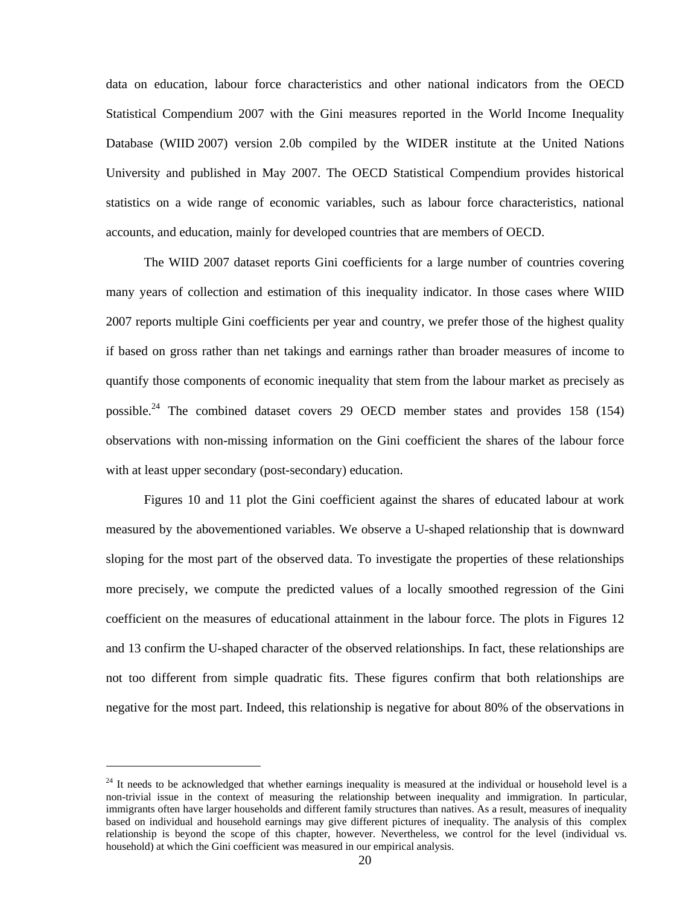data on education, labour force characteristics and other national indicators from the OECD Statistical Compendium 2007 with the Gini measures reported in the World Income Inequality Database (WIID 2007) version 2.0b compiled by the WIDER institute at the United Nations University and published in May 2007. The OECD Statistical Compendium provides historical statistics on a wide range of economic variables, such as labour force characteristics, national accounts, and education, mainly for developed countries that are members of OECD.

 The WIID 2007 dataset reports Gini coefficients for a large number of countries covering many years of collection and estimation of this inequality indicator. In those cases where WIID 2007 reports multiple Gini coefficients per year and country, we prefer those of the highest quality if based on gross rather than net takings and earnings rather than broader measures of income to quantify those components of economic inequality that stem from the labour market as precisely as possible.<sup>24</sup> The combined dataset covers 29 OECD member states and provides 158 (154) observations with non-missing information on the Gini coefficient the shares of the labour force with at least upper secondary (post-secondary) education.

 Figures 10 and 11 plot the Gini coefficient against the shares of educated labour at work measured by the abovementioned variables. We observe a U-shaped relationship that is downward sloping for the most part of the observed data. To investigate the properties of these relationships more precisely, we compute the predicted values of a locally smoothed regression of the Gini coefficient on the measures of educational attainment in the labour force. The plots in Figures 12 and 13 confirm the U-shaped character of the observed relationships. In fact, these relationships are not too different from simple quadratic fits. These figures confirm that both relationships are negative for the most part. Indeed, this relationship is negative for about 80% of the observations in

 $\overline{a}$ 

 $24$  It needs to be acknowledged that whether earnings inequality is measured at the individual or household level is a non-trivial issue in the context of measuring the relationship between inequality and immigration. In particular, immigrants often have larger households and different family structures than natives. As a result, measures of inequality based on individual and household earnings may give different pictures of inequality. The analysis of this complex relationship is beyond the scope of this chapter, however. Nevertheless, we control for the level (individual vs. household) at which the Gini coefficient was measured in our empirical analysis.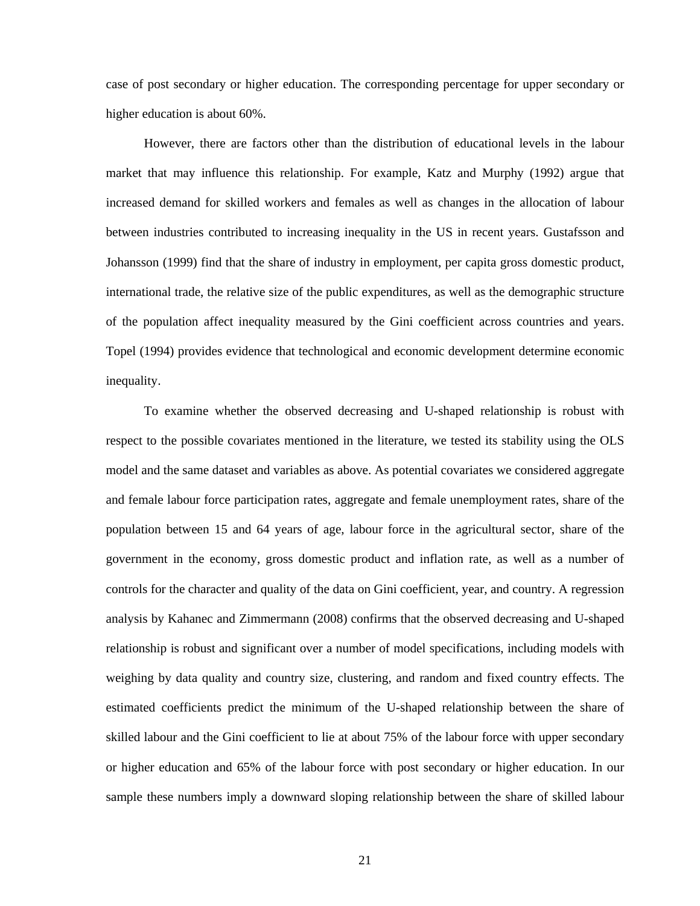case of post secondary or higher education. The corresponding percentage for upper secondary or higher education is about 60%.

 However, there are factors other than the distribution of educational levels in the labour market that may influence this relationship. For example, Katz and Murphy (1992) argue that increased demand for skilled workers and females as well as changes in the allocation of labour between industries contributed to increasing inequality in the US in recent years. Gustafsson and Johansson (1999) find that the share of industry in employment, per capita gross domestic product, international trade, the relative size of the public expenditures, as well as the demographic structure of the population affect inequality measured by the Gini coefficient across countries and years. Topel (1994) provides evidence that technological and economic development determine economic inequality.

 To examine whether the observed decreasing and U-shaped relationship is robust with respect to the possible covariates mentioned in the literature, we tested its stability using the OLS model and the same dataset and variables as above. As potential covariates we considered aggregate and female labour force participation rates, aggregate and female unemployment rates, share of the population between 15 and 64 years of age, labour force in the agricultural sector, share of the government in the economy, gross domestic product and inflation rate, as well as a number of controls for the character and quality of the data on Gini coefficient, year, and country. A regression analysis by Kahanec and Zimmermann (2008) confirms that the observed decreasing and U-shaped relationship is robust and significant over a number of model specifications, including models with weighing by data quality and country size, clustering, and random and fixed country effects. The estimated coefficients predict the minimum of the U-shaped relationship between the share of skilled labour and the Gini coefficient to lie at about 75% of the labour force with upper secondary or higher education and 65% of the labour force with post secondary or higher education. In our sample these numbers imply a downward sloping relationship between the share of skilled labour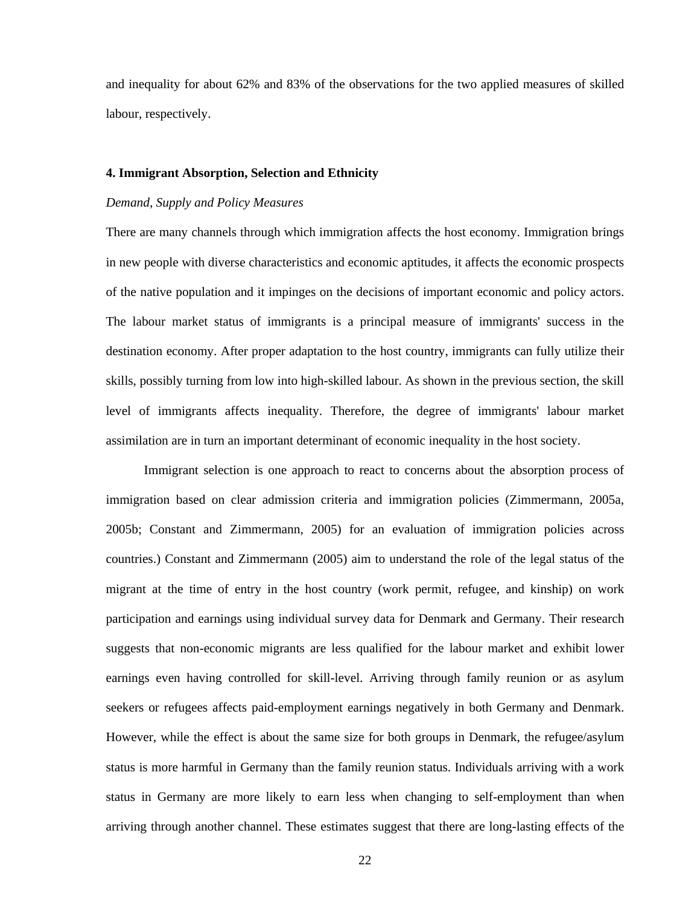and inequality for about 62% and 83% of the observations for the two applied measures of skilled labour, respectively.

### **4. Immigrant Absorption, Selection and Ethnicity**

### *Demand, Supply and Policy Measures*

There are many channels through which immigration affects the host economy. Immigration brings in new people with diverse characteristics and economic aptitudes, it affects the economic prospects of the native population and it impinges on the decisions of important economic and policy actors. The labour market status of immigrants is a principal measure of immigrants' success in the destination economy. After proper adaptation to the host country, immigrants can fully utilize their skills, possibly turning from low into high-skilled labour. As shown in the previous section, the skill level of immigrants affects inequality. Therefore, the degree of immigrants' labour market assimilation are in turn an important determinant of economic inequality in the host society.

 Immigrant selection is one approach to react to concerns about the absorption process of immigration based on clear admission criteria and immigration policies (Zimmermann, 2005a, 2005b; Constant and Zimmermann, 2005) for an evaluation of immigration policies across countries.) Constant and Zimmermann (2005) aim to understand the role of the legal status of the migrant at the time of entry in the host country (work permit, refugee, and kinship) on work participation and earnings using individual survey data for Denmark and Germany. Their research suggests that non-economic migrants are less qualified for the labour market and exhibit lower earnings even having controlled for skill-level. Arriving through family reunion or as asylum seekers or refugees affects paid-employment earnings negatively in both Germany and Denmark. However, while the effect is about the same size for both groups in Denmark, the refugee/asylum status is more harmful in Germany than the family reunion status. Individuals arriving with a work status in Germany are more likely to earn less when changing to self-employment than when arriving through another channel. These estimates suggest that there are long-lasting effects of the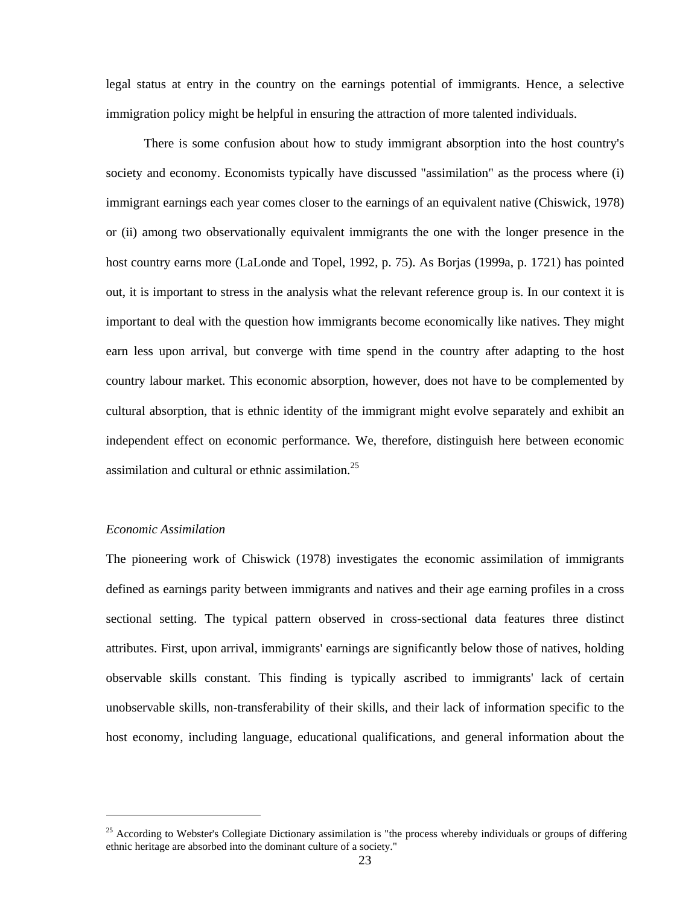legal status at entry in the country on the earnings potential of immigrants. Hence, a selective immigration policy might be helpful in ensuring the attraction of more talented individuals.

 There is some confusion about how to study immigrant absorption into the host country's society and economy. Economists typically have discussed "assimilation" as the process where (i) immigrant earnings each year comes closer to the earnings of an equivalent native (Chiswick, 1978) or (ii) among two observationally equivalent immigrants the one with the longer presence in the host country earns more (LaLonde and Topel, 1992, p. 75). As Borjas (1999a, p. 1721) has pointed out, it is important to stress in the analysis what the relevant reference group is. In our context it is important to deal with the question how immigrants become economically like natives. They might earn less upon arrival, but converge with time spend in the country after adapting to the host country labour market. This economic absorption, however, does not have to be complemented by cultural absorption, that is ethnic identity of the immigrant might evolve separately and exhibit an independent effect on economic performance. We, therefore, distinguish here between economic assimilation and cultural or ethnic assimilation.<sup>25</sup>

### *Economic Assimilation*

l

The pioneering work of Chiswick (1978) investigates the economic assimilation of immigrants defined as earnings parity between immigrants and natives and their age earning profiles in a cross sectional setting. The typical pattern observed in cross-sectional data features three distinct attributes. First, upon arrival, immigrants' earnings are significantly below those of natives, holding observable skills constant. This finding is typically ascribed to immigrants' lack of certain unobservable skills, non-transferability of their skills, and their lack of information specific to the host economy, including language, educational qualifications, and general information about the

<sup>&</sup>lt;sup>25</sup> According to Webster's Collegiate Dictionary assimilation is "the process whereby individuals or groups of differing ethnic heritage are absorbed into the dominant culture of a society."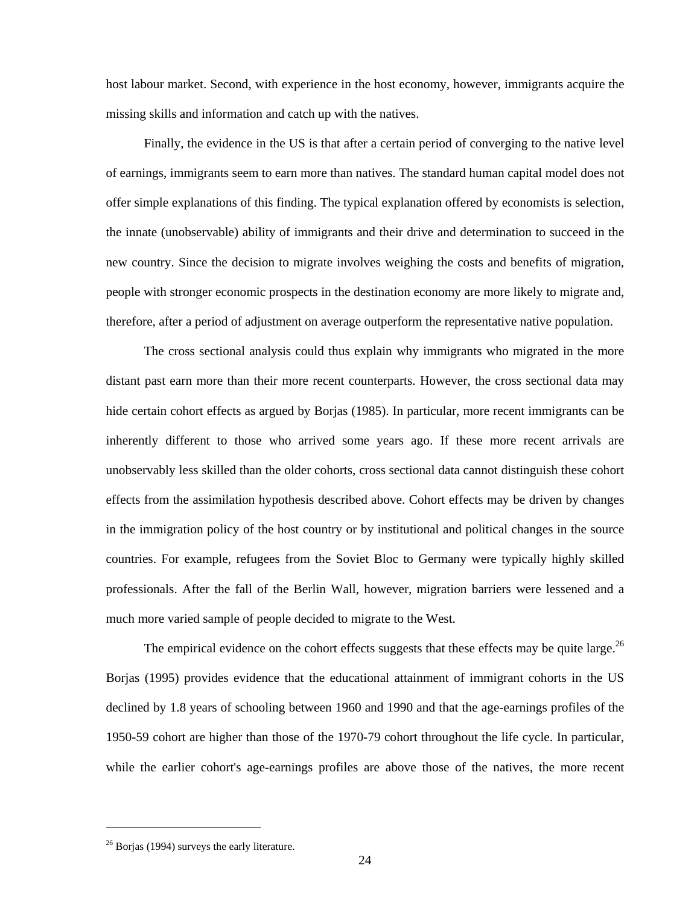host labour market. Second, with experience in the host economy, however, immigrants acquire the missing skills and information and catch up with the natives.

 Finally, the evidence in the US is that after a certain period of converging to the native level of earnings, immigrants seem to earn more than natives. The standard human capital model does not offer simple explanations of this finding. The typical explanation offered by economists is selection, the innate (unobservable) ability of immigrants and their drive and determination to succeed in the new country. Since the decision to migrate involves weighing the costs and benefits of migration, people with stronger economic prospects in the destination economy are more likely to migrate and, therefore, after a period of adjustment on average outperform the representative native population.

 The cross sectional analysis could thus explain why immigrants who migrated in the more distant past earn more than their more recent counterparts. However, the cross sectional data may hide certain cohort effects as argued by Borjas (1985). In particular, more recent immigrants can be inherently different to those who arrived some years ago. If these more recent arrivals are unobservably less skilled than the older cohorts, cross sectional data cannot distinguish these cohort effects from the assimilation hypothesis described above. Cohort effects may be driven by changes in the immigration policy of the host country or by institutional and political changes in the source countries. For example, refugees from the Soviet Bloc to Germany were typically highly skilled professionals. After the fall of the Berlin Wall, however, migration barriers were lessened and a much more varied sample of people decided to migrate to the West.

The empirical evidence on the cohort effects suggests that these effects may be quite large.<sup>26</sup> Borjas (1995) provides evidence that the educational attainment of immigrant cohorts in the US declined by 1.8 years of schooling between 1960 and 1990 and that the age-earnings profiles of the 1950-59 cohort are higher than those of the 1970-79 cohort throughout the life cycle. In particular, while the earlier cohort's age-earnings profiles are above those of the natives, the more recent

l

 $26$  Borjas (1994) surveys the early literature.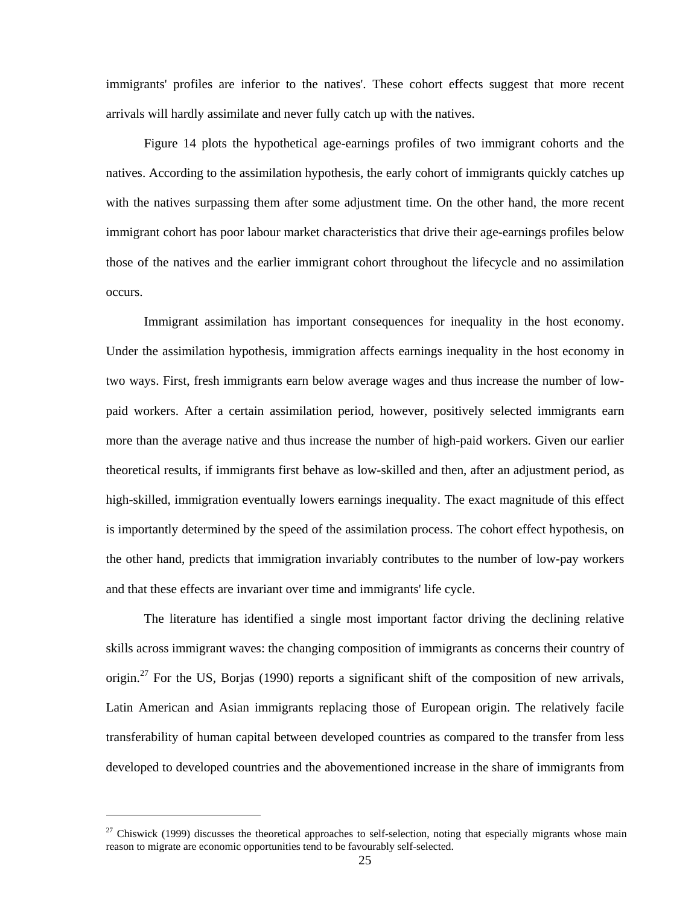immigrants' profiles are inferior to the natives'. These cohort effects suggest that more recent arrivals will hardly assimilate and never fully catch up with the natives.

 Figure 14 plots the hypothetical age-earnings profiles of two immigrant cohorts and the natives. According to the assimilation hypothesis, the early cohort of immigrants quickly catches up with the natives surpassing them after some adjustment time. On the other hand, the more recent immigrant cohort has poor labour market characteristics that drive their age-earnings profiles below those of the natives and the earlier immigrant cohort throughout the lifecycle and no assimilation occurs.

 Immigrant assimilation has important consequences for inequality in the host economy. Under the assimilation hypothesis, immigration affects earnings inequality in the host economy in two ways. First, fresh immigrants earn below average wages and thus increase the number of lowpaid workers. After a certain assimilation period, however, positively selected immigrants earn more than the average native and thus increase the number of high-paid workers. Given our earlier theoretical results, if immigrants first behave as low-skilled and then, after an adjustment period, as high-skilled, immigration eventually lowers earnings inequality. The exact magnitude of this effect is importantly determined by the speed of the assimilation process. The cohort effect hypothesis, on the other hand, predicts that immigration invariably contributes to the number of low-pay workers and that these effects are invariant over time and immigrants' life cycle.

 The literature has identified a single most important factor driving the declining relative skills across immigrant waves: the changing composition of immigrants as concerns their country of origin.<sup>27</sup> For the US, Borjas (1990) reports a significant shift of the composition of new arrivals, Latin American and Asian immigrants replacing those of European origin. The relatively facile transferability of human capital between developed countries as compared to the transfer from less developed to developed countries and the abovementioned increase in the share of immigrants from

l

<sup>&</sup>lt;sup>27</sup> Chiswick (1999) discusses the theoretical approaches to self-selection, noting that especially migrants whose main reason to migrate are economic opportunities tend to be favourably self-selected.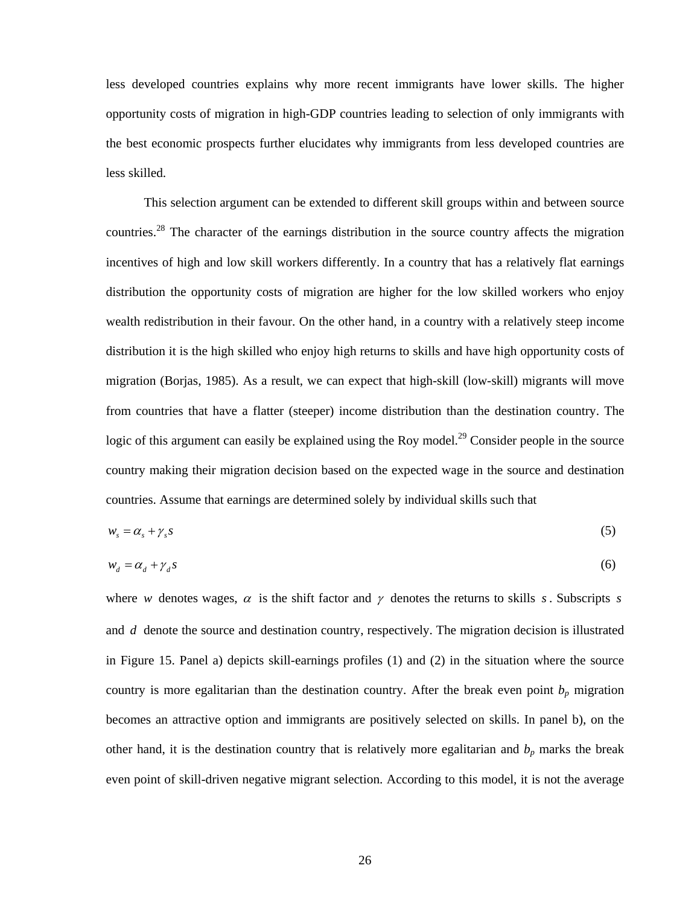less developed countries explains why more recent immigrants have lower skills. The higher opportunity costs of migration in high-GDP countries leading to selection of only immigrants with the best economic prospects further elucidates why immigrants from less developed countries are less skilled.

 This selection argument can be extended to different skill groups within and between source countries.28 The character of the earnings distribution in the source country affects the migration incentives of high and low skill workers differently. In a country that has a relatively flat earnings distribution the opportunity costs of migration are higher for the low skilled workers who enjoy wealth redistribution in their favour. On the other hand, in a country with a relatively steep income distribution it is the high skilled who enjoy high returns to skills and have high opportunity costs of migration (Borjas, 1985). As a result, we can expect that high-skill (low-skill) migrants will move from countries that have a flatter (steeper) income distribution than the destination country. The logic of this argument can easily be explained using the Roy model.<sup>29</sup> Consider people in the source country making their migration decision based on the expected wage in the source and destination countries. Assume that earnings are determined solely by individual skills such that

$$
w_s = \alpha_s + \gamma_s s \tag{5}
$$

$$
w_d = \alpha_d + \gamma_d s \tag{6}
$$

where *w* denotes wages,  $\alpha$  is the shift factor and  $\gamma$  denotes the returns to skills *s*. Subscripts *s* and *d* denote the source and destination country, respectively. The migration decision is illustrated in Figure 15. Panel a) depicts skill-earnings profiles (1) and (2) in the situation where the source country is more egalitarian than the destination country. After the break even point  $b_p$  migration becomes an attractive option and immigrants are positively selected on skills. In panel b), on the other hand, it is the destination country that is relatively more egalitarian and  $b<sub>p</sub>$  marks the break even point of skill-driven negative migrant selection. According to this model, it is not the average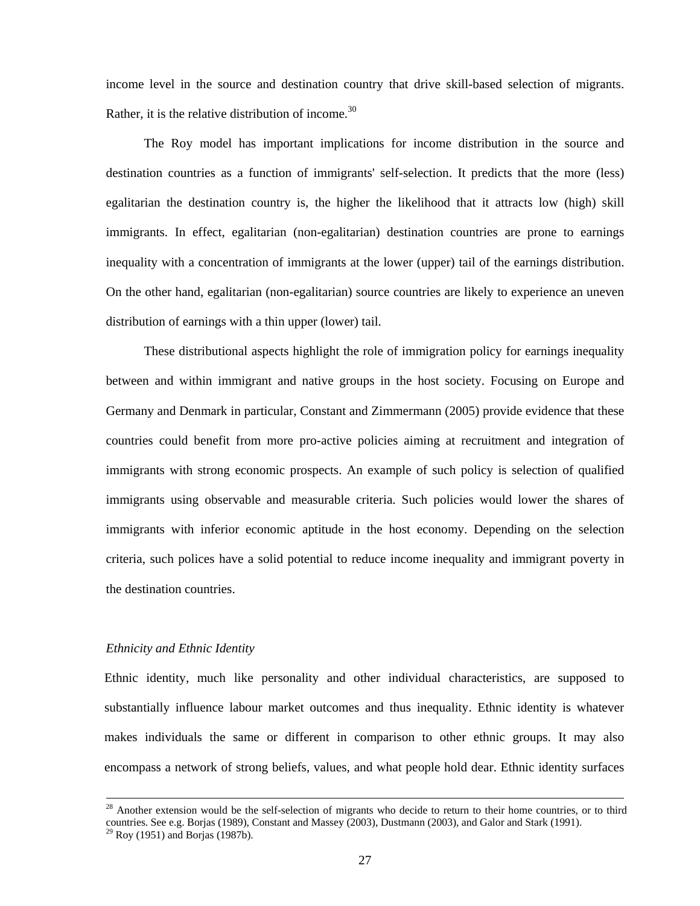income level in the source and destination country that drive skill-based selection of migrants. Rather, it is the relative distribution of income.<sup>30</sup>

 The Roy model has important implications for income distribution in the source and destination countries as a function of immigrants' self-selection. It predicts that the more (less) egalitarian the destination country is, the higher the likelihood that it attracts low (high) skill immigrants. In effect, egalitarian (non-egalitarian) destination countries are prone to earnings inequality with a concentration of immigrants at the lower (upper) tail of the earnings distribution. On the other hand, egalitarian (non-egalitarian) source countries are likely to experience an uneven distribution of earnings with a thin upper (lower) tail.

 These distributional aspects highlight the role of immigration policy for earnings inequality between and within immigrant and native groups in the host society. Focusing on Europe and Germany and Denmark in particular, Constant and Zimmermann (2005) provide evidence that these countries could benefit from more pro-active policies aiming at recruitment and integration of immigrants with strong economic prospects. An example of such policy is selection of qualified immigrants using observable and measurable criteria. Such policies would lower the shares of immigrants with inferior economic aptitude in the host economy. Depending on the selection criteria, such polices have a solid potential to reduce income inequality and immigrant poverty in the destination countries.

### *Ethnicity and Ethnic Identity*

Ethnic identity, much like personality and other individual characteristics, are supposed to substantially influence labour market outcomes and thus inequality. Ethnic identity is whatever makes individuals the same or different in comparison to other ethnic groups. It may also encompass a network of strong beliefs, values, and what people hold dear. Ethnic identity surfaces

<sup>&</sup>lt;sup>28</sup> Another extension would be the self-selection of migrants who decide to return to their home countries, or to third countries. See e.g. Borjas (1989), Constant and Massey (2003), Dustmann (2003), and Galor and Stark (1991). <sup>29</sup> Roy (1951) and Borjas (1987b).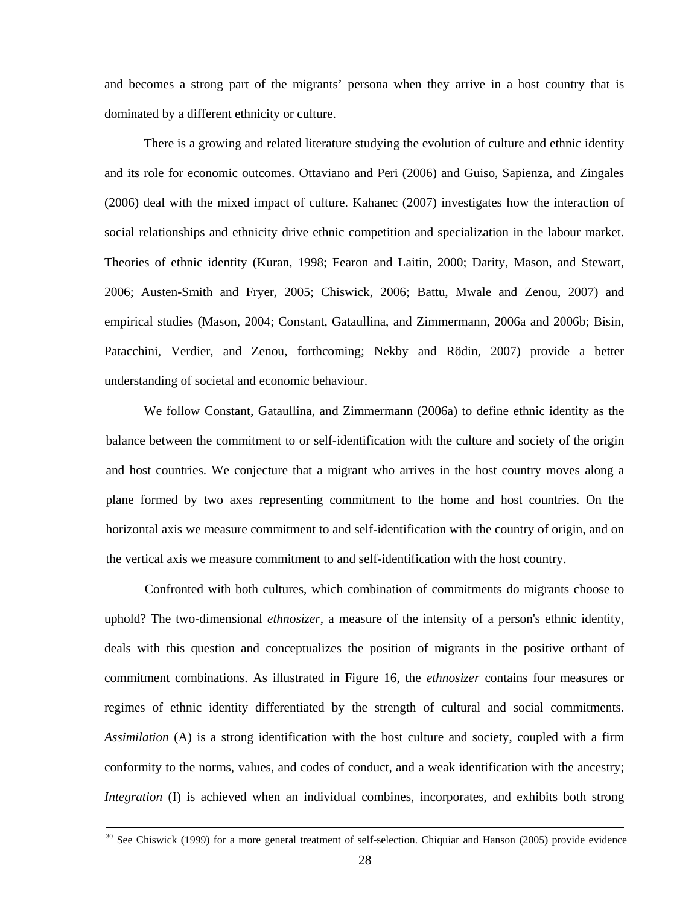and becomes a strong part of the migrants' persona when they arrive in a host country that is dominated by a different ethnicity or culture.

 There is a growing and related literature studying the evolution of culture and ethnic identity and its role for economic outcomes. Ottaviano and Peri (2006) and Guiso, Sapienza, and Zingales (2006) deal with the mixed impact of culture. Kahanec (2007) investigates how the interaction of social relationships and ethnicity drive ethnic competition and specialization in the labour market. Theories of ethnic identity (Kuran, 1998; Fearon and Laitin, 2000; Darity, Mason, and Stewart, 2006; Austen-Smith and Fryer, 2005; Chiswick, 2006; Battu, Mwale and Zenou, 2007) and empirical studies (Mason, 2004; Constant, Gataullina, and Zimmermann, 2006a and 2006b; Bisin, Patacchini, Verdier, and Zenou, forthcoming; Nekby and Rödin, 2007) provide a better understanding of societal and economic behaviour.

We follow Constant, Gataullina, and Zimmermann (2006a) to define ethnic identity as the balance between the commitment to or self-identification with the culture and society of the origin and host countries. We conjecture that a migrant who arrives in the host country moves along a plane formed by two axes representing commitment to the home and host countries. On the horizontal axis we measure commitment to and self-identification with the country of origin, and on the vertical axis we measure commitment to and self-identification with the host country.

Confronted with both cultures, which combination of commitments do migrants choose to uphold? The two-dimensional *ethnosizer*, a measure of the intensity of a person's ethnic identity, deals with this question and conceptualizes the position of migrants in the positive orthant of commitment combinations. As illustrated in Figure 16, the *ethnosizer* contains four measures or regimes of ethnic identity differentiated by the strength of cultural and social commitments. *Assimilation* (A) is a strong identification with the host culture and society, coupled with a firm conformity to the norms, values, and codes of conduct, and a weak identification with the ancestry; *Integration* (I) is achieved when an individual combines, incorporates, and exhibits both strong

 $30$  See Chiswick (1999) for a more general treatment of self-selection. Chiquiar and Hanson (2005) provide evidence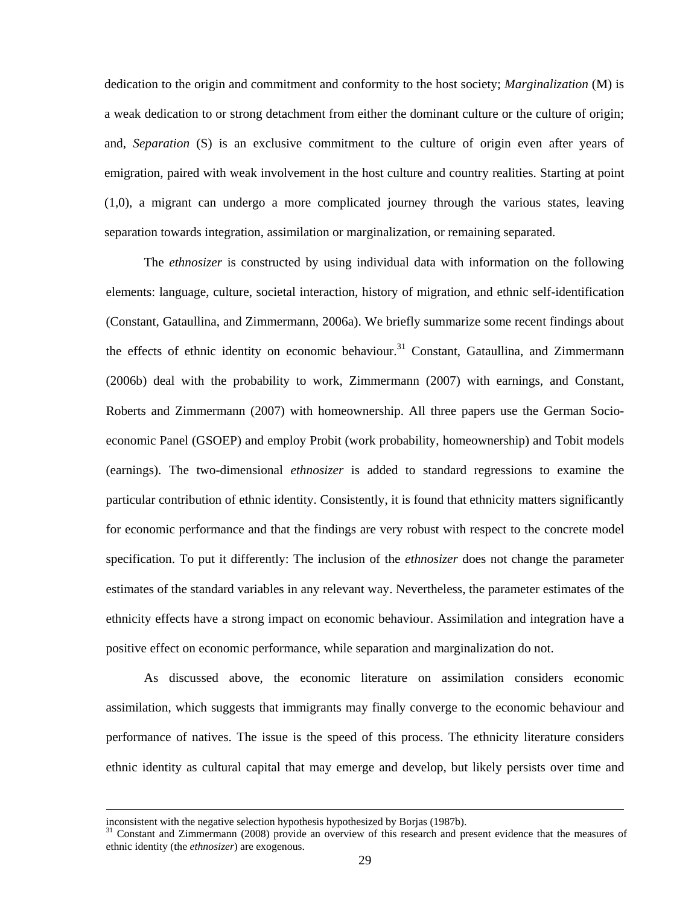dedication to the origin and commitment and conformity to the host society; *Marginalization* (M) is a weak dedication to or strong detachment from either the dominant culture or the culture of origin; and, *Separation* (S) is an exclusive commitment to the culture of origin even after years of emigration, paired with weak involvement in the host culture and country realities. Starting at point (1,0), a migrant can undergo a more complicated journey through the various states, leaving separation towards integration, assimilation or marginalization, or remaining separated.

The *ethnosizer* is constructed by using individual data with information on the following elements: language, culture, societal interaction, history of migration, and ethnic self-identification (Constant, Gataullina, and Zimmermann, 2006a). We briefly summarize some recent findings about the effects of ethnic identity on economic behaviour.<sup>31</sup> Constant, Gataullina, and Zimmermann (2006b) deal with the probability to work, Zimmermann (2007) with earnings, and Constant, Roberts and Zimmermann (2007) with homeownership. All three papers use the German Socioeconomic Panel (GSOEP) and employ Probit (work probability, homeownership) and Tobit models (earnings). The two-dimensional *ethnosizer* is added to standard regressions to examine the particular contribution of ethnic identity. Consistently, it is found that ethnicity matters significantly for economic performance and that the findings are very robust with respect to the concrete model specification. To put it differently: The inclusion of the *ethnosizer* does not change the parameter estimates of the standard variables in any relevant way. Nevertheless, the parameter estimates of the ethnicity effects have a strong impact on economic behaviour. Assimilation and integration have a positive effect on economic performance, while separation and marginalization do not.

As discussed above, the economic literature on assimilation considers economic assimilation, which suggests that immigrants may finally converge to the economic behaviour and performance of natives. The issue is the speed of this process. The ethnicity literature considers ethnic identity as cultural capital that may emerge and develop, but likely persists over time and

inconsistent with the negative selection hypothesis hypothesized by Borjas (1987b).

<sup>&</sup>lt;sup>31</sup> Constant and Zimmermann (2008) provide an overview of this research and present evidence that the measures of ethnic identity (the *ethnosizer*) are exogenous.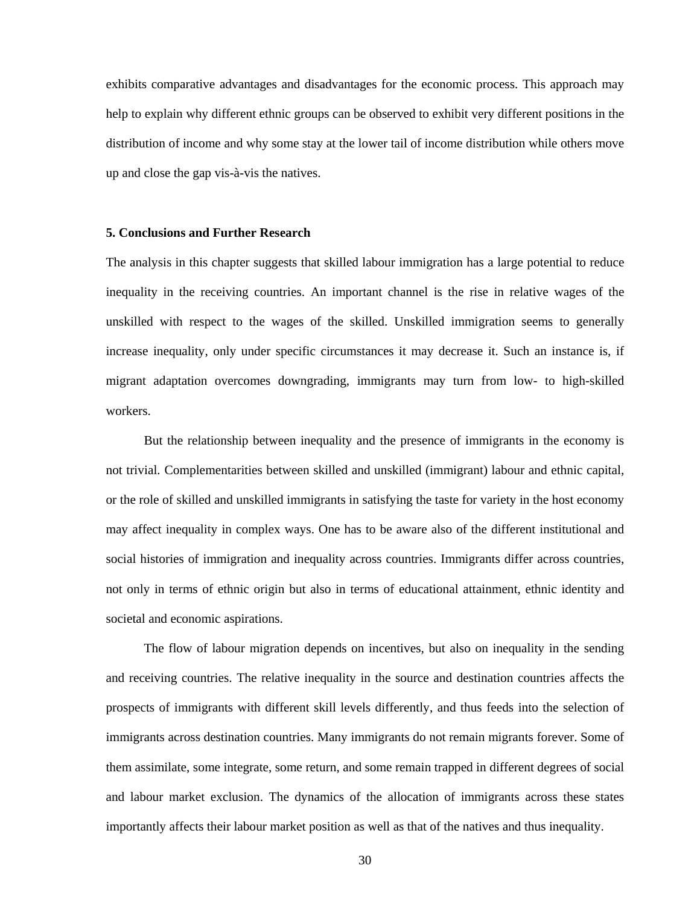exhibits comparative advantages and disadvantages for the economic process. This approach may help to explain why different ethnic groups can be observed to exhibit very different positions in the distribution of income and why some stay at the lower tail of income distribution while others move up and close the gap vis-à-vis the natives.

### **5. Conclusions and Further Research**

The analysis in this chapter suggests that skilled labour immigration has a large potential to reduce inequality in the receiving countries. An important channel is the rise in relative wages of the unskilled with respect to the wages of the skilled. Unskilled immigration seems to generally increase inequality, only under specific circumstances it may decrease it. Such an instance is, if migrant adaptation overcomes downgrading, immigrants may turn from low- to high-skilled workers.

 But the relationship between inequality and the presence of immigrants in the economy is not trivial. Complementarities between skilled and unskilled (immigrant) labour and ethnic capital, or the role of skilled and unskilled immigrants in satisfying the taste for variety in the host economy may affect inequality in complex ways. One has to be aware also of the different institutional and social histories of immigration and inequality across countries. Immigrants differ across countries, not only in terms of ethnic origin but also in terms of educational attainment, ethnic identity and societal and economic aspirations.

 The flow of labour migration depends on incentives, but also on inequality in the sending and receiving countries. The relative inequality in the source and destination countries affects the prospects of immigrants with different skill levels differently, and thus feeds into the selection of immigrants across destination countries. Many immigrants do not remain migrants forever. Some of them assimilate, some integrate, some return, and some remain trapped in different degrees of social and labour market exclusion. The dynamics of the allocation of immigrants across these states importantly affects their labour market position as well as that of the natives and thus inequality.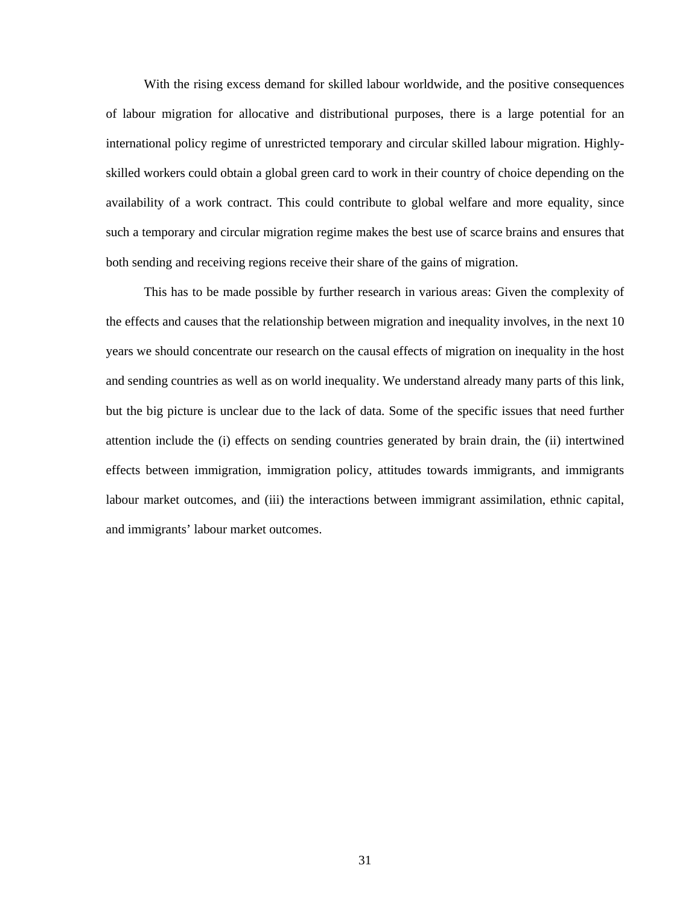With the rising excess demand for skilled labour worldwide, and the positive consequences of labour migration for allocative and distributional purposes, there is a large potential for an international policy regime of unrestricted temporary and circular skilled labour migration. Highlyskilled workers could obtain a global green card to work in their country of choice depending on the availability of a work contract. This could contribute to global welfare and more equality, since such a temporary and circular migration regime makes the best use of scarce brains and ensures that both sending and receiving regions receive their share of the gains of migration.

 This has to be made possible by further research in various areas: Given the complexity of the effects and causes that the relationship between migration and inequality involves, in the next 10 years we should concentrate our research on the causal effects of migration on inequality in the host and sending countries as well as on world inequality. We understand already many parts of this link, but the big picture is unclear due to the lack of data. Some of the specific issues that need further attention include the (i) effects on sending countries generated by brain drain, the (ii) intertwined effects between immigration, immigration policy, attitudes towards immigrants, and immigrants labour market outcomes, and (iii) the interactions between immigrant assimilation, ethnic capital, and immigrants' labour market outcomes.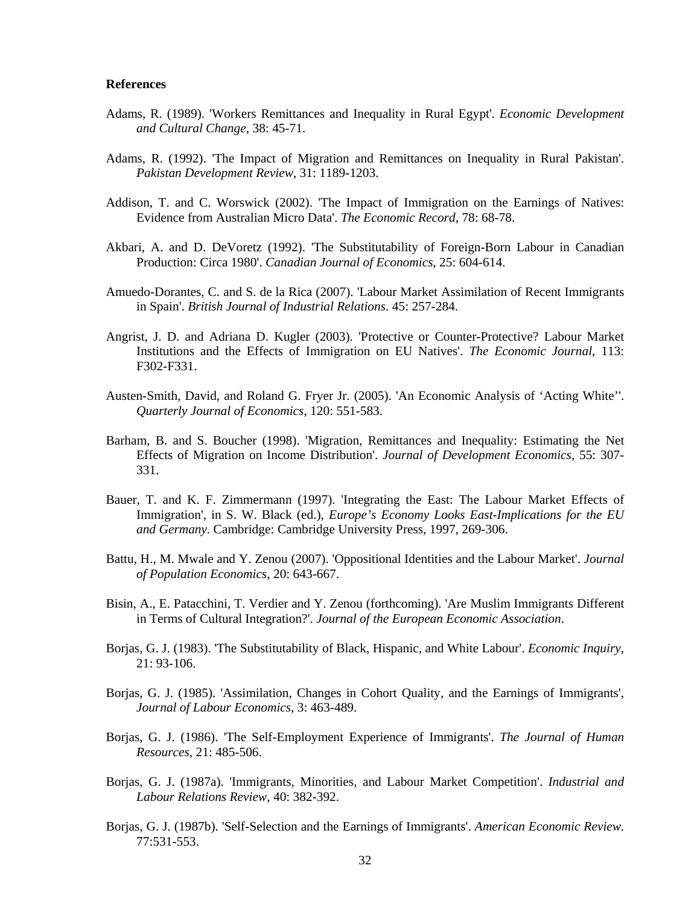### **References**

- Adams, R. (1989). 'Workers Remittances and Inequality in Rural Egypt'. *Economic Development and Cultural Change*, 38: 45-71.
- Adams, R. (1992). 'The Impact of Migration and Remittances on Inequality in Rural Pakistan'. *Pakistan Development Review*, 31: 1189-1203.
- Addison, T. and C. Worswick (2002). 'The Impact of Immigration on the Earnings of Natives: Evidence from Australian Micro Data'. *The Economic Record*, 78: 68-78.
- Akbari, A. and D. DeVoretz (1992). 'The Substitutability of Foreign-Born Labour in Canadian Production: Circa 1980'. *Canadian Journal of Economics*, 25: 604-614.
- Amuedo-Dorantes, C. and S. de la Rica (2007). 'Labour Market Assimilation of Recent Immigrants in Spain'. *British Journal of Industrial Relations*. 45: 257-284.
- Angrist, J. D. and Adriana D. Kugler (2003). 'Protective or Counter-Protective? Labour Market Institutions and the Effects of Immigration on EU Natives'. *The Economic Journal*, 113: F302-F331.
- Austen-Smith, David, and Roland G. Fryer Jr. (2005). 'An Economic Analysis of 'Acting White''. *Quarterly Journal of Economics*, 120: 551-583.
- Barham, B. and S. Boucher (1998). 'Migration, Remittances and Inequality: Estimating the Net Effects of Migration on Income Distribution'. *Journal of Development Economics*, 55: 307- 331.
- Bauer, T. and K. F. Zimmermann (1997). 'Integrating the East: The Labour Market Effects of Immigration', in S. W. Black (ed.), *Europe's Economy Looks East-Implications for the EU and Germany*. Cambridge: Cambridge University Press, 1997, 269-306.
- Battu, H., M. Mwale and Y. Zenou (2007). 'Oppositional Identities and the Labour Market'. *Journal of Population Economics*, 20: 643-667.
- Bisin, A., E. Patacchini, T. Verdier and Y. Zenou (forthcoming). 'Are Muslim Immigrants Different in Terms of Cultural Integration?'. *Journal of the European Economic Association*.
- Borjas, G. J. (1983). 'The Substitutability of Black, Hispanic, and White Labour'. *Economic Inquiry*, 21: 93-106.
- Borjas, G. J. (1985). 'Assimilation, Changes in Cohort Quality, and the Earnings of Immigrants', *Journal of Labour Economics*, 3: 463-489.
- Borjas, G. J. (1986). 'The Self-Employment Experience of Immigrants'. *The Journal of Human Resources*, 21: 485-506.
- Borjas, G. J. (1987a). 'Immigrants, Minorities, and Labour Market Competition'. *Industrial and Labour Relations Review*, 40: 382-392.
- Borjas, G. J. (1987b). 'Self-Selection and the Earnings of Immigrants'. *American Economic Review*. 77:531-553.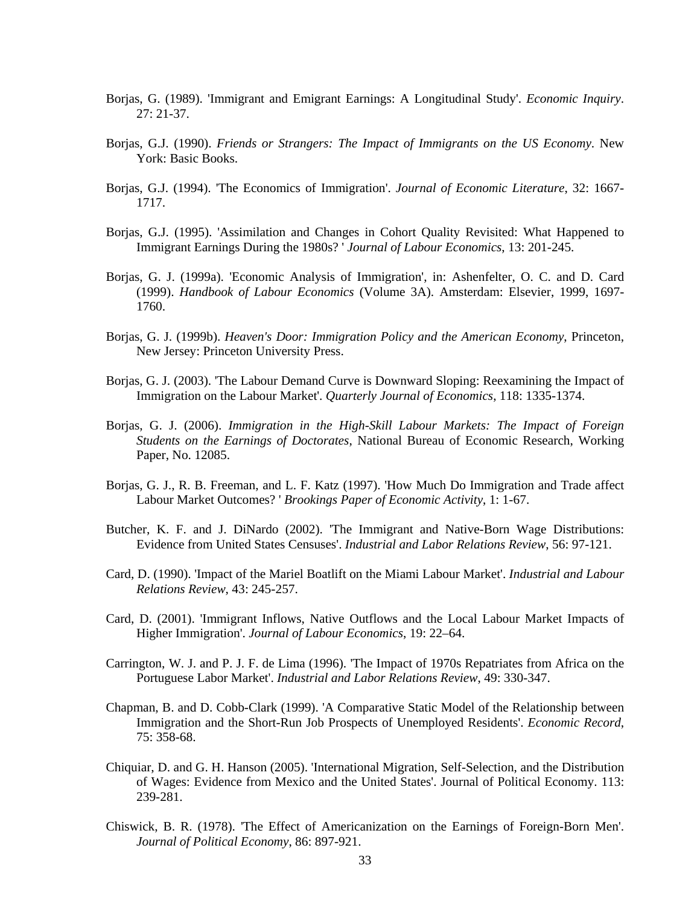- Borjas, G. (1989). 'Immigrant and Emigrant Earnings: A Longitudinal Study'. *Economic Inquiry*. 27: 21-37.
- Borjas, G.J. (1990). *Friends or Strangers: The Impact of Immigrants on the US Economy*. New York: Basic Books.
- Borjas, G.J. (1994). 'The Economics of Immigration'. *Journal of Economic Literature*, 32: 1667- 1717.
- Borjas, G.J. (1995). 'Assimilation and Changes in Cohort Quality Revisited: What Happened to Immigrant Earnings During the 1980s? ' *Journal of Labour Economics*, 13: 201-245.
- Borjas, G. J. (1999a). 'Economic Analysis of Immigration', in: Ashenfelter, O. C. and D. Card (1999). *Handbook of Labour Economics* (Volume 3A). Amsterdam: Elsevier, 1999, 1697- 1760.
- Borjas, G. J. (1999b). *Heaven's Door: Immigration Policy and the American Economy*, Princeton, New Jersey: Princeton University Press.
- Borjas, G. J. (2003). 'The Labour Demand Curve is Downward Sloping: Reexamining the Impact of Immigration on the Labour Market'. *Quarterly Journal of Economics*, 118: 1335-1374.
- Borjas, G. J. (2006). *Immigration in the High-Skill Labour Markets: The Impact of Foreign Students on the Earnings of Doctorates*, National Bureau of Economic Research, Working Paper, No. 12085.
- Borjas, G. J., R. B. Freeman, and L. F. Katz (1997). 'How Much Do Immigration and Trade affect Labour Market Outcomes? ' *Brookings Paper of Economic Activity*, 1: 1-67.
- Butcher, K. F. and J. DiNardo (2002). 'The Immigrant and Native-Born Wage Distributions: Evidence from United States Censuses'. *Industrial and Labor Relations Review*, 56: 97-121.
- Card, D. (1990). 'Impact of the Mariel Boatlift on the Miami Labour Market'. *Industrial and Labour Relations Review*, 43: 245-257.
- Card, D. (2001). 'Immigrant Inflows, Native Outflows and the Local Labour Market Impacts of Higher Immigration'. *Journal of Labour Economics*, 19: 22–64.
- Carrington, W. J. and P. J. F. de Lima (1996). 'The Impact of 1970s Repatriates from Africa on the Portuguese Labor Market'. *Industrial and Labor Relations Review*, 49: 330-347.
- Chapman, B. and D. Cobb-Clark (1999). 'A Comparative Static Model of the Relationship between Immigration and the Short-Run Job Prospects of Unemployed Residents'. *Economic Record*, 75: 358-68.
- Chiquiar, D. and G. H. Hanson (2005). 'International Migration, Self-Selection, and the Distribution of Wages: Evidence from Mexico and the United States'. Journal of Political Economy. 113: 239-281.
- Chiswick, B. R. (1978). 'The Effect of Americanization on the Earnings of Foreign-Born Men'. *Journal of Political Economy*, 86: 897-921.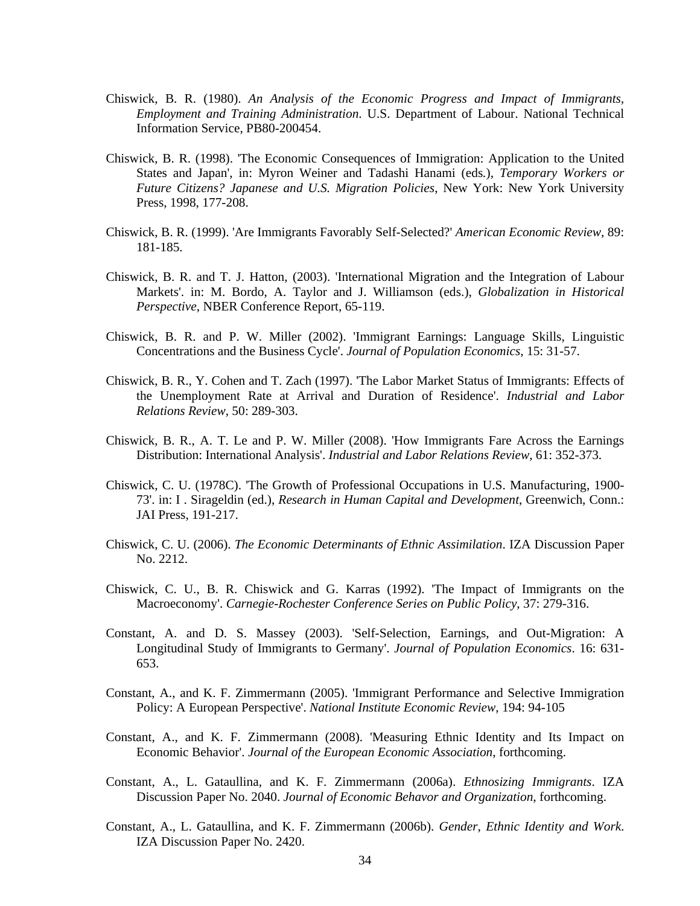- Chiswick, B. R. (1980). *An Analysis of the Economic Progress and Impact of Immigrants, Employment and Training Administration*. U.S. Department of Labour. National Technical Information Service, PB80-200454.
- Chiswick, B. R. (1998). 'The Economic Consequences of Immigration: Application to the United States and Japan', in: Myron Weiner and Tadashi Hanami (eds*.*), *Temporary Workers or Future Citizens? Japanese and U.S. Migration Policies*, New York: New York University Press, 1998, 177-208.
- Chiswick, B. R. (1999). 'Are Immigrants Favorably Self-Selected?' *American Economic Review*, 89: 181-185.
- Chiswick, B. R. and T. J. Hatton, (2003). 'International Migration and the Integration of Labour Markets'. in: M. Bordo, A. Taylor and J. Williamson (eds.), *Globalization in Historical Perspective*, NBER Conference Report, 65-119.
- Chiswick, B. R. and P. W. Miller (2002). 'Immigrant Earnings: Language Skills, Linguistic Concentrations and the Business Cycle'. *Journal of Population Economics*, 15: 31-57.
- Chiswick, B. R., Y. Cohen and T. Zach (1997). 'The Labor Market Status of Immigrants: Effects of the Unemployment Rate at Arrival and Duration of Residence'. *Industrial and Labor Relations Review*, 50: 289-303.
- Chiswick, B. R., A. T. Le and P. W. Miller (2008). 'How Immigrants Fare Across the Earnings Distribution: International Analysis'. *Industrial and Labor Relations Review*, 61: 352-373.
- Chiswick, C. U. (1978C). 'The Growth of Professional Occupations in U.S. Manufacturing, 1900- 73'. in: I . Sirageldin (ed.), *Research in Human Capital and Development*, Greenwich, Conn.: JAI Press, 191-217.
- Chiswick, C. U. (2006). *The Economic Determinants of Ethnic Assimilation*. IZA Discussion Paper No. 2212.
- Chiswick, C. U., B. R. Chiswick and G. Karras (1992). 'The Impact of Immigrants on the Macroeconomy'. *Carnegie-Rochester Conference Series on Public Policy*, 37: 279-316.
- Constant, A. and D. S. Massey (2003). 'Self-Selection, Earnings, and Out-Migration: A Longitudinal Study of Immigrants to Germany'. *Journal of Population Economics*. 16: 631- 653.
- Constant, A., and K. F. Zimmermann (2005). 'Immigrant Performance and Selective Immigration Policy: A European Perspective'. *National Institute Economic Review*, 194: 94-105
- Constant, A., and K. F. Zimmermann (2008). 'Measuring Ethnic Identity and Its Impact on Economic Behavior'. *Journal of the European Economic Association*, forthcoming.
- Constant, A., L. Gataullina, and K. F. Zimmermann (2006a). *Ethnosizing Immigrants*. IZA Discussion Paper No. 2040. *Journal of Economic Behavor and Organization*, forthcoming.
- Constant, A., L. Gataullina, and K. F. Zimmermann (2006b). *Gender, Ethnic Identity and Work*. IZA Discussion Paper No. 2420.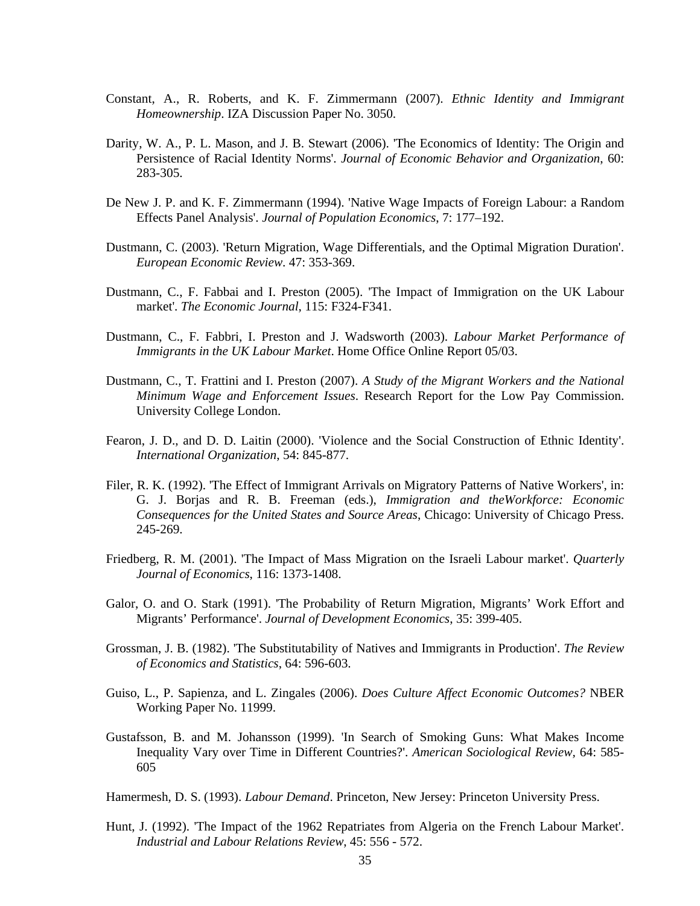- Constant, A., R. Roberts, and K. F. Zimmermann (2007). *Ethnic Identity and Immigrant Homeownership*. IZA Discussion Paper No. 3050.
- Darity, W. A., P. L. Mason, and J. B. Stewart (2006). 'The Economics of Identity: The Origin and Persistence of Racial Identity Norms'. *Journal of Economic Behavior and Organization*, 60: 283-305.
- De New J. P. and K. F. Zimmermann (1994). 'Native Wage Impacts of Foreign Labour: a Random Effects Panel Analysis'. *Journal of Population Economics*, 7: 177–192.
- Dustmann, C. (2003). 'Return Migration, Wage Differentials, and the Optimal Migration Duration'. *European Economic Review*. 47: 353-369.
- Dustmann, C., F. Fabbai and I. Preston (2005). 'The Impact of Immigration on the UK Labour market'. *The Economic Journal*, 115: F324-F341.
- Dustmann, C., F. Fabbri, I. Preston and J. Wadsworth (2003). *Labour Market Performance of Immigrants in the UK Labour Market*. Home Office Online Report 05/03.
- Dustmann, C., T. Frattini and I. Preston (2007). *A Study of the Migrant Workers and the National Minimum Wage and Enforcement Issues*. Research Report for the Low Pay Commission. University College London.
- Fearon, J. D., and D. D. Laitin (2000). 'Violence and the Social Construction of Ethnic Identity'. *International Organization*, 54: 845-877.
- Filer, R. K. (1992). 'The Effect of Immigrant Arrivals on Migratory Patterns of Native Workers', in: G. J. Borjas and R. B. Freeman (eds.), *Immigration and theWorkforce: Economic Consequences for the United States and Source Areas*, Chicago: University of Chicago Press. 245-269.
- Friedberg, R. M. (2001). 'The Impact of Mass Migration on the Israeli Labour market'. *Quarterly Journal of Economics*, 116: 1373-1408.
- Galor, O. and O. Stark (1991). 'The Probability of Return Migration, Migrants' Work Effort and Migrants' Performance'. *Journal of Development Economics*, 35: 399-405.
- Grossman, J. B. (1982). 'The Substitutability of Natives and Immigrants in Production'. *The Review of Economics and Statistics*, 64: 596-603.
- Guiso, L., P. Sapienza, and L. Zingales (2006). *Does Culture Affect Economic Outcomes?* NBER Working Paper No. 11999.
- Gustafsson, B. and M. Johansson (1999). 'In Search of Smoking Guns: What Makes Income Inequality Vary over Time in Different Countries?'. *American Sociological Review,* 64: 585- 605

Hamermesh, D. S. (1993). *Labour Demand*. Princeton, New Jersey: Princeton University Press.

Hunt, J. (1992). 'The Impact of the 1962 Repatriates from Algeria on the French Labour Market'. *Industrial and Labour Relations Review*, 45: 556 - 572.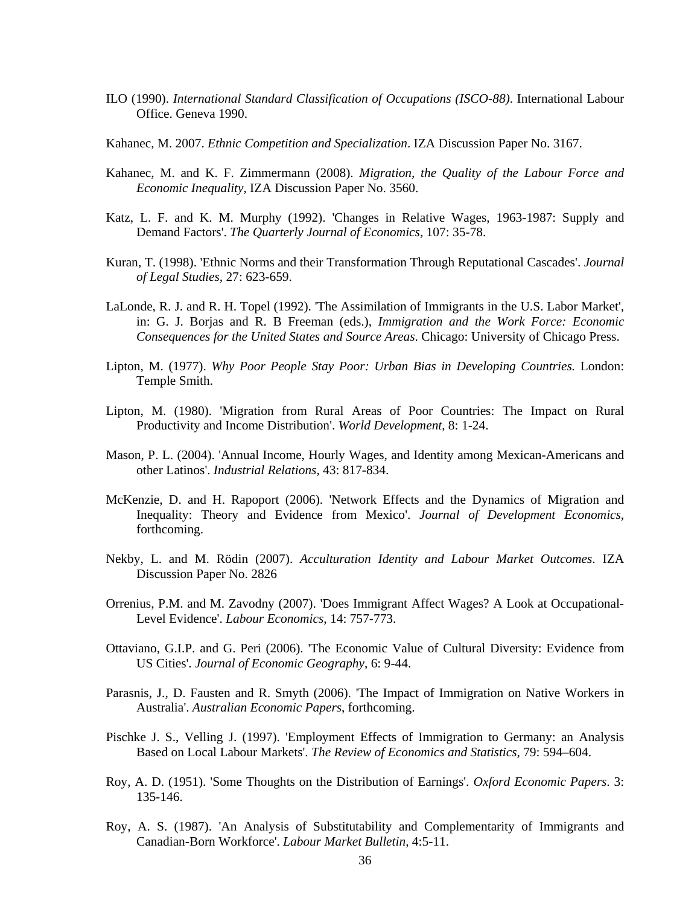- ILO (1990). *International Standard Classification of Occupations (ISCO-88)*. International Labour Office. Geneva 1990.
- Kahanec, M. 2007. *Ethnic Competition and Specialization*. IZA Discussion Paper No. 3167.
- Kahanec, M. and K. F. Zimmermann (2008). *Migration, the Quality of the Labour Force and Economic Inequality*, IZA Discussion Paper No. 3560.
- Katz, L. F. and K. M. Murphy (1992). 'Changes in Relative Wages, 1963-1987: Supply and Demand Factors'. *The Quarterly Journal of Economics*, 107: 35-78.
- Kuran, T. (1998). 'Ethnic Norms and their Transformation Through Reputational Cascades'. *Journal of Legal Studies,* 27: 623-659.
- LaLonde, R. J. and R. H. Topel (1992). 'The Assimilation of Immigrants in the U.S. Labor Market', in: G. J. Borjas and R. B Freeman (eds.), *Immigration and the Work Force: Economic Consequences for the United States and Source Areas*. Chicago: University of Chicago Press.
- Lipton, M. (1977). *Why Poor People Stay Poor: Urban Bias in Developing Countries.* London: Temple Smith.
- Lipton, M. (1980). 'Migration from Rural Areas of Poor Countries: The Impact on Rural Productivity and Income Distribution'. *World Development*, 8: 1-24.
- Mason, P. L. (2004). 'Annual Income, Hourly Wages, and Identity among Mexican-Americans and other Latinos'. *Industrial Relations*, 43: 817-834.
- McKenzie, D. and H. Rapoport (2006). 'Network Effects and the Dynamics of Migration and Inequality: Theory and Evidence from Mexico'. *Journal of Development Economics*, forthcoming.
- Nekby, L. and M. Rödin (2007). *Acculturation Identity and Labour Market Outcomes*. IZA Discussion Paper No. 2826
- Orrenius, P.M. and M. Zavodny (2007). 'Does Immigrant Affect Wages? A Look at Occupational-Level Evidence'. *Labour Economics*, 14: 757-773.
- Ottaviano, G.I.P. and G. Peri (2006). 'The Economic Value of Cultural Diversity: Evidence from US Cities'. *Journal of Economic Geography*, 6: 9-44.
- Parasnis, J., D. Fausten and R. Smyth (2006). 'The Impact of Immigration on Native Workers in Australia'. *Australian Economic Papers*, forthcoming.
- Pischke J. S., Velling J. (1997). 'Employment Effects of Immigration to Germany: an Analysis Based on Local Labour Markets'. *The Review of Economics and Statistics*, 79: 594–604.
- Roy, A. D. (1951). 'Some Thoughts on the Distribution of Earnings'. *Oxford Economic Papers*. 3: 135-146.
- Roy, A. S. (1987). 'An Analysis of Substitutability and Complementarity of Immigrants and Canadian-Born Workforce'. *Labour Market Bulletin*, 4:5-11.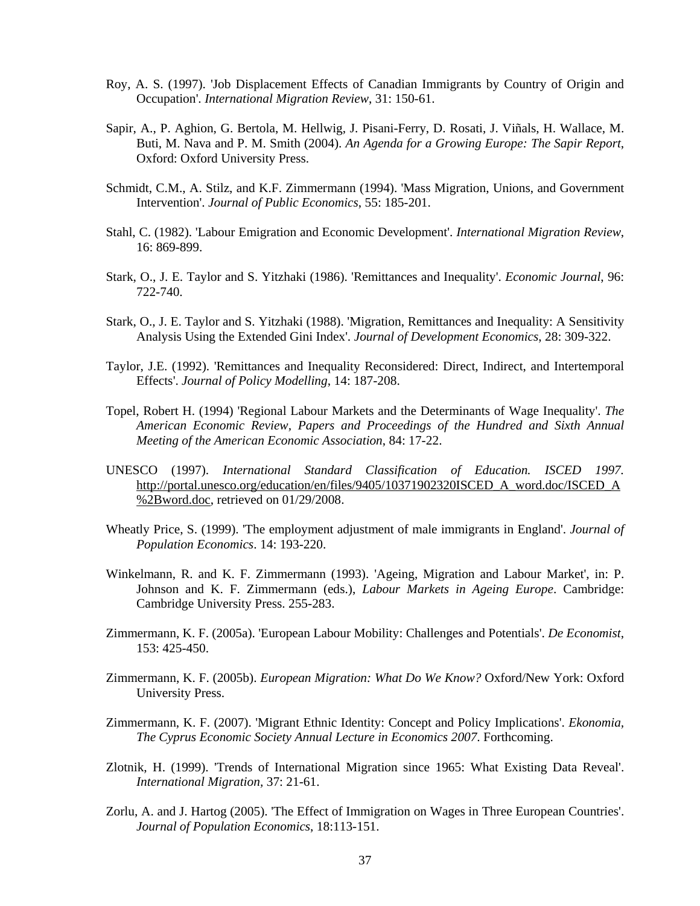- Roy, A. S. (1997). 'Job Displacement Effects of Canadian Immigrants by Country of Origin and Occupation'. *International Migration Review*, 31: 150-61.
- Sapir, A., P. Aghion, G. Bertola, M. Hellwig, J. Pisani-Ferry, D. Rosati, J. Viñals, H. Wallace, M. Buti, M. Nava and P. M. Smith (2004). *An Agenda for a Growing Europe: The Sapir Report*, Oxford: Oxford University Press.
- Schmidt, C.M., A. Stilz, and K.F. Zimmermann (1994). 'Mass Migration, Unions, and Government Intervention'. *Journal of Public Economics*, 55: 185-201.
- Stahl, C. (1982). 'Labour Emigration and Economic Development'. *International Migration Review*, 16: 869-899.
- Stark, O., J. E. Taylor and S. Yitzhaki (1986). 'Remittances and Inequality'. *Economic Journal*, 96: 722-740.
- Stark, O., J. E. Taylor and S. Yitzhaki (1988). 'Migration, Remittances and Inequality: A Sensitivity Analysis Using the Extended Gini Index'. *Journal of Development Economics*, 28: 309-322.
- Taylor, J.E. (1992). 'Remittances and Inequality Reconsidered: Direct, Indirect, and Intertemporal Effects'. *Journal of Policy Modelling*, 14: 187-208.
- Topel, Robert H. (1994) 'Regional Labour Markets and the Determinants of Wage Inequality'. *The American Economic Review, Papers and Proceedings of the Hundred and Sixth Annual Meeting of the American Economic Association*, 84: 17-22.
- UNESCO (1997). *International Standard Classification of Education. ISCED 1997.* http://portal.unesco.org/education/en/files/9405/10371902320ISCED\_A\_word.doc/ISCED\_A\_ %2Bword.doc, retrieved on 01/29/2008.
- Wheatly Price, S. (1999). 'The employment adjustment of male immigrants in England'. *Journal of Population Economics*. 14: 193-220.
- Winkelmann, R. and K. F. Zimmermann (1993). 'Ageing, Migration and Labour Market', in: P. Johnson and K. F. Zimmermann (eds.), *Labour Markets in Ageing Europe*. Cambridge: Cambridge University Press. 255-283.
- Zimmermann, K. F. (2005a). 'European Labour Mobility: Challenges and Potentials'. *De Economist*, 153: 425-450.
- Zimmermann, K. F. (2005b). *European Migration: What Do We Know?* Oxford/New York: Oxford University Press.
- Zimmermann, K. F. (2007). 'Migrant Ethnic Identity: Concept and Policy Implications'. *Ekonomia, The Cyprus Economic Society Annual Lecture in Economics 2007*. Forthcoming.
- Zlotnik, H. (1999). 'Trends of International Migration since 1965: What Existing Data Reveal'. *International Migration,* 37: 21-61.
- Zorlu, A. and J. Hartog (2005). 'The Effect of Immigration on Wages in Three European Countries'. *Journal of Population Economics*, 18:113-151.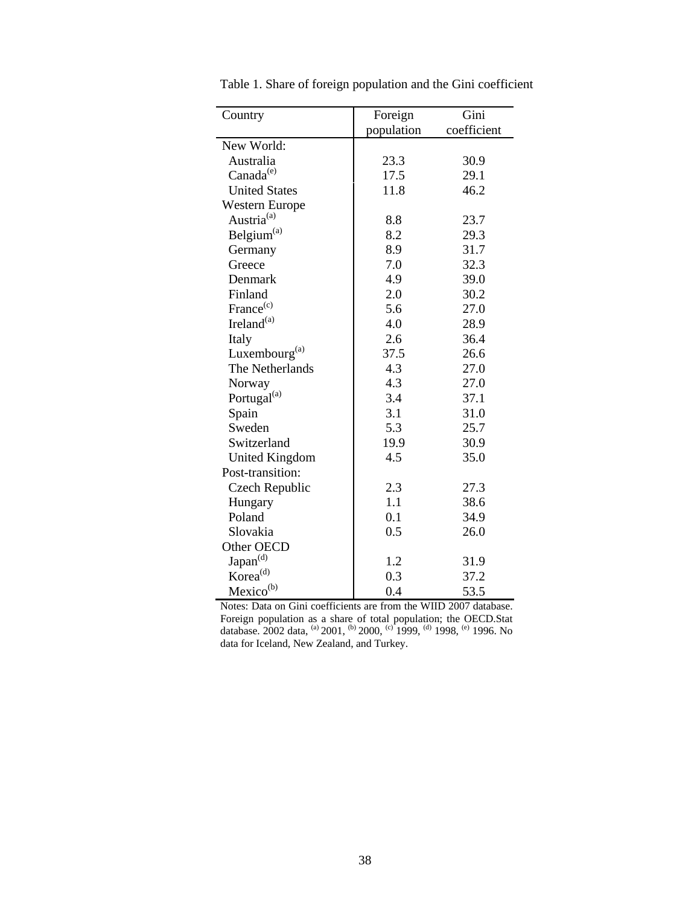| Country                   | Foreign    | Gini        |
|---------------------------|------------|-------------|
|                           | population | coefficient |
| New World:                |            |             |
| Australia                 | 23.3       | 30.9        |
| Canada <sup>(e)</sup>     | 17.5       | 29.1        |
| <b>United States</b>      | 11.8       | 46.2        |
| Western Europe            |            |             |
| Austria <sup>(a)</sup>    | 8.8        | 23.7        |
| Belgium <sup>(a)</sup>    | 8.2        | 29.3        |
| Germany                   | 8.9        | 31.7        |
| Greece                    | 7.0        | 32.3        |
| Denmark                   | 4.9        | 39.0        |
| Finland                   | 2.0        | 30.2        |
| France <sup>(c)</sup>     | 5.6        | 27.0        |
| Ireland $^{(a)}$          | 4.0        | 28.9        |
| Italy                     | 2.6        | 36.4        |
| Luxembourg <sup>(a)</sup> | 37.5       | 26.6        |
| The Netherlands           | 4.3        | 27.0        |
| Norway                    | 4.3        | 27.0        |
| Portugal <sup>(a)</sup>   | 3.4        | 37.1        |
| Spain                     | 3.1        | 31.0        |
| Sweden                    | 5.3        | 25.7        |
| Switzerland               | 19.9       | 30.9        |
| United Kingdom            | 4.5        | 35.0        |
| Post-transition:          |            |             |
| Czech Republic            | 2.3        | 27.3        |
| Hungary                   | 1.1        | 38.6        |
| Poland                    | 0.1        | 34.9        |
| Slovakia                  | 0.5        | 26.0        |
| Other OECD                |            |             |
| Japan <sup>(d)</sup>      | 1.2        | 31.9        |
| Korea <sup>(d)</sup>      | 0.3        | 37.2        |
| Mexico <sup>(b)</sup>     | 0.4        | 53.5        |

Table 1. Share of foreign population and the Gini coefficient

Notes: Data on Gini coefficients are from the WIID 2007 database. Foreign population as a share of total population; the OECD.Stat database. 2002 data, <sup>(a)</sup> 2001, <sup>(b)</sup> 2000, <sup>(c)</sup> 1999, <sup>(d)</sup> 1998, <sup>(e)</sup> 1996. No data for Iceland, New Zealand, and Turkey.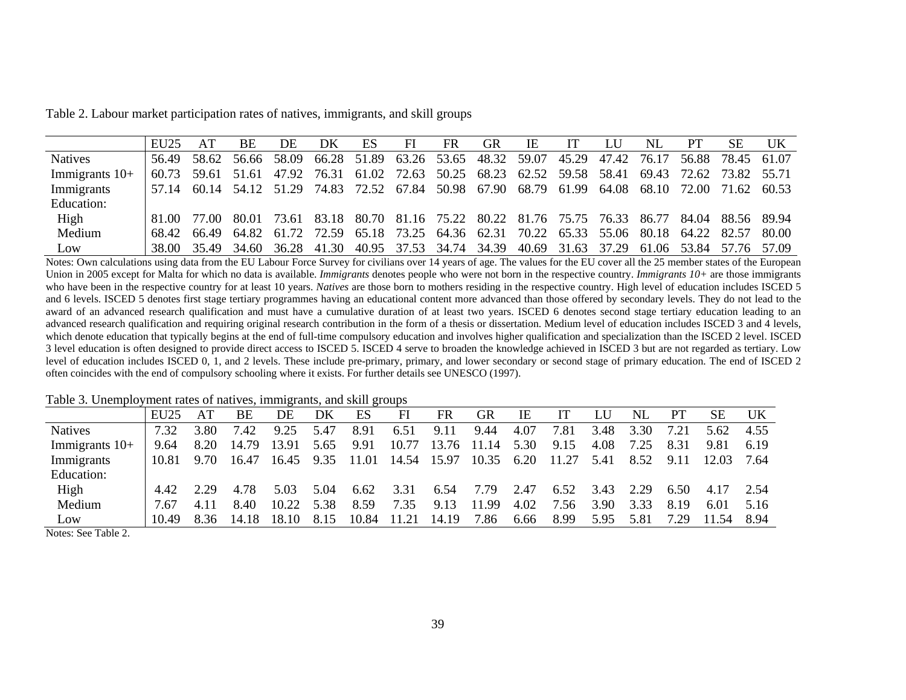|                  | EU <sub>25</sub> | AT                                                                                              | BE | DE    | DK    | ES    | FI          | FR          | <b>GR</b>                           | IE | TТ                | LU          | NI. | PТ                                                                                  | <b>SE</b> | UK     |
|------------------|------------------|-------------------------------------------------------------------------------------------------|----|-------|-------|-------|-------------|-------------|-------------------------------------|----|-------------------|-------------|-----|-------------------------------------------------------------------------------------|-----------|--------|
| <b>Natives</b>   |                  | 56.49 58.62 56.66 58.09                                                                         |    |       |       |       |             |             | 66.28 51.89 63.26 53.65 48.32 59.07 |    | 45.29             | 47.42 76.17 |     | 56.88 78.45 61.07                                                                   |           |        |
| Immigrants $10+$ | 60.73            | 59.61 51.61                                                                                     |    | 47.92 | 76.31 | 61.02 | 72.63       | 50.25       | 68.23                               |    | 62.52 59.58       | 58.41       |     | 69.43 72.62 73.82 55.71                                                             |           |        |
| Immigrants       |                  | 57.14 60.14 54.12 51.29 74.83 72.52 67.84 50.98 67.90 68.79 61.99 64.08 68.10 72.00 71.62 60.53 |    |       |       |       |             |             |                                     |    |                   |             |     |                                                                                     |           |        |
| Education:       |                  |                                                                                                 |    |       |       |       |             |             |                                     |    |                   |             |     |                                                                                     |           |        |
| High             |                  | 81.00 77.00                                                                                     |    |       |       |       |             |             |                                     |    |                   |             |     | 80.01 73.61 83.18 80.70 81.16 75.22 80.22 81.76 75.75 76.33 86.77 84.04 88.56 89.94 |           |        |
| Medium           |                  | 68.42 66.49 64.82 61.72 72.59                                                                   |    |       |       | 65.18 | 73.25       | 64.36 62.31 |                                     |    |                   |             |     | 70.22 65.33 55.06 80.18 64.22 82.57                                                 |           | -80.00 |
| Low              |                  | 38.00 35.49 34.60 36.28                                                                         |    |       | 41.30 |       | 40.95 37.53 |             | 34.74 34.39                         |    | 40.69 31.63 37.29 |             |     | 61.06 53.84 57.76 57.09                                                             |           |        |

Table 2. Labour market participation rates of natives, immigrants, and skill groups

Notes: Own calculations using data from the EU Labour Force Survey for civilians over 14 years of age. The values for the EU cover all the 25 member states of the European Union in 2005 except for Malta for which no data is available. *Immigrants* denotes people who were not born in the respective country. *Immigrants 10+* are those immigrants who have been in the respective country for at least 10 years. *Natives* are those born to mothers residing in the respective country. High level of education includes ISCED 5 and 6 levels. ISCED 5 denotes first stage tertiary programmes having an educational content more advanced than those offered by secondary levels. They do not lead to the award of an advanced research qualification and must have a cumulative duration of at least two years. ISCED 6 denotes second stage tertiary education leading to an advanced research qualification and requiring original research contribution in the form of a thesis or dissertation. Medium level of education includes ISCED 3 and 4 levels, which denote education that typically begins at the end of full-time compulsory education and involves higher qualification and specialization than the ISCED 2 level. ISCED 3 level education is often designed to provide direct access to ISCED 5. ISCED 4 serve to broaden the knowledge achieved in ISCED 3 but are not regarded as tertiary. Low level of education includes ISCED 0, 1, and 2 levels. These include pre-primary, primary, and lower secondary or second stage of primary education. The end of ISCED 2 often coincides with the end of compulsory schooling where it exists. For further details see UNESCO (1997).

### Table 3. Unemployment rates of natives, immigrants, and skill groups

|                  | EU25  | AT   | ВE    | DE    | DK   | ES    | FI    | FR    | GR    | ΙE   | IΤ    | LU   | NL   | <b>PT</b> | SЕ    | UK   |
|------------------|-------|------|-------|-------|------|-------|-------|-------|-------|------|-------|------|------|-----------|-------|------|
| <b>Natives</b>   | 7.32  | 3.80 | 7.42  | 9.25  | 5.47 | 8.91  | 6.51  | 9.11  | 9.44  | 4.07 | 7.81  | 3.48 | 3.30 | 7.21      | 5.62  | 4.55 |
| Immigrants $10+$ | 9.64  | 8.20 | 14.79 | 13.91 | 5.65 | 9.91  | 10.77 | 13.76 | 11.14 | 5.30 | 9.15  | 4.08 | 7.25 | 8.31      | 9.81  | 6.19 |
| Immigrants       | 10.81 | 9.70 | 16.47 | 16.45 | 9.35 | 11.01 | 14.54 | 15.97 | 10.35 | 6.20 | 11.27 | 5.41 | 8.52 | 9.11      | 12.03 | 7.64 |
| Education:       |       |      |       |       |      |       |       |       |       |      |       |      |      |           |       |      |
| High             | 4.42  | 2.29 | 4.78  | 5.03  | 5.04 | 6.62  | 3.31  | 6.54  | 7.79  | 2.47 | 6.52  | 3.43 | 2.29 | 6.50      | 4.17  | 2.54 |
| Medium           | 7.67  | 4.11 | 8.40  | 10.22 | 5.38 | 8.59  | 7.35  | 9.13  | 11.99 | 4.02 | 7.56  | 3.90 | 3.33 | 8.19      | 6.01  | 5.16 |
| Low              | 10.49 | 8.36 | 14.18 | 18.10 | 8.15 | 10.84 | 11.21 | 14.19 | 7.86  | 6.66 | 8.99  | 5.95 | 5.81 | 7.29      | 11.54 | 8.94 |

Notes: See Table 2.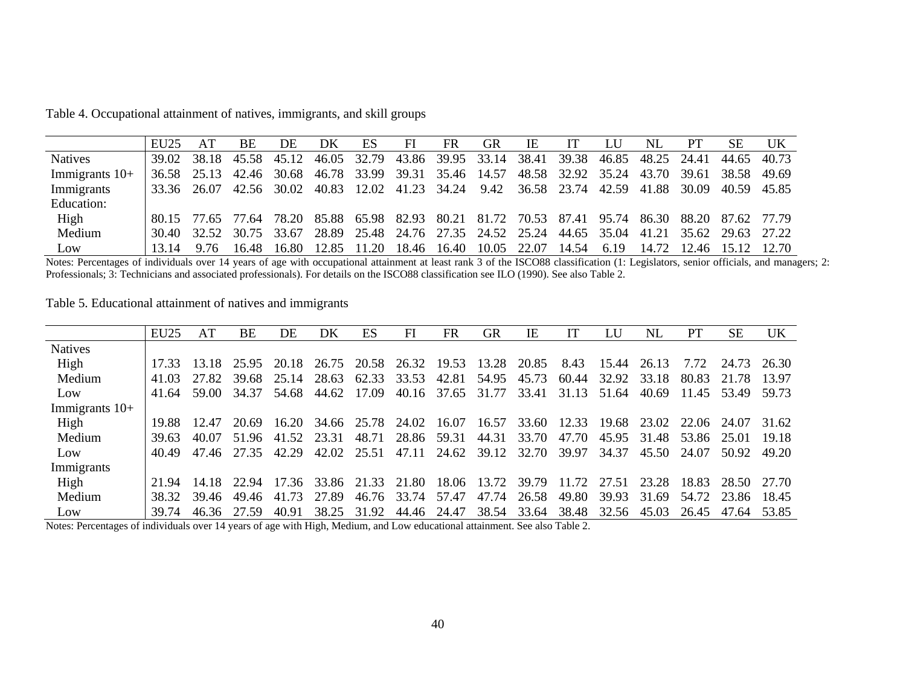|                  | EU <sub>25</sub> | AT                | BE    | DE          | DK    | ES                | FI    | FR          | <b>GR</b>         | ΙE    | TТ                |       | NL    | PТ                | SЕ    | UK      |
|------------------|------------------|-------------------|-------|-------------|-------|-------------------|-------|-------------|-------------------|-------|-------------------|-------|-------|-------------------|-------|---------|
| <b>Natives</b>   | 39.02            | 38.18             | 45.58 | 45.12       | 46.05 | 32.79             | 43.86 | 39.95       | 33.14             | 38.41 | 39.38             | 46.85 | 48.25 | 24.41             | 44.65 | 40.73   |
| Immigrants $10+$ |                  | 36.58 25.13       | 42.46 | 30.68       |       | 46.78 33.99 39.31 |       | 35.46       | 14.57             | 48.58 | 32.92             | 35.24 | 43.70 | 39.61             | 38.58 | 49.69   |
| Immigrants       |                  | 33.36 26.07       |       | 42.56 30.02 | 40.83 | 12.02             |       | 41.23 34.24 | 9.42              |       | 36.58 23.74       | 42.59 | 41.88 | 30.09             | 40.59 | 45.85   |
| Education:       |                  |                   |       |             |       |                   |       |             |                   |       |                   |       |       |                   |       |         |
| High             |                  | 80.15 77.65 77.64 |       | 78.20       | 85.88 | 65.98             |       |             | 82.93 80.21 81.72 |       | 70.53 87.41 95.74 |       | 86.30 | 88.20 87.62 77.79 |       |         |
| Medium           | 30.40            | 32.52             | 30.75 | 33.67       | 28.89 | 25.48             | 24.76 | 27.35       | 24.52 25.24       |       | 44.65 35.04       |       | 41.21 | 35.62 29.63       |       | 27.22   |
| Low              | 13.14            | 9.76              | 16.48 | 16.80       | 12.85 | 11.20             | 18.46 | 16.40       | 10.05             | 22.07 | 14.54             | 6.19  | 14.72 | 12.46             | 15.12 | - 12.70 |

Table 4. Occupational attainment of natives, immigrants, and skill groups

Notes: Percentages of individuals over 14 years of age with occupational attainment at least rank 3 of the ISCO88 classification (1: Legislators, senior officials, and managers; 2: Professionals; 3: Technicians and associated professionals). For details on the ISCO88 classification see ILO (1990). See also Table 2.

Table 5. Educational attainment of natives and immigrants

|                  | EU25  | AT    | BE    | DE    | DK    | ES    | FI    | FR          | GR    | IE    | IΤ    | LU     | NL    | PT          | <b>SE</b>   | UK      |
|------------------|-------|-------|-------|-------|-------|-------|-------|-------------|-------|-------|-------|--------|-------|-------------|-------------|---------|
| <b>Natives</b>   |       |       |       |       |       |       |       |             |       |       |       |        |       |             |             |         |
| High             | 17.33 | 13.18 | 25.95 | 20.18 | 26.75 | 20.58 | 26.32 | 19.53       | 13.28 | 20.85 | 8.43  | 15.44  | 26.13 | 7.72        | 24.73       | 26.30   |
| Medium           | 41.03 | 27.82 | 39.68 | 25.14 | 28.63 | 62.33 | 33.53 | 42.81       | 54.95 | 45.73 | 60.44 | 32.92  | 33.18 | 80.83       | 21.78       | - 13.97 |
| Low              | 41.64 | 59.00 | 34.37 | 54.68 | 44.62 | 17.09 |       | 40.16 37.65 | 31.77 | 33.41 | 31.13 | 51.64  | 40.69 | 11.45 53.49 |             | 59.73   |
| Immigrants $10+$ |       |       |       |       |       |       |       |             |       |       |       |        |       |             |             |         |
| High             | 19.88 | 12.47 | 20.69 | 16.20 | 34.66 | 25.78 | 24.02 | 16.07       | 16.57 | 33.60 | 12.33 | -19.68 | 23.02 | - 22.06     | 24.07       | 31.62   |
| Medium           | 39.63 | 40.07 | 51.96 | 41.52 | 23.31 | 48.71 | 28.86 | 59.31       | 44.31 | 33.70 | 47.70 | 45.95  | 31.48 | 53.86 25.01 |             | 19.18   |
| Low              | 40.49 | 47.46 | 27.35 | 42.29 | 42.02 | 25.51 | 47.11 | 24.62       | 39.12 | 32.70 | 39.97 | 34.37  | 45.50 | 24.07       | 50.92       | 49.20   |
| Immigrants       |       |       |       |       |       |       |       |             |       |       |       |        |       |             |             |         |
| High             | 21.94 | 14.18 | 22.94 | 17.36 | 33.86 | 21.33 | 21.80 | 18.06       | 13.72 | 39.79 | 11.72 | 27.51  | 23.28 | 18.83       | 28.50 27.70 |         |
| Medium           | 38.32 | 39.46 | 49.46 | 41.73 | 27.89 | 46.76 | 33.74 | 57.47       | 47.74 | 26.58 | 49.80 | 39.93  | 31.69 | 54.72       | 23.86       | 18.45   |
| Low              | 39.74 | 46.36 | 27.59 | 40.91 | 38.25 | 31.92 | 44.46 | 24.47       | 38.54 | 33.64 | 38.48 | 32.56  | 45.03 | 26.45       | 47.64       | 53.85   |

Notes: Percentages of individuals over 14 years of age with High, Medium, and Low educational attainment. See also Table 2.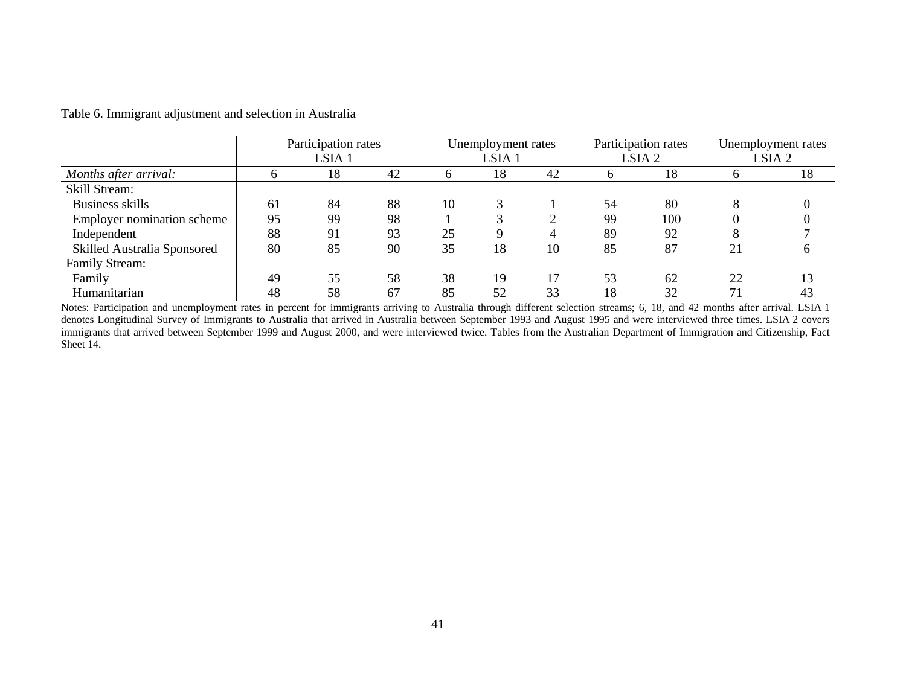|  |  |  | Table 6. Immigrant adjustment and selection in Australia |
|--|--|--|----------------------------------------------------------|
|  |  |  |                                                          |

|                             |    | Participation rates |    |    | Unemployment rates |    |    | Participation rates | Unemployment rates |    |  |
|-----------------------------|----|---------------------|----|----|--------------------|----|----|---------------------|--------------------|----|--|
|                             |    | LSIA 1              |    |    | LSIA 1             |    |    | LSIA <sub>2</sub>   | LSIA <sub>2</sub>  |    |  |
| Months after arrival:       |    | 18                  | 42 | O  | 18                 | 42 |    | 18                  |                    | 18 |  |
| Skill Stream:               |    |                     |    |    |                    |    |    |                     |                    |    |  |
| Business skills             | 61 | 84                  | 88 | 10 |                    |    | 54 | 80                  | Λ                  |    |  |
| Employer nomination scheme  | 95 | 99                  | 98 |    |                    |    | 99 | 100                 |                    |    |  |
| Independent                 | 88 | 91                  | 93 | 25 | 9                  |    | 89 | 92                  | O<br>Ω             |    |  |
| Skilled Australia Sponsored | 80 | 85                  | 90 | 35 | 18                 | 10 | 85 | 87                  | 21                 |    |  |
| Family Stream:              |    |                     |    |    |                    |    |    |                     |                    |    |  |
| Family                      | 49 | 55                  | 58 | 38 | 19                 |    | 53 | 62                  | 22                 | 13 |  |
| Humanitarian                | 48 | 58                  | 67 | 85 | 52                 | 33 | 18 | 32                  |                    | 43 |  |

Notes: Participation and unemployment rates in percent for immigrants arriving to Australia through different selection streams; 6, 18, and 42 months after arrival. LSIA 1 denotes Longitudinal Survey of Immigrants to Australia that arrived in Australia between September 1993 and August 1995 and were interviewed three times. LSIA 2 covers immigrants that arrived between September 1999 and August 2000, and were interviewed twice. Tables from the Australian Department of Immigration and Citizenship, Fact Sheet 14.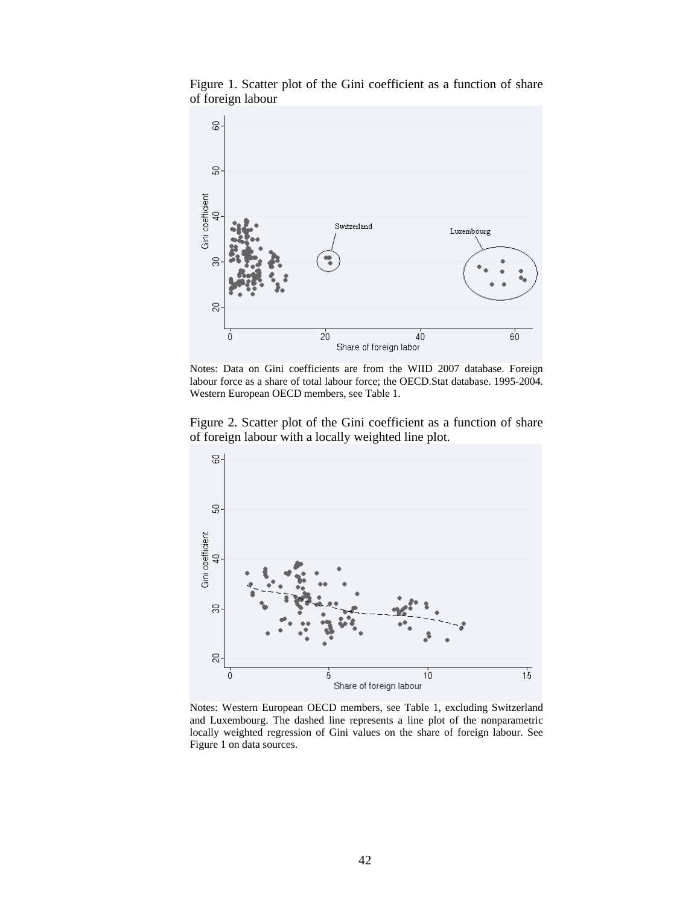Figure 1. Scatter plot of the Gini coefficient as a function of share of foreign labour



Notes: Data on Gini coefficients are from the WIID 2007 database. Foreign labour force as a share of total labour force; the OECD.Stat database. 1995-2004. Western European OECD members, see Table 1.

Figure 2. Scatter plot of the Gini coefficient as a function of share of foreign labour with a locally weighted line plot.



Notes: Western European OECD members, see Table 1, excluding Switzerland and Luxembourg. The dashed line represents a line plot of the nonparametric locally weighted regression of Gini values on the share of foreign labour. See Figure 1 on data sources.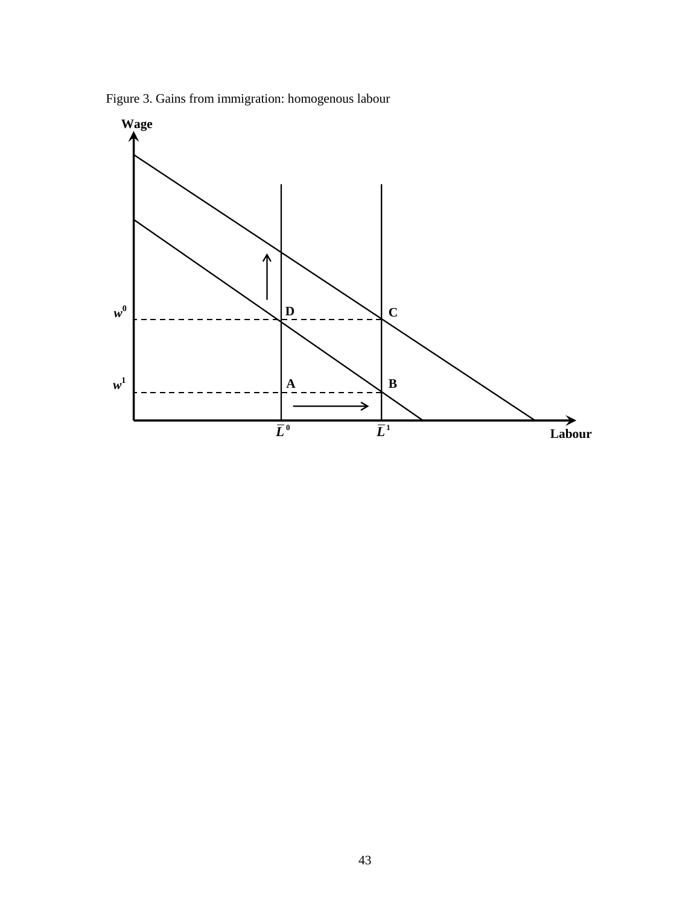Figure 3. Gains from immigration: homogenous labour

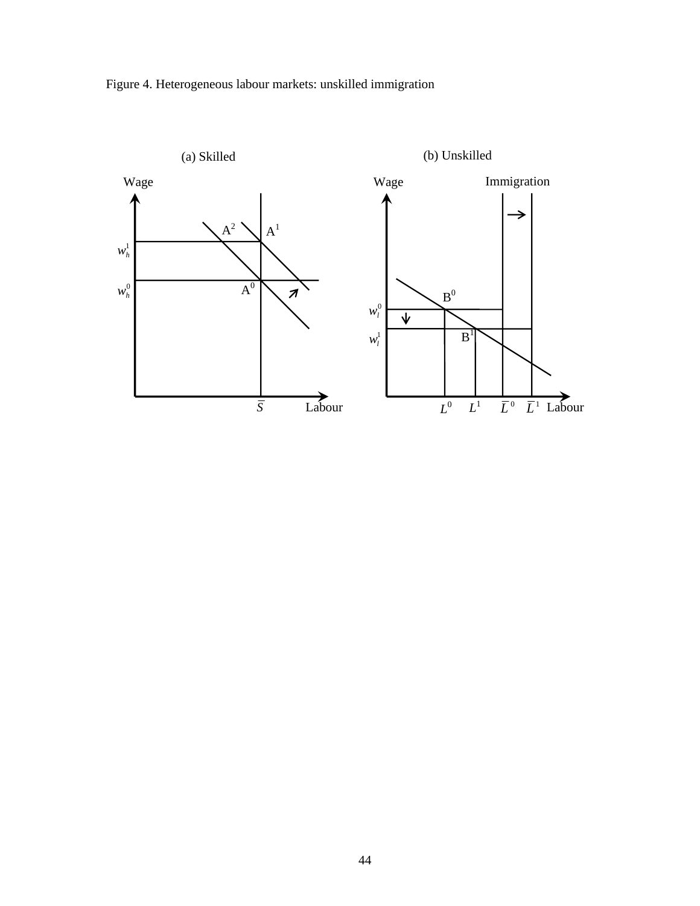

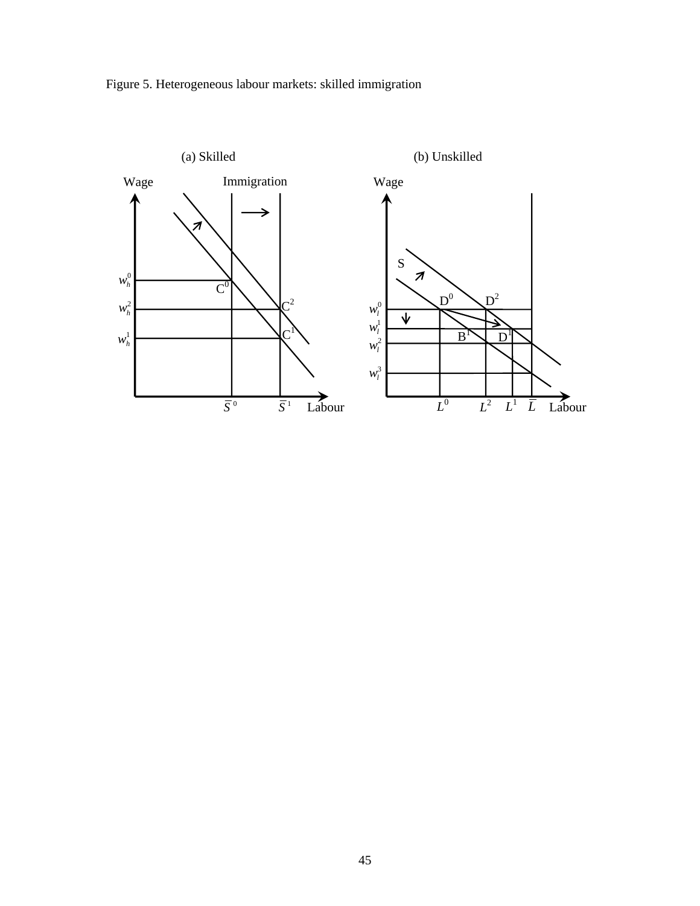

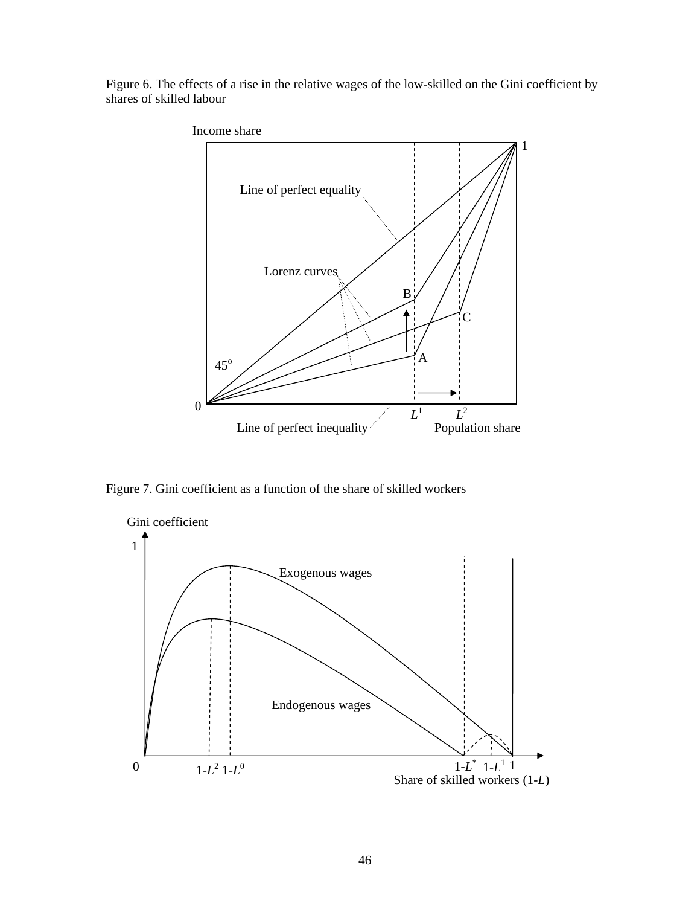Figure 6. The effects of a rise in the relative wages of the low-skilled on the Gini coefficient by shares of skilled labour



Figure 7. Gini coefficient as a function of the share of skilled workers

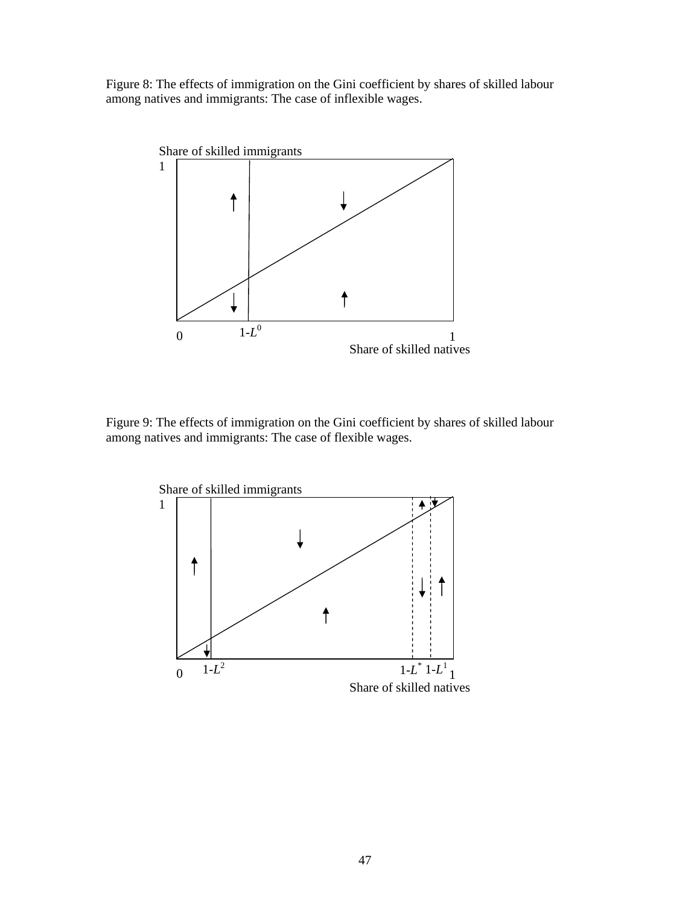Figure 8: The effects of immigration on the Gini coefficient by shares of skilled labour among natives and immigrants: The case of inflexible wages.



Figure 9: The effects of immigration on the Gini coefficient by shares of skilled labour among natives and immigrants: The case of flexible wages.

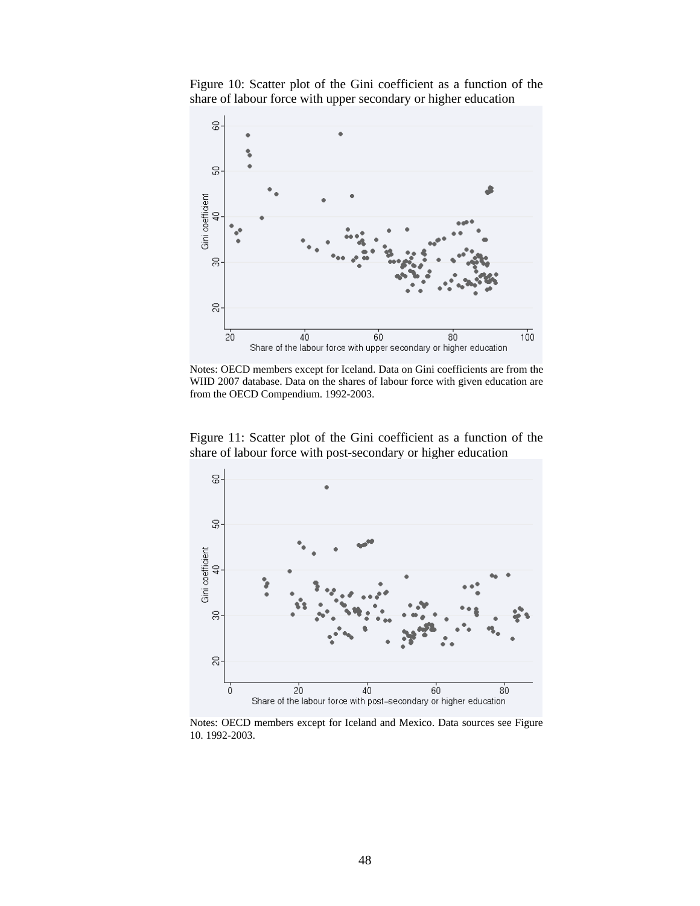Figure 10: Scatter plot of the Gini coefficient as a function of the share of labour force with upper secondary or higher education



Notes: OECD members except for Iceland. Data on Gini coefficients are from the WIID 2007 database. Data on the shares of labour force with given education are from the OECD Compendium. 1992-2003.





Notes: OECD members except for Iceland and Mexico. Data sources see Figure 10. 1992-2003.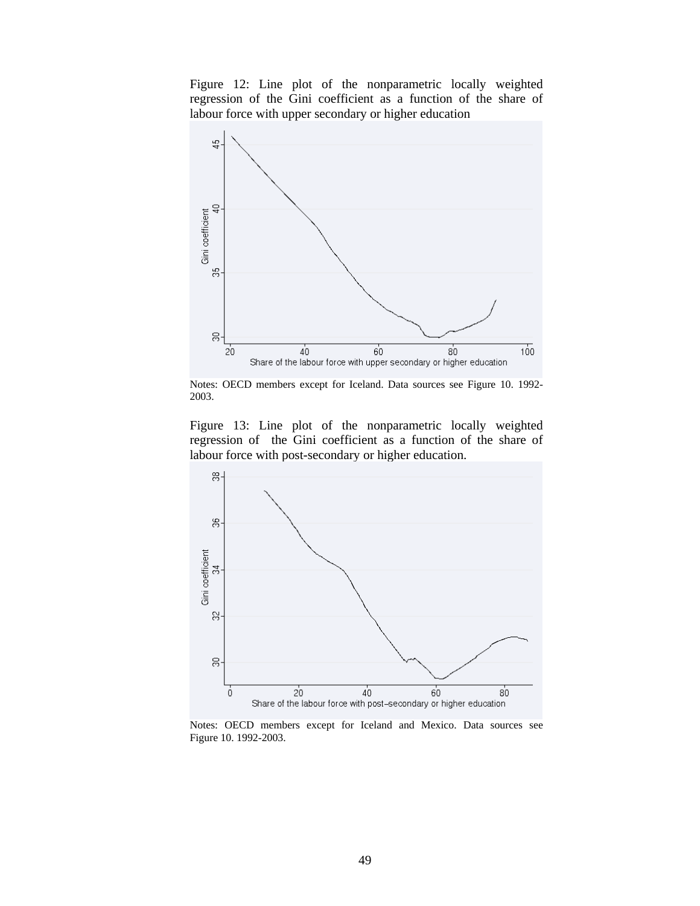Figure 12: Line plot of the nonparametric locally weighted regression of the Gini coefficient as a function of the share of labour force with upper secondary or higher education



Notes: OECD members except for Iceland. Data sources see Figure 10. 1992- 2003.

Figure 13: Line plot of the nonparametric locally weighted regression of the Gini coefficient as a function of the share of labour force with post-secondary or higher education.



Notes: OECD members except for Iceland and Mexico. Data sources see Figure 10. 1992-2003.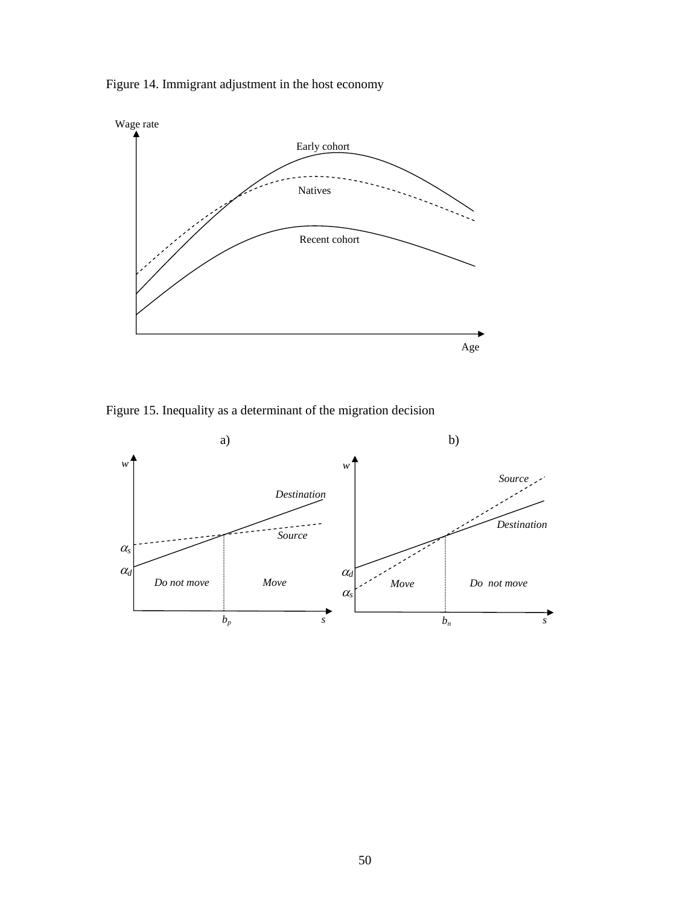Figure 14. Immigrant adjustment in the host economy



Figure 15. Inequality as a determinant of the migration decision

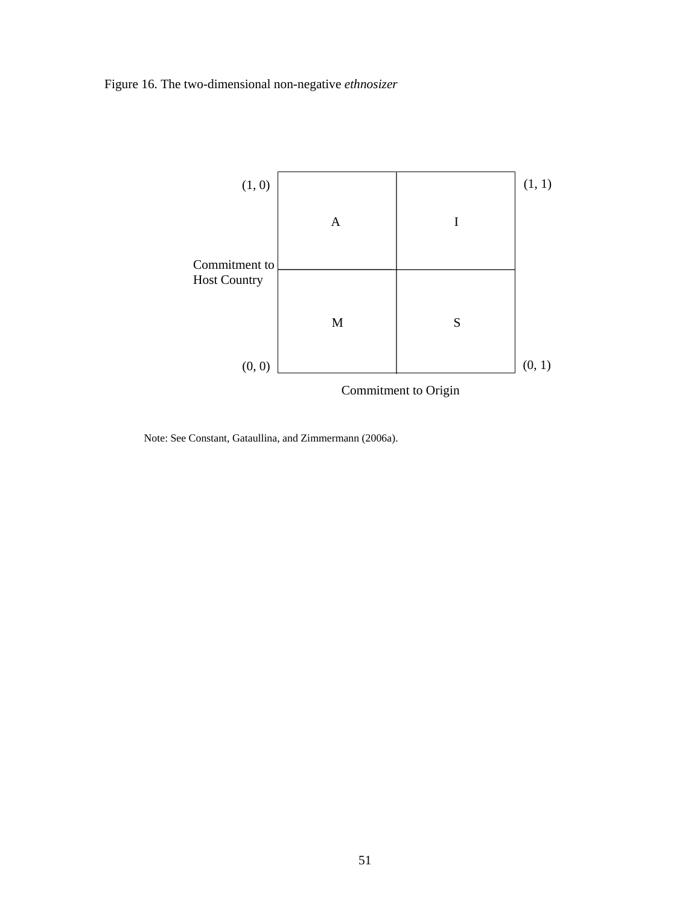Figure 16. The two-dimensional non-negative *ethnosizer*



Note: See Constant, Gataullina, and Zimmermann (2006a).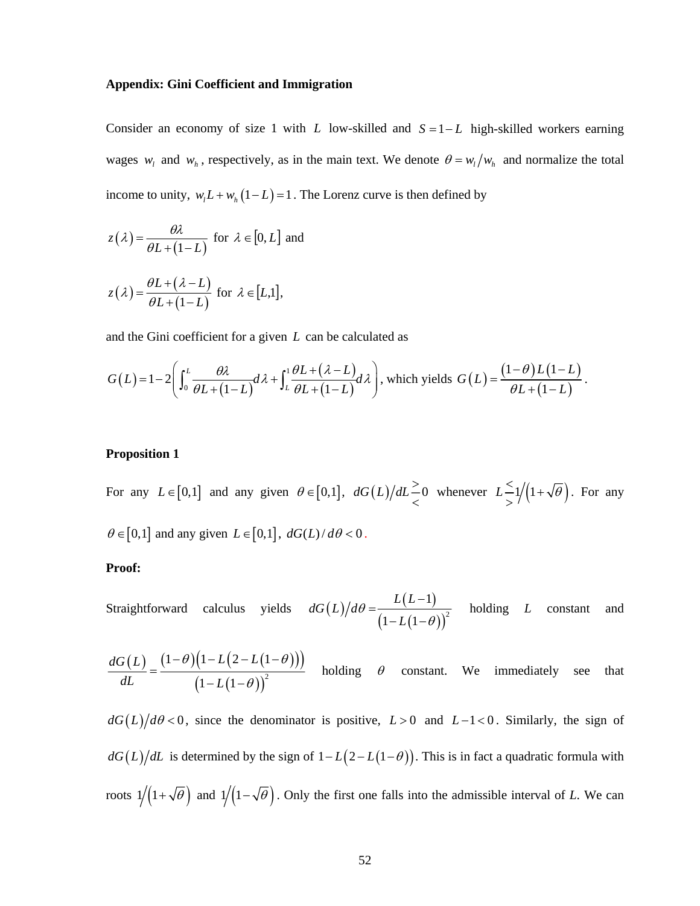### **Appendix: Gini Coefficient and Immigration**

Consider an economy of size 1 with *L* low-skilled and  $S = 1 - L$  high-skilled workers earning wages  $w_l$  and  $w_h$ , respectively, as in the main text. We denote  $\theta = w_l/w_h$  and normalize the total income to unity,  $w_l L + w_h (1 - L) = 1$ . The Lorenz curve is then defined by

$$
z(\lambda) = \frac{\theta \lambda}{\theta L + (1 - L)}
$$
 for  $\lambda \in [0, L]$  and

$$
z(\lambda) = \frac{\theta L + (\lambda - L)}{\theta L + (1 - L)}
$$
 for  $\lambda \in [L, 1]$ ,

and the Gini coefficient for a given *L* can be calculated as

$$
G(L)=1-2\left(\int_0^L \frac{\theta \lambda}{\theta L+(1-L)} d\lambda+\int_L^1 \frac{\theta L+(\lambda-L)}{\theta L+(1-L)} d\lambda\right), \text{ which yields } G(L)=\frac{(1-\theta)L(1-L)}{\theta L+(1-L)}.
$$

### **Proposition 1**

For any  $L \in [0,1]$  and any given  $\theta \in [0,1]$ ,  $dG(L)/dL \ge 0$  whenever  $L \le 1/(1+\sqrt{\theta})$ > . For any  $\theta \in [0,1]$  and any given  $L \in [0,1]$ ,  $dG(L)/d\theta < 0$ .

### **Proof:**

Straightforward calculus yields  $dG(L)/d\theta = \frac{L(L-1)}{L}$  $(I - L(1-\theta))^2$ 1  $1 - L(1)$  $L(L$  $dG(L)/d$ *L* θ  $=\frac{L(L-1)}{(1-L(1-\theta))^2}$  holding *L* constant and

$$
\frac{dG(L)}{dL} = \frac{(1-\theta)(1-L(2-L(1-\theta)))}{(1-L(1-\theta))^2}
$$
 holding  $\theta$  constant. We immediately see that

 $dG(L)/d\theta < 0$ , since the denominator is positive,  $L > 0$  and  $L-1 < 0$ . Similarly, the sign of  $dG(L)/dL$  is determined by the sign of  $1-L(2-L(1-\theta))$ . This is in fact a quadratic formula with roots  $1/(1+\sqrt{\theta})$  and  $1/(1-\sqrt{\theta})$ . Only the first one falls into the admissible interval of *L*. We can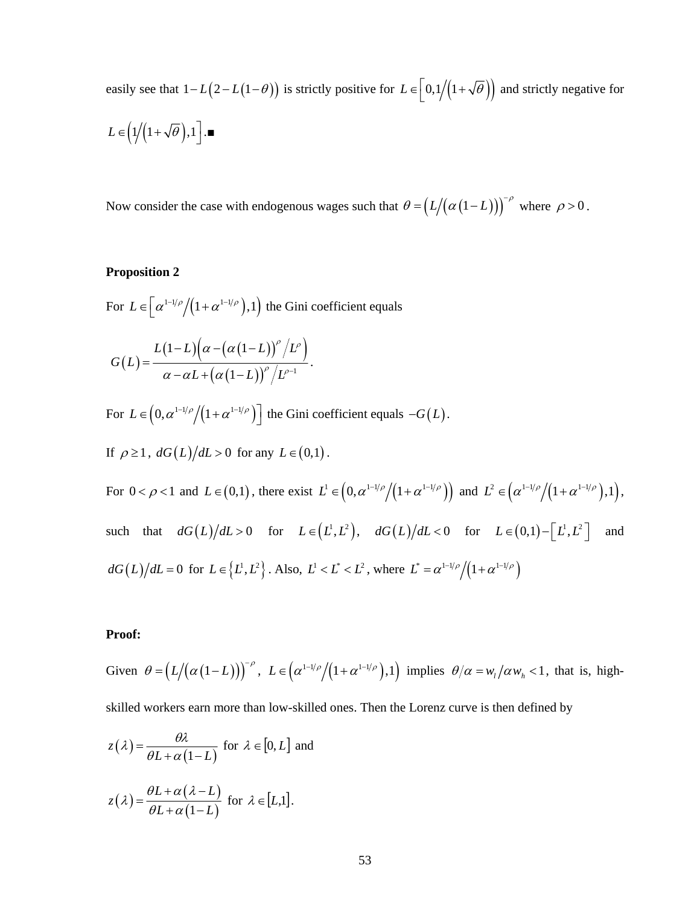easily see that  $1-L(2-L(1-\theta))$  is strictly positive for  $L \in (0,1/(1+\sqrt{\theta}))$  and strictly negative for  $L \in \left( \frac{1}{\left( 1 + \sqrt{\theta} \right), 1} \right]$ .

Now consider the case with endogenous wages such that  $\theta = (L/(\alpha (1-L)))^{-\rho}$  where  $\rho > 0$ .

### **Proposition 2**

For  $L \in \left[ \frac{\alpha^{1-1/\rho}}{1+\alpha^{1-1/\rho}} \right), 1 \right)$  the Gini coefficient equals

$$
G(L) = \frac{L(1-L)\left(\alpha - \left(\alpha(1-L)\right)^{\rho}/L^{\rho}\right)}{\alpha - \alpha L + \left(\alpha(1-L)\right)^{\rho}/L^{\rho-1}}.
$$

For  $L \in (0, \alpha^{1-1/\rho} / (1 + \alpha^{1-1/\rho})]$  the Gini coefficient equals  $-G(L)$ .

If 
$$
\rho \ge 1
$$
,  $dG(L)/dL > 0$  for any  $L \in (0,1)$ .

For  $0 < \rho < 1$  and  $L \in (0,1)$ , there exist  $L^1 \in (0, \alpha^{1-1/\rho} / (1 + \alpha^{1-1/\rho}))$  and  $L^2 \in (\alpha^{1-1/\rho} / (1 + \alpha^{1-1/\rho}), 1)$ , such that  $dG(L)/dL > 0$  for  $L \in (L^1, L^2)$ ,  $dG(L)/dL < 0$  for  $L \in (0,1) - [L^1, L^2]$  and  $dG(L)/dL = 0$  for  $L \in \{L^1, L^2\}$ . Also,  $L^1 < L^* < L^2$ , where  $L^* = \alpha^{1-1/\rho}/(1+\alpha^{1-1/\rho})$ 

### **Proof:**

Given  $\theta = (L/(\alpha(1-L)))^{-\rho}$ ,  $L \in (\alpha^{1-l/\rho}/(1+\alpha^{1-l/\rho}),1)$  implies  $\theta/\alpha = w_l/\alpha w_h < 1$ , that is, high-

skilled workers earn more than low-skilled ones. Then the Lorenz curve is then defined by

$$
z(\lambda) = \frac{\theta \lambda}{\theta L + \alpha (1 - L)}
$$
 for  $\lambda \in [0, L]$  and  

$$
z(\lambda) = \frac{\theta L + \alpha (\lambda - L)}{\theta L + \alpha (1 - L)}
$$
 for  $\lambda \in [L, 1]$ .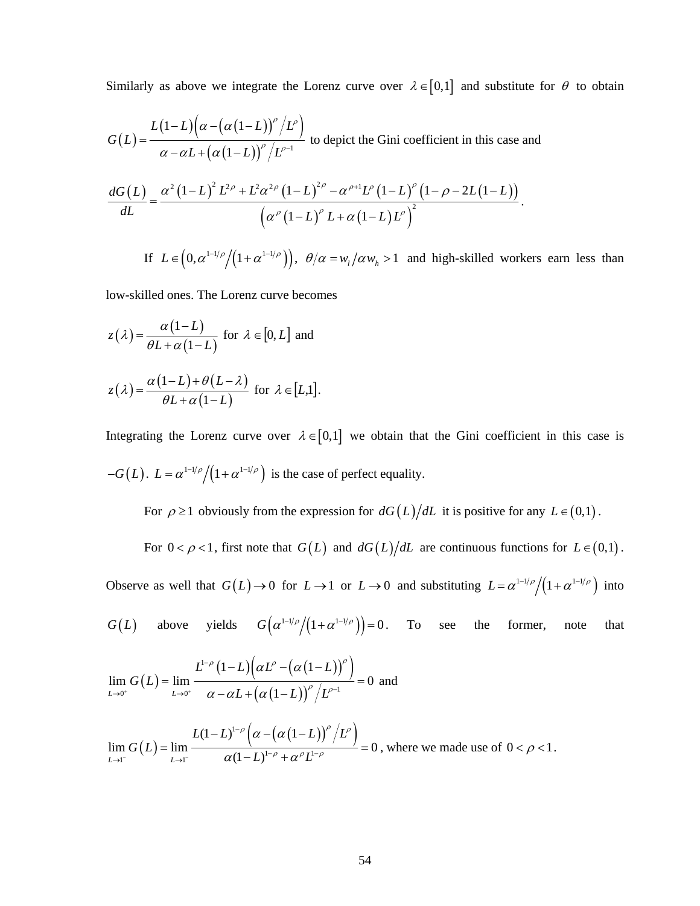Similarly as above we integrate the Lorenz curve over  $\lambda \in [0,1]$  and substitute for  $\theta$  to obtain

$$
G(L) = \frac{L(1-L)\left(\alpha - (\alpha(1-L))^{\rho}/L^{\rho}\right)}{\alpha - \alpha L + (\alpha(1-L))^{\rho}/L^{\rho-1}}
$$
 to depict the Gini coefficient in this case and

$$
\frac{dG(L)}{dL} = \frac{\alpha^2 (1-L)^2 L^{2\rho} + L^2 \alpha^{2\rho} (1-L)^{2\rho} - \alpha^{\rho+1} L^{\rho} (1-L)^{\rho} (1-\rho-2L(1-L))}{\left(\alpha^{\rho} (1-L)^{\rho} L + \alpha (1-L) L^{\rho}\right)^2}.
$$

If  $L \in ( 0, \alpha^{1-1/\rho} / (1+\alpha^{1-1/\rho}) )$ ,  $\theta/\alpha = w_1/\alpha w_n > 1$  and high-skilled workers earn less than

low-skilled ones. The Lorenz curve becomes

$$
z(\lambda) = \frac{\alpha(1-L)}{\theta L + \alpha(1-L)} \text{ for } \lambda \in [0, L] \text{ and}
$$

$$
z(\lambda) = \frac{\alpha(1-L) + \theta(L-\lambda)}{\theta L + \alpha(1-L)} \text{ for } \lambda \in [L,1].
$$

Integrating the Lorenz curve over  $\lambda \in [0,1]$  we obtain that the Gini coefficient in this case is  $-G(L)$ .  $L = \alpha^{1-1/\rho}/(1+\alpha^{1-1/\rho})$  is the case of perfect equality.

For  $\rho \geq 1$  obviously from the expression for  $dG(L)/dL$  it is positive for any  $L \in (0,1)$ .

For  $0 < \rho < 1$ , first note that  $G(L)$  and  $dG(L)/dL$  are continuous functions for  $L \in (0,1)$ .

Observe as well that  $G(L) \to 0$  for  $L \to 1$  or  $L \to 0$  and substituting  $L = \frac{\alpha^{1-1/\rho}}{(1+\alpha^{1-1/\rho})}$  into

 $G(L)$  above yields  $G(\alpha^{1-1/\rho}/(1+\alpha^{1-1/\rho}))=0$ . To see the former, note that

 $(L) = \lim \frac{L^{1-\rho}(1-L) (\alpha L^{\rho} - (\alpha (1-L))^{\rho})}{L^{1-\rho}(1-\alpha L)^{\rho} L^{1-\rho}}$  $(\alpha (1-L))$ 1  $0^+$   $(1-t)^{\rho}$   $L \rightarrow 0^+$   $\alpha - \alpha L + (\alpha (1-L))^{\rho} / L^{\rho-1}$  $(1-L)|\alpha L^{\rho} - |\alpha|$  $\lim G(L) = \lim$   $\frac{1}{\lim_{t \to 0} \frac{1}{t}} = 0$  $L \rightarrow 0^+$   $L \rightarrow 0^+$   $\alpha - \alpha L + (\alpha)$  $L^{1-\rho}(1-L)|\alpha L^{\rho}-(\alpha(1-L$ *G L*  $L + (\alpha(1-L))^{\nu}/L$  $\rho$  (1  $I \cap \{ \alpha I^{\rho} \mid \alpha (1 I) \}^{\rho}$  $ρ$  |  $τρ$  $\alpha$   $\mu$  -  $\alpha$  $\alpha - \alpha L + \alpha$ −  $\rightarrow$ <sup>0+</sup>  $L \rightarrow 0^+$   $\alpha - \alpha L + (\alpha (1-L))^{\rho}/L^{\rho-1}$  $-L$ ) $\alpha L^{\rho}$  –  $\alpha$ (1–  $=\lim_{L\to 0^+}\frac{(-1)^k\left(\frac{L}{L}\right)^k}{\alpha-\alpha L+\left(\alpha(1-L)\right)^k/L^{p-1}}=0$  and

 $(L) = \lim \frac{L(1-L)^{1-\rho} (\alpha - (\alpha(1-L))^{\rho}/L^{\rho})}{(1-L)^{1-\rho} (\alpha - \beta L^{1-\rho})}$  $\alpha (1-L)^{1-\rho} + \alpha^{\rho} L^{1-\rho}$  $(1-L)^{1-\rho}$  |  $\alpha$  -  $(\alpha)$  1  $\lim G(L) = \lim \frac{1}{(1+|C|)^{1/2}} = 0$  $\mu_{L \to 1^{-}}$  (-)  $\mu_{L \to 1^{-}}$   $\alpha(1-L)$  $L(1-L)^{1-\rho}$   $\left( \alpha - (\alpha(1-L))^{\rho}/L \right)$ *G L*  $(L)^{1-\rho} + \alpha^{\rho}L^{\rho}$  $\ell_{\alpha}$  ( $\alpha(1 I)^{\beta}/I^{\beta}$  $\rho$   $\alpha$   $\rho$   $I^{1-\rho}$  $\alpha$  –  $\alpha$  $\alpha(1-L)^{r} + \alpha$ −  $\alpha(1-L)^{1-\rho} + \alpha^{\rho}L^{1-\rho}$  $-L)^{1-\rho}$  |  $\alpha$  – (  $\alpha$  (1 –  $=\lim_{L\to 1^-} \frac{(1+L)^{1-\rho} + \alpha^{\rho}L^{1-\rho}}{\alpha(1-L)^{1-\rho} + \alpha^{\rho}L^{1-\rho}} = 0$ , where we made use of  $0 < \rho < 1$ .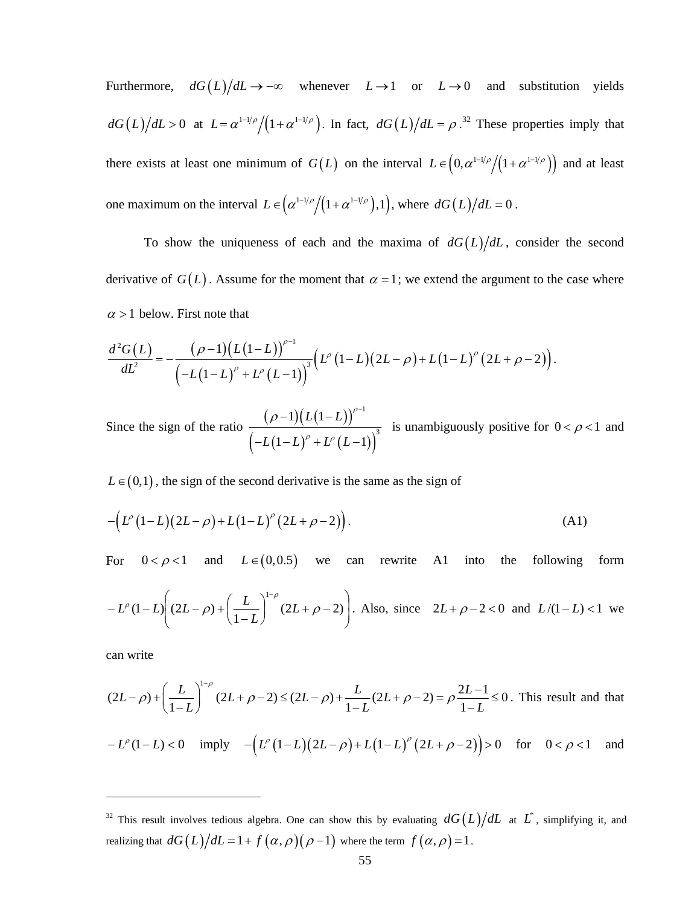Furthermore,  $dG(L)/dL \rightarrow -\infty$  whenever  $L \rightarrow 1$  or  $L \rightarrow 0$  and substitution yields  $dG(L)/dL > 0$  at  $L = \alpha^{1-1/\rho}/(1+\alpha^{1-1/\rho})$ . In fact,  $dG(L)/dL = \rho^{32}$  These properties imply that there exists at least one minimum of  $G(L)$  on the interval  $L \in (0, \alpha^{1-1/\rho}/(1+\alpha^{1-1/\rho}))$  and at least one maximum on the interval  $L \in (\alpha^{1-1/\rho})/(1+\alpha^{1-1/\rho}), 1$ , where  $dG(L)/dL = 0$ .

To show the uniqueness of each and the maxima of  $dG(L)/dL$ , consider the second derivative of  $G(L)$ . Assume for the moment that  $\alpha = 1$ ; we extend the argument to the case where  $\alpha$  > 1 below. First note that

$$
\frac{d^2G(L)}{dL^2} = -\frac{(\rho-1)(L(1-L))^{\rho-1}}{\left(-L(1-L)^{\rho} + L^{\rho}(L-1)\right)^3} \Big(L^{\rho}(1-L)(2L-\rho) + L(1-L)^{\rho}(2L+\rho-2)\Big).
$$

Since the sign of the ratio  $\frac{(\rho-1)(L(1-L))}{L}$  $\left( -L(1-L)^{\nu}+L^{\rho}\left( L-1\right) \right)$ 1 3  $1)(L(1)$  $(1-L)^{\rho} + L^{\rho} (L-1)$  $L(1-L$  $L(1-L)^{\rho}$  +  $L^{\rho}$  (  $L$ ρ  $ρ$  <sub>1</sub>  $p$  $(\rho - 1)(L(1-L))^{\rho-1}$  $-L(1-L)^{\rho}+L^{\rho}\left(L-L\right)$ is unambiguously positive for  $0 < \rho < 1$  and

 $L \in (0,1)$ , the sign of the second derivative is the same as the sign of

$$
-\left(L^{p}(1-L)(2L-\rho)+L(1-L)^{p}(2L+\rho-2)\right).
$$
 (A1)

For  $0 < \rho < 1$  and  $L \in (0, 0.5)$  we can rewrite A1 into the following form

$$
-L^{\rho}(1-L)\left((2L-\rho)+\left(\frac{L}{1-L}\right)^{1-\rho}(2L+\rho-2)\right).
$$
 Also, since  $2L+\rho-2<0$  and  $L/(1-L)<1$  we

can write

 $\overline{a}$ 

$$
(2L - \rho) + \left(\frac{L}{1 - L}\right)^{1 - \rho} (2L + \rho - 2) \le (2L - \rho) + \frac{L}{1 - L} (2L + \rho - 2) = \rho \frac{2L - 1}{1 - L} \le 0.
$$
 This result and that

$$
-L^{\rho}(1-L) < 0 \quad \text{imply} \quad -\Big(L^{\rho}(1-L)(2L-\rho) + L(1-L)^{\rho}(2L+\rho-2)\Big) > 0 \quad \text{for} \quad 0 < \rho < 1 \quad \text{and}
$$

<sup>&</sup>lt;sup>32</sup> This result involves tedious algebra. One can show this by evaluating  $dG(L)/dL$  at  $L^*$ , simplifying it, and realizing that  $dG(L)/dL = 1 + f(\alpha, \rho)(\rho - 1)$  where the term  $f(\alpha, \rho) = 1$ .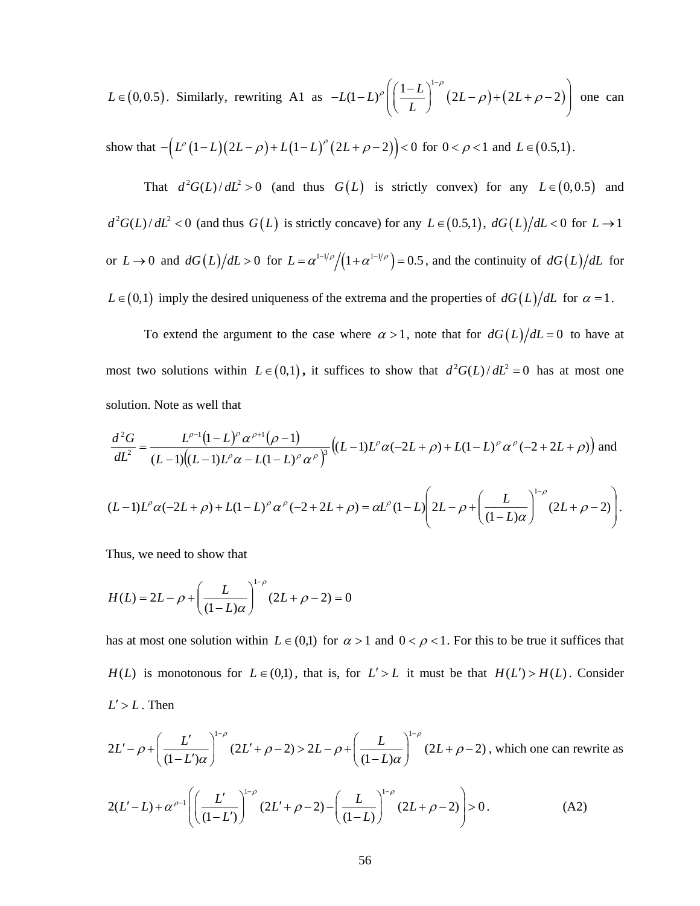*L*∈(0,0.5). Similarly, rewriting A1 as  $-L(1-L)^{\rho}$  $\left( \left( \frac{1-L}{L} \right)^{1-\rho} (2L-\rho) + (2L+\rho-2) \right)$ *L* ρ  $\int_{0}^{\rho}$ || $\frac{1}{2}$ |  $(2L-\rho)+(2L+\rho)$  $-L(1-L)^{\rho} \left( \left( \frac{1-L}{L} \right)^{1-\rho} (2L-\rho) + (2L+\rho-2) \right)$ one can

show that  $- ( L^{\rho} (1 - L) (2L - \rho) + L (1 - L)^{\rho} (2L + \rho - 2) ) < 0$  for  $0 < \rho < 1$  and  $L \in (0.5,1)$ .

That  $d^2 G(L)/dL^2 > 0$  (and thus  $G(L)$  is strictly convex) for any  $L \in (0,0.5)$  and  $d^2 G(L)/dL^2 < 0$  (and thus  $G(L)$  is strictly concave) for any  $L \in (0.5,1)$ ,  $dG(L)/dL < 0$  for  $L \to 1$ or  $L \to 0$  and  $dG(L)/dL > 0$  for  $L = \alpha^{1-1/\rho}/(1+\alpha^{1-1/\rho}) = 0.5$ , and the continuity of  $dG(L)/dL$  for  $L \in (0,1)$  imply the desired uniqueness of the extrema and the properties of  $dG(L)/dL$  for  $\alpha = 1$ .

To extend the argument to the case where  $\alpha > 1$ , note that for  $dG(L)/dL = 0$  to have at most two solutions within  $L \in (0,1)$ , it suffices to show that  $d^2 G(L)/dL^2 = 0$  has at most one solution. Note as well that

$$
\frac{d^2G}{dL^2} = \frac{L^{\rho-1}(1-L)^{\rho} \alpha^{\rho+1}(\rho-1)}{(L-1)(L-1)L^{\rho} \alpha - L(1-L)^{\rho} \alpha^{\rho})^3} ((L-1)L^{\rho} \alpha(-2L+\rho) + L(1-L)^{\rho} \alpha^{\rho}(-2+2L+\rho)) \text{ and}
$$
  

$$
(L-1)L^{\rho} \alpha(-2L+\rho) + L(1-L)^{\rho} \alpha^{\rho}(-2+2L+\rho) = \alpha L^{\rho} (1-L) \left( 2L - \rho + \left( \frac{L}{(1-L)\alpha} \right)^{1-\rho} (2L+\rho-2) \right).
$$

Thus, we need to show that

$$
H(L) = 2L - \rho + \left(\frac{L}{(1-L)\alpha}\right)^{1-\rho} (2L + \rho - 2) = 0
$$

has at most one solution within  $L \in (0,1)$  for  $\alpha > 1$  and  $0 < \rho < 1$ . For this to be true it suffices that *H*(*L*) is monotonous for  $L \in (0,1)$ , that is, for  $L' > L$  it must be that  $H(L') > H(L)$ . Consider  $L'$  >  $L$ . Then

$$
2L' - \rho + \left(\frac{L'}{(1-L')\alpha}\right)^{1-\rho} (2L' + \rho - 2) > 2L - \rho + \left(\frac{L}{(1-L)\alpha}\right)^{1-\rho} (2L + \rho - 2), \text{ which one can rewrite as}
$$
  

$$
2(L' - L) + \alpha^{\rho-1} \left( \left(\frac{L'}{(1-L')}\right)^{1-\rho} (2L' + \rho - 2) - \left(\frac{L}{(1-L)}\right)^{1-\rho} (2L + \rho - 2) \right) > 0.
$$
 (A2)